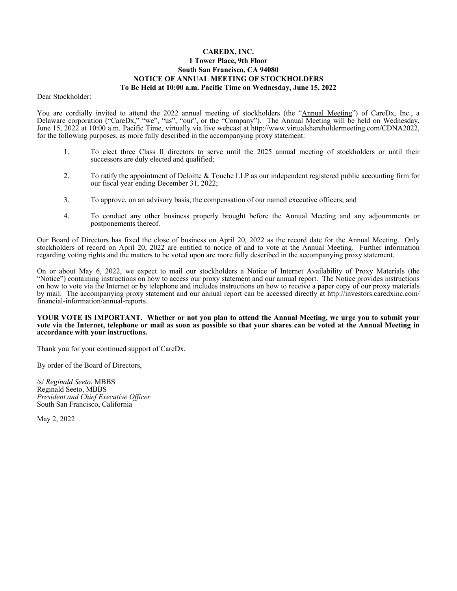# **CAREDX, INC. 1 Tower Place, 9th Floor South San Francisco, CA 94080 NOTICE OF ANNUAL MEETING OF STOCKHOLDERS To Be Held at 10:00 a.m. Pacific Time on Wednesday, June 15, 2022**

Dear Stockholder:

You are cordially invited to attend the 2022 annual meeting of stockholders (the "Annual Meeting") of CareDx, Inc., a Delaware corporation ("CareDx," "we", "us", "our", or the "Company"). The Annual Meeting will be held on Wednesday, June 15, 2022 at 10:00 a.m. Pacific Time, virtually via live webcast at http://www.virtualshareholdermeeting.com/CDNA2022, for the following purposes, as more fully described in the accompanying proxy statement:

- 1. To elect three Class II directors to serve until the 2025 annual meeting of stockholders or until their successors are duly elected and qualified;
- 2. To ratify the appointment of Deloitte & Touche LLP as our independent registered public accounting firm for our fiscal year ending December 31, 2022;
- 3. To approve, on an advisory basis, the compensation of our named executive officers; and
- 4. To conduct any other business properly brought before the Annual Meeting and any adjournments or postponements thereof.

Our Board of Directors has fixed the close of business on April 20, 2022 as the record date for the Annual Meeting. Only stockholders of record on April 20, 2022 are entitled to notice of and to vote at the Annual Meeting. Further information regarding voting rights and the matters to be voted upon are more fully described in the accompanying proxy statement.

On or about May 6, 2022, we expect to mail our stockholders a Notice of Internet Availability of Proxy Materials (the "Notice") containing instructions on how to access our proxy statement and our annual report. The Notice provides instructions on how to vote via the Internet or by telephone and includes instructions on how to receive a paper copy of our proxy materials by mail. The accompanying proxy statement and our annual report can be accessed directly at http://investors.caredxinc.com/ financial-information/annual-reports.

#### **YOUR VOTE IS IMPORTANT. Whether or not you plan to attend the Annual Meeting, we urge you to submit your vote via the Internet, telephone or mail as soon as possible so that your shares can be voted at the Annual Meeting in accordance with your instructions.**

Thank you for your continued support of CareDx.

By order of the Board of Directors,

/s/ *Reginald Seeto*, MBBS Reginald Seeto, MBBS *President and Chief Executive Officer* South San Francisco, California

May 2, 2022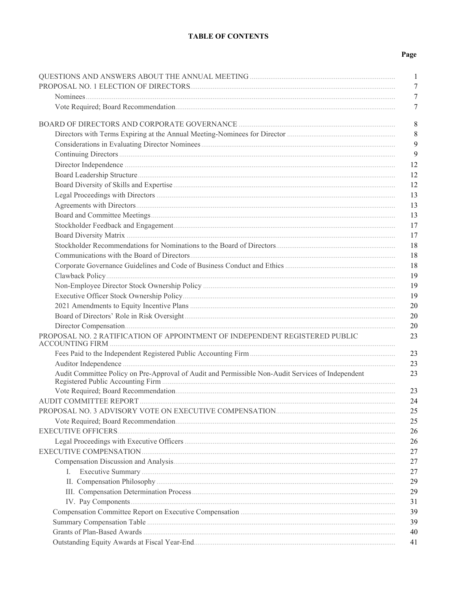# **TABLE OF CONTENTS**

# Page

|                                                                                                   | 1        |
|---------------------------------------------------------------------------------------------------|----------|
|                                                                                                   | 7        |
|                                                                                                   | 7        |
|                                                                                                   | 7        |
|                                                                                                   | 8        |
|                                                                                                   | 8        |
|                                                                                                   | 9        |
|                                                                                                   | 9        |
|                                                                                                   | 12       |
|                                                                                                   | 12       |
|                                                                                                   | 12       |
|                                                                                                   | 13       |
|                                                                                                   | 13       |
|                                                                                                   | 13       |
|                                                                                                   | 17       |
|                                                                                                   | 17       |
|                                                                                                   | 18       |
|                                                                                                   | 18       |
|                                                                                                   | 18       |
|                                                                                                   | 19       |
|                                                                                                   | 19       |
|                                                                                                   | 19       |
|                                                                                                   | 20       |
|                                                                                                   | 20       |
|                                                                                                   | 20       |
| PROPOSAL NO. 2 RATIFICATION OF APPOINTMENT OF INDEPENDENT REGISTERED PUBLIC                       | 23       |
|                                                                                                   | 23       |
|                                                                                                   | 23       |
| Audit Committee Policy on Pre-Approval of Audit and Permissible Non-Audit Services of Independent | 23       |
|                                                                                                   | 23       |
|                                                                                                   | 24       |
|                                                                                                   | 25       |
|                                                                                                   | 25       |
|                                                                                                   | 26       |
|                                                                                                   | 26<br>27 |
|                                                                                                   | 27       |
|                                                                                                   | 27       |
| $\mathbf{I}$ .                                                                                    | 29       |
|                                                                                                   | 29       |
|                                                                                                   | 31       |
|                                                                                                   | 39       |
|                                                                                                   | 39       |
|                                                                                                   | 40       |
|                                                                                                   | 41       |
|                                                                                                   |          |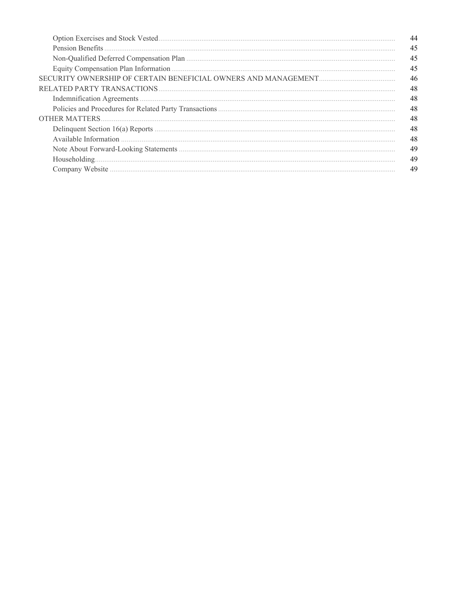| 44 |
|----|
| 45 |
| 45 |
| 45 |
| 46 |
| 48 |
| 48 |
| 48 |
| 48 |
| 48 |
| 48 |
| 49 |
| 49 |
| 49 |
|    |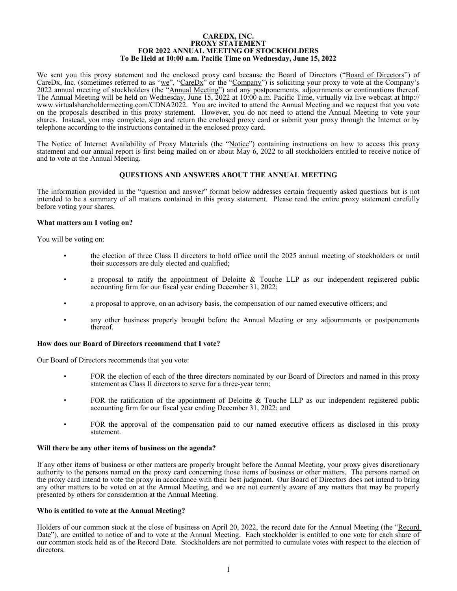#### **CAREDX, INC. PROXY STATEMENT FOR 2022 ANNUAL MEETING OF STOCKHOLDERS To Be Held at 10:00 a.m. Pacific Time on Wednesday, June 15, 2022**

<span id="page-4-0"></span>We sent you this proxy statement and the enclosed proxy card because the Board of Directors ("Board of Directors") of CareDx, Inc. (sometimes referred to as "we", "CareDx" or the "Company") is soliciting your proxy to vote at the Company's 2022 annual meeting of stockholders (the "Annual Meeting") and any postponements, adjournments or continuations thereof. The Annual Meeting will be held on Wednesday, June 15, 2022 at 10:00 a.m. Pacific Time, virtually via live webcast at http:// www.virtualshareholdermeeting.com/CDNA2022. You are invited to attend the Annual Meeting and we request that you vote on the proposals described in this proxy statement. However, you do not need to attend the Annual Meeting to vote your shares. Instead, you may complete, sign and return the enclosed proxy card or submit your proxy through the Internet or by telephone according to the instructions contained in the enclosed proxy card.

The Notice of Internet Availability of Proxy Materials (the "Notice") containing instructions on how to access this proxy statement and our annual report is first being mailed on or about May 6, 2022 to all stockholders entitled to receive notice of and to vote at the Annual Meeting.

### **QUESTIONS AND ANSWERS ABOUT THE ANNUAL MEETING**

The information provided in the "question and answer" format below addresses certain frequently asked questions but is not intended to be a summary of all matters contained in this proxy statement. Please read the entire proxy statement carefully before voting your shares.

#### **What matters am I voting on?**

You will be voting on:

- the election of three Class II directors to hold office until the 2025 annual meeting of stockholders or until their successors are duly elected and qualified;
- a proposal to ratify the appointment of Deloitte & Touche LLP as our independent registered public accounting firm for our fiscal year ending December 31, 2022;
- a proposal to approve, on an advisory basis, the compensation of our named executive officers; and
- any other business properly brought before the Annual Meeting or any adjournments or postponements thereof.

### **How does our Board of Directors recommend that I vote?**

Our Board of Directors recommends that you vote:

- FOR the election of each of the three directors nominated by our Board of Directors and named in this proxy statement as Class II directors to serve for a three-year term;
- FOR the ratification of the appointment of Deloitte & Touche LLP as our independent registered public accounting firm for our fiscal year ending December 31, 2022; and
- FOR the approval of the compensation paid to our named executive officers as disclosed in this proxy statement.

#### **Will there be any other items of business on the agenda?**

If any other items of business or other matters are properly brought before the Annual Meeting, your proxy gives discretionary authority to the persons named on the proxy card concerning those items of business or other matters. The persons named on the proxy card intend to vote the proxy in accordance with their best judgment. Our Board of Directors does not intend to bring any other matters to be voted on at the Annual Meeting, and we are not currently aware of any matters that may be properly presented by others for consideration at the Annual Meeting.

### **Who is entitled to vote at the Annual Meeting?**

Holders of our common stock at the close of business on April 20, 2022, the record date for the Annual Meeting (the "Record Date"), are entitled to notice of and to vote at the Annual Meeting. Each stockholder is entitled to one vote for each share of our common stock held as of the Record Date. Stockholders are not permitted to cumulate votes with respect to the election of directors.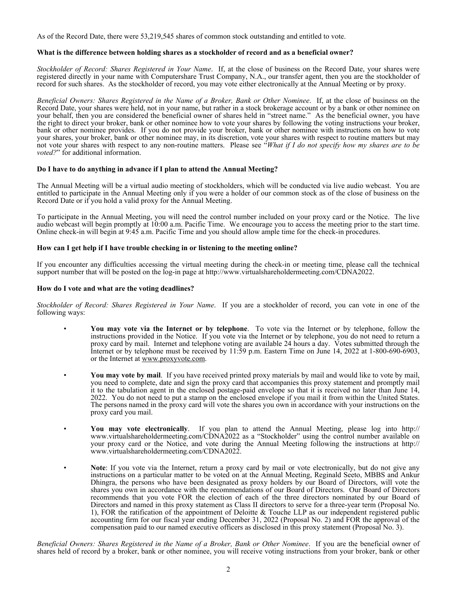As of the Record Date, there were 53,219,545 shares of common stock outstanding and entitled to vote.

### **What is the difference between holding shares as a stockholder of record and as a beneficial owner?**

*Stockholder of Record: Shares Registered in Your Name*. If, at the close of business on the Record Date, your shares were registered directly in your name with Computershare Trust Company, N.A., our transfer agent, then you are the stockholder of record for such shares. As the stockholder of record, you may vote either electronically at the Annual Meeting or by proxy.

*Beneficial Owners: Shares Registered in the Name of a Broker, Bank or Other Nominee*. If, at the close of business on the Record Date, your shares were held, not in your name, but rather in a stock brokerage account or by a bank or other nominee on your behalf, then you are considered the beneficial owner of shares held in "street name." As the beneficial owner, you have the right to direct your broker, bank or other nominee how to vote your shares by following the voting instructions your broker, bank or other nominee provides. If you do not provide your broker, bank or other nominee with instructions on how to vote your shares, your broker, bank or other nominee may, in its discretion, vote your shares with respect to routine matters but may not vote your shares with respect to any non-routine matters. Please see "*What if I do not specify how my shares are to be voted?*" for additional information.

# **Do I have to do anything in advance if I plan to attend the Annual Meeting?**

The Annual Meeting will be a virtual audio meeting of stockholders, which will be conducted via live audio webcast. You are entitled to participate in the Annual Meeting only if you were a holder of our common stock as of the close of business on the Record Date or if you hold a valid proxy for the Annual Meeting.

To participate in the Annual Meeting, you will need the control number included on your proxy card or the Notice. The live audio webcast will begin promptly at 10:00 a.m. Pacific Time. We encourage you to access the meeting prior to the start time. Online check-in will begin at 9:45 a.m. Pacific Time and you should allow ample time for the check-in procedures.

# **How can I get help if I have trouble checking in or listening to the meeting online?**

If you encounter any difficulties accessing the virtual meeting during the check-in or meeting time, please call the technical support number that will be posted on the log-in page at http://www.virtualshareholdermeeting.com/CDNA2022.

### **How do I vote and what are the voting deadlines?**

*Stockholder of Record: Shares Registered in Your Name*. If you are a stockholder of record, you can vote in one of the following ways:

- **You may vote via the Internet or by telephone**. To vote via the Internet or by telephone, follow the instructions provided in the Notice. If you vote via the Internet or by telephone, you do not need to return a proxy card by mail. Internet and telephone voting are available 24 hours a day. Votes submitted through the Internet or by telephone must be received by 11:59 p.m. Eastern Time on June 14, 2022 at 1-800-690-6903, or the Internet at www.proxyvote.com.
- **You may vote by mail**. If you have received printed proxy materials by mail and would like to vote by mail, you need to complete, date and sign the proxy card that accompanies this proxy statement and promptly mail it to the tabulation agent in the enclosed postage-paid envelope so that it is received no later than June 14, 2022. You do not need to put a stamp on the enclosed envelope if you mail it from within the United States. The persons named in the proxy card will vote the shares you own in accordance with your instructions on the proxy card you mail.
- **You may vote electronically**. If you plan to attend the Annual Meeting, please log into http:// www.virtualshareholdermeeting.com/CDNA2022 as a "Stockholder" using the control number available on your proxy card or the Notice, and vote during the Annual Meeting following the instructions at http:// www.virtualshareholdermeeting.com/CDNA2022.
- **Note**: If you vote via the Internet, return a proxy card by mail or vote electronically, but do not give any instructions on a particular matter to be voted on at the Annual Meeting, Reginald Seeto, MBBS and Ankur Dhingra, the persons who have been designated as proxy holders by our Board of Directors, will vote the shares you own in accordance with the recommendations of our Board of Directors. Our Board of Directors recommends that you vote FOR the election of each of the three directors nominated by our Board of Directors and named in this proxy statement as Class II directors to serve for a three-year term (Proposal No. 1), FOR the ratification of the appointment of Deloitte & Touche LLP as our independent registered public accounting firm for our fiscal year ending December 31, 2022 (Proposal No. 2) and FOR the approval of the compensation paid to our named executive officers as disclosed in this proxy statement (Proposal No. 3).

*Beneficial Owners: Shares Registered in the Name of a Broker, Bank or Other Nominee*. If you are the beneficial owner of shares held of record by a broker, bank or other nominee, you will receive voting instructions from your broker, bank or other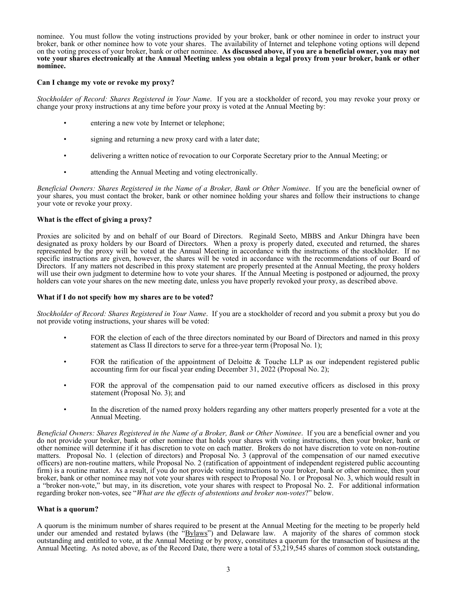nominee. You must follow the voting instructions provided by your broker, bank or other nominee in order to instruct your broker, bank or other nominee how to vote your shares. The availability of Internet and telephone voting options will depend on the voting process of your broker, bank or other nominee. **As discussed above, if you are a beneficial owner, you may not vote your shares electronically at the Annual Meeting unless you obtain a legal proxy from your broker, bank or other nominee.**

### **Can I change my vote or revoke my proxy?**

*Stockholder of Record: Shares Registered in Your Name*. If you are a stockholder of record, you may revoke your proxy or change your proxy instructions at any time before your proxy is voted at the Annual Meeting by:

- entering a new vote by Internet or telephone;
- signing and returning a new proxy card with a later date;
- delivering a written notice of revocation to our Corporate Secretary prior to the Annual Meeting; or
- attending the Annual Meeting and voting electronically.

*Beneficial Owners: Shares Registered in the Name of a Broker, Bank or Other Nominee*. If you are the beneficial owner of your shares, you must contact the broker, bank or other nominee holding your shares and follow their instructions to change your vote or revoke your proxy.

### **What is the effect of giving a proxy?**

Proxies are solicited by and on behalf of our Board of Directors. Reginald Seeto, MBBS and Ankur Dhingra have been designated as proxy holders by our Board of Directors. When a proxy is properly dated, executed and returned, the shares represented by the proxy will be voted at the Annual Meeting in accordance with the instructions of the stockholder. If no specific instructions are given, however, the shares will be voted in accordance with the recommendations of our Board of Directors. If any matters not described in this proxy statement are properly presented at the Annual Meeting, the proxy holders will use their own judgment to determine how to vote your shares. If the Annual Meeting is postponed or adjourned, the proxy holders can vote your shares on the new meeting date, unless you have properly revoked your proxy, as described above.

### **What if I do not specify how my shares are to be voted?**

*Stockholder of Record: Shares Registered in Your Name*. If you are a stockholder of record and you submit a proxy but you do not provide voting instructions, your shares will be voted:

- FOR the election of each of the three directors nominated by our Board of Directors and named in this proxy statement as Class II directors to serve for a three-year term (Proposal No. 1);
- FOR the ratification of the appointment of Deloitte & Touche LLP as our independent registered public accounting firm for our fiscal year ending December 31, 2022 (Proposal No. 2);
- FOR the approval of the compensation paid to our named executive officers as disclosed in this proxy statement (Proposal No. 3); and
- In the discretion of the named proxy holders regarding any other matters properly presented for a vote at the Annual Meeting.

*Beneficial Owners: Shares Registered in the Name of a Broker, Bank or Other Nominee*. If you are a beneficial owner and you do not provide your broker, bank or other nominee that holds your shares with voting instructions, then your broker, bank or other nominee will determine if it has discretion to vote on each matter. Brokers do not have discretion to vote on non-routine matters. Proposal No. 1 (election of directors) and Proposal No. 3 (approval of the compensation of our named executive officers) are non-routine matters, while Proposal No. 2 (ratification of appointment of independent registered public accounting firm) is a routine matter. As a result, if you do not provide voting instructions to your broker, bank or other nominee, then your broker, bank or other nominee may not vote your shares with respect to Proposal No. 1 or Proposal No. 3, which would result in a "broker non-vote," but may, in its discretion, vote your shares with respect to Proposal No. 2. For additional information regarding broker non-votes, see "*What are the effects of abstentions and broker non-votes*?" below.

### **What is a quorum?**

A quorum is the minimum number of shares required to be present at the Annual Meeting for the meeting to be properly held under our amended and restated bylaws (the "Bylaws") and Delaware law. A majority of the shares of common stock outstanding and entitled to vote, at the Annual Meeting or by proxy, constitutes a quorum for the transaction of business at the Annual Meeting. As noted above, as of the Record Date, there were a total of 53,219,545 shares of common stock outstanding,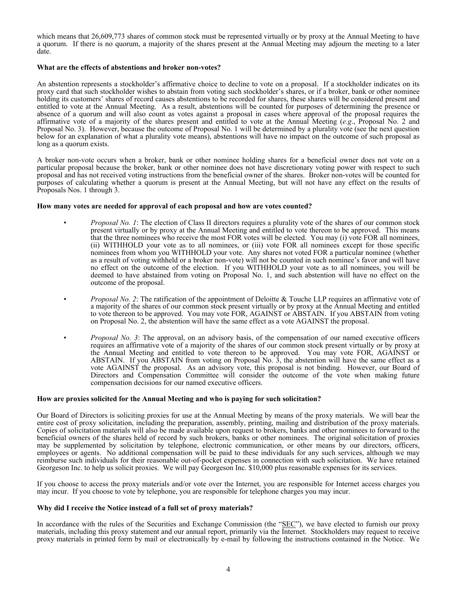which means that 26,609,773 shares of common stock must be represented virtually or by proxy at the Annual Meeting to have a quorum. If there is no quorum, a majority of the shares present at the Annual Meeting may adjourn the meeting to a later date.

### **What are the effects of abstentions and broker non-votes?**

An abstention represents a stockholder's affirmative choice to decline to vote on a proposal. If a stockholder indicates on its proxy card that such stockholder wishes to abstain from voting such stockholder's shares, or if a broker, bank or other nominee holding its customers' shares of record causes abstentions to be recorded for shares, these shares will be considered present and entitled to vote at the Annual Meeting. As a result, abstentions will be counted for purposes of determining the presence or absence of a quorum and will also count as votes against a proposal in cases where approval of the proposal requires the affirmative vote of a majority of the shares present and entitled to vote at the Annual Meeting (*e.g*., Proposal No. 2 and Proposal No. 3). However, because the outcome of Proposal No. 1 will be determined by a plurality vote (see the next question below for an explanation of what a plurality vote means), abstentions will have no impact on the outcome of such proposal as long as a quorum exists.

A broker non-vote occurs when a broker, bank or other nominee holding shares for a beneficial owner does not vote on a particular proposal because the broker, bank or other nominee does not have discretionary voting power with respect to such proposal and has not received voting instructions from the beneficial owner of the shares. Broker non-votes will be counted for purposes of calculating whether a quorum is present at the Annual Meeting, but will not have any effect on the results of Proposals Nos. 1 through 3.

#### **How many votes are needed for approval of each proposal and how are votes counted?**

- *Proposal No. 1*: The election of Class II directors requires a plurality vote of the shares of our common stock present virtually or by proxy at the Annual Meeting and entitled to vote thereon to be approved. This means that the three nominees who receive the most FOR votes will be elected. You may (i) vote FOR all nominees, (ii) WITHHOLD your vote as to all nominees, or (iii) vote FOR all nominees except for those specific nominees from whom you WITHHOLD your vote. Any shares not voted FOR a particular nominee (whether as a result of voting withheld or a broker non-vote) will not be counted in such nominee's favor and will have no effect on the outcome of the election. If you WITHHOLD your vote as to all nominees, you will be deemed to have abstained from voting on Proposal No. 1, and such abstention will have no effect on the outcome of the proposal.
- *Proposal No. 2*: The ratification of the appointment of Deloitte & Touche LLP requires an affirmative vote of a majority of the shares of our common stock present virtually or by proxy at the Annual Meeting and entitled to vote thereon to be approved. You may vote FOR, AGAINST or ABSTAIN. If you ABSTAIN from voting on Proposal No. 2, the abstention will have the same effect as a vote AGAINST the proposal.
- *Proposal No. 3*: The approval, on an advisory basis, of the compensation of our named executive officers requires an affirmative vote of a majority of the shares of our common stock present virtually or by proxy at the Annual Meeting and entitled to vote thereon to be approved. You may vote FOR, AGAINST or ABSTAIN. If you ABSTAIN from voting on Proposal No. 3, the abstention will have the same effect as a vote AGAINST the proposal. As an advisory vote, this proposal is not binding. However, our Board of Directors and Compensation Committee will consider the outcome of the vote when making future compensation decisions for our named executive officers.

#### **How are proxies solicited for the Annual Meeting and who is paying for such solicitation?**

Our Board of Directors is soliciting proxies for use at the Annual Meeting by means of the proxy materials. We will bear the entire cost of proxy solicitation, including the preparation, assembly, printing, mailing and distribution of the proxy materials. Copies of solicitation materials will also be made available upon request to brokers, banks and other nominees to forward to the beneficial owners of the shares held of record by such brokers, banks or other nominees. The original solicitation of proxies may be supplemented by solicitation by telephone, electronic communication, or other means by our directors, officers, employees or agents. No additional compensation will be paid to these individuals for any such services, although we may reimburse such individuals for their reasonable out-of-pocket expenses in connection with such solicitation. We have retained Georgeson Inc. to help us solicit proxies. We will pay Georgeson Inc. \$10,000 plus reasonable expenses for its services.

If you choose to access the proxy materials and/or vote over the Internet, you are responsible for Internet access charges you may incur. If you choose to vote by telephone, you are responsible for telephone charges you may incur.

#### **Why did I receive the Notice instead of a full set of proxy materials?**

In accordance with the rules of the Securities and Exchange Commission (the "SEC"), we have elected to furnish our proxy materials, including this proxy statement and our annual report, primarily via the Internet. Stockholders may request to receive proxy materials in printed form by mail or electronically by e-mail by following the instructions contained in the Notice. We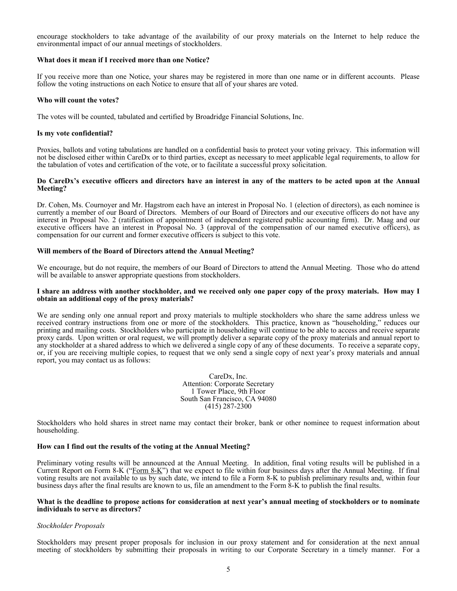encourage stockholders to take advantage of the availability of our proxy materials on the Internet to help reduce the environmental impact of our annual meetings of stockholders.

#### **What does it mean if I received more than one Notice?**

If you receive more than one Notice, your shares may be registered in more than one name or in different accounts. Please follow the voting instructions on each Notice to ensure that all of your shares are voted.

#### **Who will count the votes?**

The votes will be counted, tabulated and certified by Broadridge Financial Solutions, Inc.

#### **Is my vote confidential?**

Proxies, ballots and voting tabulations are handled on a confidential basis to protect your voting privacy. This information will not be disclosed either within CareDx or to third parties, except as necessary to meet applicable legal requirements, to allow for the tabulation of votes and certification of the vote, or to facilitate a successful proxy solicitation.

#### **Do CareDx's executive officers and directors have an interest in any of the matters to be acted upon at the Annual Meeting?**

Dr. Cohen, Ms. Cournoyer and Mr. Hagstrom each have an interest in Proposal No. 1 (election of directors), as each nominee is currently a member of our Board of Directors. Members of our Board of Directors and our executive officers do not have any interest in Proposal No. 2 (ratification of appointment of independent registered public accounting firm). Dr. Maag and our executive officers have an interest in Proposal No. 3 (approval of the compensation of our named executive officers), as compensation for our current and former executive officers is subject to this vote.

#### **Will members of the Board of Directors attend the Annual Meeting?**

We encourage, but do not require, the members of our Board of Directors to attend the Annual Meeting. Those who do attend will be available to answer appropriate questions from stockholders.

#### **I share an address with another stockholder, and we received only one paper copy of the proxy materials. How may I obtain an additional copy of the proxy materials?**

We are sending only one annual report and proxy materials to multiple stockholders who share the same address unless we received contrary instructions from one or more of the stockholders. This practice, known as "householding," reduces our printing and mailing costs. Stockholders who participate in householding will continue to be able to access and receive separate proxy cards. Upon written or oral request, we will promptly deliver a separate copy of the proxy materials and annual report to any stockholder at a shared address to which we delivered a single copy of any of these documents. To receive a separate copy, or, if you are receiving multiple copies, to request that we only send a single copy of next year's proxy materials and annual report, you may contact us as follows:

> CareDx, Inc. Attention: Corporate Secretary 1 Tower Place, 9th Floor South San Francisco, CA 94080 (415) 287-2300

Stockholders who hold shares in street name may contact their broker, bank or other nominee to request information about householding.

#### **How can I find out the results of the voting at the Annual Meeting?**

Preliminary voting results will be announced at the Annual Meeting. In addition, final voting results will be published in a Current Report on Form 8-K ("Form 8-K") that we expect to file within four business days after the Annual Meeting. If final voting results are not available to us by such date, we intend to file a Form 8-K to publish preliminary results and, within four business days after the final results are known to us, file an amendment to the Form 8-K to publish the final results.

#### **What is the deadline to propose actions for consideration at next year's annual meeting of stockholders or to nominate individuals to serve as directors?**

#### *Stockholder Proposals*

Stockholders may present proper proposals for inclusion in our proxy statement and for consideration at the next annual meeting of stockholders by submitting their proposals in writing to our Corporate Secretary in a timely manner. For a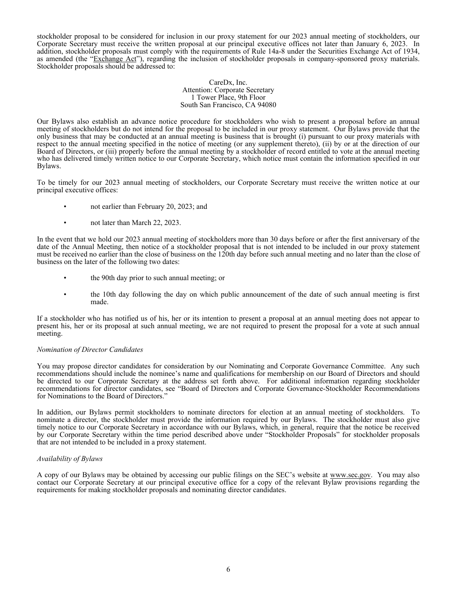stockholder proposal to be considered for inclusion in our proxy statement for our 2023 annual meeting of stockholders, our Corporate Secretary must receive the written proposal at our principal executive offices not later than January 6, 2023. In addition, stockholder proposals must comply with the requirements of Rule 14a-8 under the Securities Exchange Act of 1934, as amended (the "Exchange Act"), regarding the inclusion of stockholder proposals in company-sponsored proxy materials. Stockholder proposals should be addressed to:

> CareDx, Inc. Attention: Corporate Secretary 1 Tower Place, 9th Floor South San Francisco, CA 94080

Our Bylaws also establish an advance notice procedure for stockholders who wish to present a proposal before an annual meeting of stockholders but do not intend for the proposal to be included in our proxy statement. Our Bylaws provide that the only business that may be conducted at an annual meeting is business that is brought (i) pursuant to our proxy materials with respect to the annual meeting specified in the notice of meeting (or any supplement thereto), (ii) by or at the direction of our Board of Directors, or (iii) properly before the annual meeting by a stockholder of record entitled to vote at the annual meeting who has delivered timely written notice to our Corporate Secretary, which notice must contain the information specified in our Bylaws.

To be timely for our 2023 annual meeting of stockholders, our Corporate Secretary must receive the written notice at our principal executive offices:

- not earlier than February 20, 2023; and
- not later than March 22, 2023.

In the event that we hold our 2023 annual meeting of stockholders more than 30 days before or after the first anniversary of the date of the Annual Meeting, then notice of a stockholder proposal that is not intended to be included in our proxy statement must be received no earlier than the close of business on the 120th day before such annual meeting and no later than the close of business on the later of the following two dates:

- the 90th day prior to such annual meeting; or
- the 10th day following the day on which public announcement of the date of such annual meeting is first made.

If a stockholder who has notified us of his, her or its intention to present a proposal at an annual meeting does not appear to present his, her or its proposal at such annual meeting, we are not required to present the proposal for a vote at such annual meeting.

### *Nomination of Director Candidates*

You may propose director candidates for consideration by our Nominating and Corporate Governance Committee. Any such recommendations should include the nominee's name and qualifications for membership on our Board of Directors and should be directed to our Corporate Secretary at the address set forth above. For additional information regarding stockholder recommendations for director candidates, see "Board of Directors and Corporate Governance-Stockholder Recommendations for Nominations to the Board of Directors."

In addition, our Bylaws permit stockholders to nominate directors for election at an annual meeting of stockholders. To nominate a director, the stockholder must provide the information required by our Bylaws. The stockholder must also give timely notice to our Corporate Secretary in accordance with our Bylaws, which, in general, require that the notice be received by our Corporate Secretary within the time period described above under "Stockholder Proposals" for stockholder proposals that are not intended to be included in a proxy statement.

### *Availability of Bylaws*

A copy of our Bylaws may be obtained by accessing our public filings on the SEC's website at www.sec.gov. You may also contact our Corporate Secretary at our principal executive office for a copy of the relevant Bylaw provisions regarding the requirements for making stockholder proposals and nominating director candidates.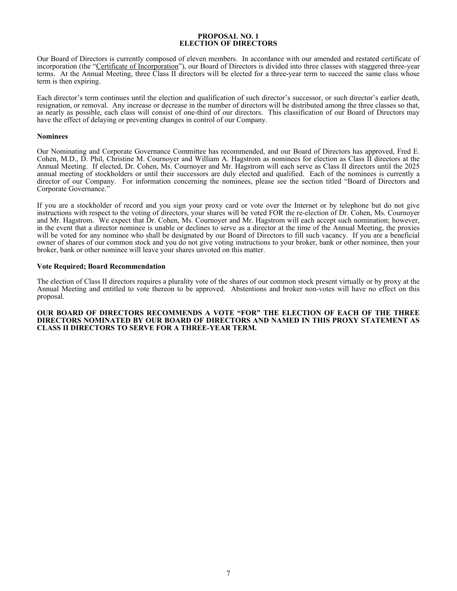### **PROPOSAL NO. 1 ELECTION OF DIRECTORS**

<span id="page-10-0"></span>Our Board of Directors is currently composed of eleven members. In accordance with our amended and restated certificate of incorporation (the "Certificate of Incorporation"), our Board of Directors is divided into three classes with staggered three-year terms. At the Annual Meeting, three Class II directors will be elected for a three-year term to succeed the same class whose term is then expiring.

Each director's term continues until the election and qualification of such director's successor, or such director's earlier death, resignation, or removal. Any increase or decrease in the number of directors will be distributed among the three classes so that, as nearly as possible, each class will consist of one-third of our directors. This classification of our Board of Directors may have the effect of delaying or preventing changes in control of our Company.

#### **Nominees**

Our Nominating and Corporate Governance Committee has recommended, and our Board of Directors has approved, Fred E. Cohen, M.D., D. Phil, Christine M. Cournoyer and William A. Hagstrom as nominees for election as Class II directors at the Annual Meeting. If elected, Dr. Cohen, Ms. Cournoyer and Mr. Hagstrom will each serve as Class II directors until the 2025 annual meeting of stockholders or until their successors are duly elected and qualified. Each of the nominees is currently a director of our Company. For information concerning the nominees, please see the section titled "Board of Directors and Corporate Governance."

If you are a stockholder of record and you sign your proxy card or vote over the Internet or by telephone but do not give instructions with respect to the voting of directors, your shares will be voted FOR the re-election of Dr. Cohen, Ms. Cournoyer and Mr. Hagstrom. We expect that Dr. Cohen, Ms. Cournoyer and Mr. Hagstrom will each accept such nomination; however, in the event that a director nominee is unable or declines to serve as a director at the time of the Annual Meeting, the proxies will be voted for any nominee who shall be designated by our Board of Directors to fill such vacancy. If you are a beneficial owner of shares of our common stock and you do not give voting instructions to your broker, bank or other nominee, then your broker, bank or other nominee will leave your shares unvoted on this matter.

### **Vote Required; Board Recommendation**

The election of Class II directors requires a plurality vote of the shares of our common stock present virtually or by proxy at the Annual Meeting and entitled to vote thereon to be approved. Abstentions and broker non-votes will have no effect on this proposal.

**OUR BOARD OF DIRECTORS RECOMMENDS A VOTE "FOR" THE ELECTION OF EACH OF THE THREE DIRECTORS NOMINATED BY OUR BOARD OF DIRECTORS AND NAMED IN THIS PROXY STATEMENT AS CLASS II DIRECTORS TO SERVE FOR A THREE-YEAR TERM.**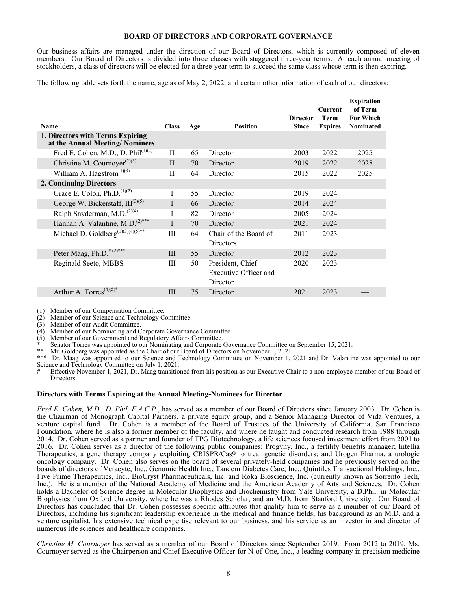### **BOARD OF DIRECTORS AND CORPORATE GOVERNANCE**

<span id="page-11-0"></span>Our business affairs are managed under the direction of our Board of Directors, which is currently composed of eleven members. Our Board of Directors is divided into three classes with staggered three-year terms. At each annual meeting of stockholders, a class of directors will be elected for a three-year term to succeed the same class whose term is then expiring.

The following table sets forth the name, age as of May 2, 2022, and certain other information of each of our directors:

| <b>Name</b>                                                        | <b>Class</b> | Age | <b>Position</b>                                       | <b>Director</b><br><b>Since</b> | <b>Current</b><br><b>Term</b><br><b>Expires</b> | <b>Expiration</b><br>of Term<br><b>For Which</b><br>Nominated |
|--------------------------------------------------------------------|--------------|-----|-------------------------------------------------------|---------------------------------|-------------------------------------------------|---------------------------------------------------------------|
| 1. Directors with Terms Expiring<br>at the Annual Meeting/Nominees |              |     |                                                       |                                 |                                                 |                                                               |
| Fred E. Cohen, M.D., D. Phil $(1)(2)$                              | $_{\rm II}$  | 65  | Director                                              | 2003                            | 2022                                            | 2025                                                          |
| Christine M. Cournoyer <sup>(2)(3)</sup>                           | $\mathbf{I}$ | 70  | Director                                              | 2019                            | 2022                                            | 2025                                                          |
| William A. Hagstrom $(1)(3)$                                       | П            | 64  | Director                                              | 2015                            | 2022                                            | 2025                                                          |
| 2. Continuing Directors                                            |              |     |                                                       |                                 |                                                 |                                                               |
| Grace E. Colón, Ph.D. <sup><math>(1)(2)</math></sup>               | I            | 55  | Director                                              | 2019                            | 2024                                            |                                                               |
| George W. Bickerstaff, $III^{(3)(5)}$                              | I            | 66  | Director                                              | 2014                            | 2024                                            |                                                               |
| Ralph Snyderman, M.D. <sup>(2)(4)</sup>                            | I            | 82  | Director                                              | 2005                            | 2024                                            |                                                               |
| Hannah A. Valantine, M.D. <sup>(2)***</sup>                        | T            | 70  | Director                                              | 2021                            | 2024                                            |                                                               |
| Michael D. Goldberg <sup>(1)(3)(4)(5)**</sup>                      | III          | 64  | Chair of the Board of<br>Directors                    | 2011                            | 2023                                            |                                                               |
| Peter Maag, Ph.D. <sup>#(2)***</sup>                               | III          | 55  | Director                                              | 2012                            | 2023                                            |                                                               |
| Reginald Seeto, MBBS                                               | Ш            | 50  | President, Chief<br>Executive Officer and<br>Director | 2020                            | 2023                                            |                                                               |
| Arthur A. Torres <sup><math>(4)(5)*</math></sup>                   | III          | 75  | Director                                              | 2021                            | 2023                                            |                                                               |
|                                                                    |              |     |                                                       |                                 |                                                 |                                                               |

(1) Member of our Compensation Committee.

(2) Member of our Science and Technology Committee.

(3) Member of our Audit Committee.

(4) Member of our Nominating and Corporate Governance Committee.

(5) Member of our Government and Regulatory Affairs Committee.

\* Senator Torres was appointed to our Nominating and Corporate Governance Committee on September 15, 2021.

\*\* Mr. Goldberg was appointed as the Chair of our Board of Directors on November 1, 2021.

Dr. Maag was appointed to our Science and Technology Committee on November 1, 2021 and Dr. Valantine was appointed to our Science and Technology Committee on July 1, 2021.

Effective November 1, 2021, Dr. Maag transitioned from his position as our Executive Chair to a non-employee member of our Board of Directors.

### **Directors with Terms Expiring at the Annual Meeting-Nominees for Director**

*Fred E. Cohen, M.D., D. Phil, F.A.C.P.*, has served as a member of our Board of Directors since January 2003. Dr. Cohen is the Chairman of Monograph Capital Partners, a private equity group, and a Senior Managing Director of Vida Ventures, a venture capital fund. Dr. Cohen is a member of the Board of Trustees of the University of California, San Francisco Foundation, where he is also a former member of the faculty, and where he taught and conducted research from 1988 through 2014. Dr. Cohen served as a partner and founder of TPG Biotechnology, a life sciences focused investment effort from 2001 to 2016. Dr. Cohen serves as a director of the following public companies: Progyny, Inc., a fertility benefits manager; Intellia Therapeutics, a gene therapy company exploiting CRISPR/Cas9 to treat genetic disorders; and Urogen Pharma, a urologic oncology company. Dr. Cohen also serves on the board of several privately-held companies and he previously served on the boards of directors of Veracyte, Inc., Genomic Health Inc., Tandem Diabetes Care, Inc., Quintiles Transactional Holdings, Inc., Five Prime Therapeutics, Inc., BioCryst Pharmaceuticals, Inc. and Roka Bioscience, Inc. (currently known as Sorrento Tech, Inc.). He is a member of the National Academy of Medicine and the American Academy of Arts and Sciences. Dr. Cohen holds a Bachelor of Science degree in Molecular Biophysics and Biochemistry from Yale University, a D.Phil. in Molecular Biophysics from Oxford University, where he was a Rhodes Scholar, and an M.D. from Stanford University. Our Board of Directors has concluded that Dr. Cohen possesses specific attributes that qualify him to serve as a member of our Board of Directors, including his significant leadership experience in the medical and finance fields, his background as an M.D. and a venture capitalist, his extensive technical expertise relevant to our business, and his service as an investor in and director of numerous life sciences and healthcare companies.

*Christine M. Cournoyer* has served as a member of our Board of Directors since September 2019. From 2012 to 2019, Ms. Cournoyer served as the Chairperson and Chief Executive Officer for N-of-One, Inc., a leading company in precision medicine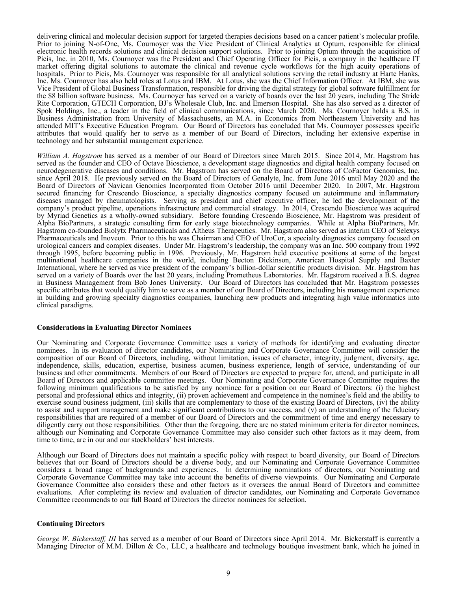<span id="page-12-0"></span>delivering clinical and molecular decision support for targeted therapies decisions based on a cancer patient's molecular profile. Prior to joining N-of-One, Ms. Cournoyer was the Vice President of Clinical Analytics at Optum, responsible for clinical electronic health records solutions and clinical decision support solutions. Prior to joining Optum through the acquisition of Picis, Inc. in 2010, Ms. Cournoyer was the President and Chief Operating Officer for Picis, a company in the healthcare IT market offering digital solutions to automate the clinical and revenue cycle workflows for the high acuity operations of hospitals. Prior to Picis, Ms. Cournoyer was responsible for all analytical solutions serving the retail industry at Harte Hanks, Inc. Ms. Cournoyer has also held roles at Lotus and IBM. At Lotus, she was the Chief Information Officer. At IBM, she was Vice President of Global Business Transformation, responsible for driving the digital strategy for global software fulfillment for the \$8 billion software business. Ms. Cournoyer has served on a variety of boards over the last 20 years, including The Stride Rite Corporation, GTECH Corporation, BJ's Wholesale Club, Inc. and Emerson Hospital. She has also served as a director of Spok Holdings, Inc., a leader in the field of clinical communications, since March 2020. Ms. Cournoyer holds a B.S. in Business Administration from University of Massachusetts, an M.A. in Economics from Northeastern University and has attended MIT's Executive Education Program. Our Board of Directors has concluded that Ms. Cournoyer possesses specific attributes that would qualify her to serve as a member of our Board of Directors, including her extensive expertise in technology and her substantial management experience.

*William A. Hagstrom* has served as a member of our Board of Directors since March 2015. Since 2014, Mr. Hagstrom has served as the founder and CEO of Octave Bioscience, a development stage diagnostics and digital health company focused on neurodegenerative diseases and conditions. Mr. Hagstrom has served on the Board of Directors of CoFactor Genomics, Inc. since April 2018. He previously served on the Board of Directors of Genalyte, Inc. from June 2016 until May 2020 and the Board of Directors of Navican Genomics Incorporated from October 2016 until December 2020. In 2007, Mr. Hagstrom secured financing for Crescendo Bioscience, a specialty diagnostics company focused on autoimmune and inflammatory diseases managed by rheumatologists. Serving as president and chief executive officer, he led the development of the company's product pipeline, operations infrastructure and commercial strategy. In 2014, Crescendo Bioscience was acquired by Myriad Genetics as a wholly-owned subsidiary. Before founding Crescendo Bioscience, Mr. Hagstrom was president of Alpha BioPartners, a strategic consulting firm for early stage biotechnology companies. While at Alpha BioPartners, Mr. Hagstrom co-founded Biolytx Pharmaceuticals and Altheus Therapeutics. Mr. Hagstrom also served as interim CEO of Selexys Pharmaceuticals and Inoveon. Prior to this he was Chairman and CEO of UroCor, a specialty diagnostics company focused on urological cancers and complex diseases. Under Mr. Hagstrom's leadership, the company was an Inc. 500 company from 1992 through 1995, before becoming public in 1996. Previously, Mr. Hagstrom held executive positions at some of the largest multinational healthcare companies in the world, including Becton Dickinson, American Hospital Supply and Baxter International, where he served as vice president of the company's billion-dollar scientific products division. Mr. Hagstrom has served on a variety of Boards over the last 20 years, including Prometheus Laboratories. Mr. Hagstrom received a B.S. degree in Business Management from Bob Jones University. Our Board of Directors has concluded that Mr. Hagstrom possesses specific attributes that would qualify him to serve as a member of our Board of Directors, including his management experience in building and growing specialty diagnostics companies, launching new products and integrating high value informatics into clinical paradigms.

#### **Considerations in Evaluating Director Nominees**

Our Nominating and Corporate Governance Committee uses a variety of methods for identifying and evaluating director nominees. In its evaluation of director candidates, our Nominating and Corporate Governance Committee will consider the composition of our Board of Directors, including, without limitation, issues of character, integrity, judgment, diversity, age, independence, skills, education, expertise, business acumen, business experience, length of service, understanding of our business and other commitments. Members of our Board of Directors are expected to prepare for, attend, and participate in all Board of Directors and applicable committee meetings. Our Nominating and Corporate Governance Committee requires the following minimum qualifications to be satisfied by any nominee for a position on our Board of Directors: (i) the highest personal and professional ethics and integrity, (ii) proven achievement and competence in the nominee's field and the ability to exercise sound business judgment, (iii) skills that are complementary to those of the existing Board of Directors, (iv) the ability to assist and support management and make significant contributions to our success, and  $(\check{v})$  an understanding of the fiduciary responsibilities that are required of a member of our Board of Directors and the commitment of time and energy necessary to diligently carry out those responsibilities. Other than the foregoing, there are no stated minimum criteria for director nominees, although our Nominating and Corporate Governance Committee may also consider such other factors as it may deem, from time to time, are in our and our stockholders' best interests.

Although our Board of Directors does not maintain a specific policy with respect to board diversity, our Board of Directors believes that our Board of Directors should be a diverse body, and our Nominating and Corporate Governance Committee considers a broad range of backgrounds and experiences. In determining nominations of directors, our Nominating and Corporate Governance Committee may take into account the benefits of diverse viewpoints. Our Nominating and Corporate Governance Committee also considers these and other factors as it oversees the annual Board of Directors and committee evaluations. After completing its review and evaluation of director candidates, our Nominating and Corporate Governance Committee recommends to our full Board of Directors the director nominees for selection.

### **Continuing Directors**

*George W. Bickerstaff, III* has served as a member of our Board of Directors since April 2014. Mr. Bickerstaff is currently a Managing Director of M.M. Dillon & Co., LLC, a healthcare and technology boutique investment bank, which he joined in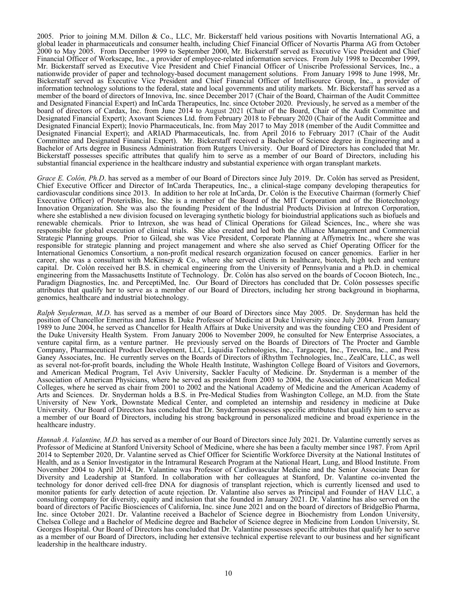2005. Prior to joining M.M. Dillon & Co., LLC, Mr. Bickerstaff held various positions with Novartis International AG, a global leader in pharmaceuticals and consumer health, including Chief Financial Officer of Novartis Pharma AG from October 2000 to May 2005. From December 1999 to September 2000, Mr. Bickerstaff served as Executive Vice President and Chief Financial Officer of Workscape, Inc., a provider of employee-related information services. From July 1998 to December 1999, Mr. Bickerstaff served as Executive Vice President and Chief Financial Officer of Uniscribe Professional Services, Inc., a nationwide provider of paper and technology-based document management solutions. From January 1998 to June 1998, Mr. Bickerstaff served as Executive Vice President and Chief Financial Officer of Intellisource Group, Inc., a provider of information technology solutions to the federal, state and local governments and utility markets. Mr. Bickerstaff has served as a member of the board of directors of Innoviva, Inc. since December 2017 (Chair of the Board, Chairman of the Audit Committee and Designated Financial Expert) and InCarda Therapeutics, Inc. since October 2020. Previously, he served as a member of the board of directors of Cardax, Inc. from June 2014 to August 2021 (Chair of the Board, Chair of the Audit Committee and Designated Financial Expert); Axovant Sciences Ltd. from February 2018 to February 2020 (Chair of the Audit Committee and Designated Financial Expert); Inovio Pharmaceuticals, Inc. from May 2017 to May 2018 (member of the Audit Committee and Designated Financial Expert); and ARIAD Pharmaceuticals, Inc. from April 2016 to February 2017 (Chair of the Audit Committee and Designated Financial Expert). Mr. Bickerstaff received a Bachelor of Science degree in Engineering and a Bachelor of Arts degree in Business Administration from Rutgers University. Our Board of Directors has concluded that Mr. Bickerstaff possesses specific attributes that qualify him to serve as a member of our Board of Directors, including his substantial financial experience in the healthcare industry and substantial experience with organ transplant markets.

*Grace E. Colón, Ph.D.* has served as a member of our Board of Directors since July 2019. Dr. Colón has served as President, Chief Executive Officer and Director of InCarda Therapeutics, Inc., a clinical-stage company developing therapeutics for cardiovascular conditions since 2013. In addition to her role at InCarda, Dr. Colón is the Executive Chairman (formerly Chief Executive Officer) of ProterixBio, Inc. She is a member of the Board of the MIT Corporation and of the Biotechnology Innovation Organization. She was also the founding President of the Industrial Products Division at Intrexon Corporation, where she established a new division focused on leveraging synthetic biology for bioindustrial applications such as biofuels and renewable chemicals. Prior to Intrexon, she was head of Clinical Operations for Gilead Sciences, Inc., where she was responsible for global execution of clinical trials. She also created and led both the Alliance Management and Commercial Strategic Planning groups. Prior to Gilead, she was Vice President, Corporate Planning at Affymetrix Inc., where she was responsible for strategic planning and project management and where she also served as Chief Operating Officer for the International Genomics Consortium, a non-profit medical research organization focused on cancer genomics. Earlier in her career, she was a consultant with McKinsey  $\&$  Co., where she served clients in healthcare, biotech, high tech and venture capital. Dr. Colón received her B.S. in chemical engineering from the University of Pennsylvania and a Ph.D. in chemical engineering from the Massachusetts Institute of Technology. Dr. Colón has also served on the boards of Cocoon Biotech, Inc., Paradigm Diagnostics, Inc. and PerceptiMed, Inc. Our Board of Directors has concluded that Dr. Colón possesses specific attributes that qualify her to serve as a member of our Board of Directors, including her strong background in biopharma, genomics, healthcare and industrial biotechnology.

*Ralph Snyderman, M.D*. has served as a member of our Board of Directors since May 2005. Dr. Snyderman has held the position of Chancellor Emeritus and James B. Duke Professor of Medicine at Duke University since July 2004. From January 1989 to June 2004, he served as Chancellor for Health Affairs at Duke University and was the founding CEO and President of the Duke University Health System. From January 2006 to November 2009, he consulted for New Enterprise Associates, a venture capital firm, as a venture partner. He previously served on the Boards of Directors of The Procter and Gamble Company, Pharmaceutical Product Development, LLC, Liquidia Technologies, Inc., Targacept, Inc., Trevena, Inc., and Press Ganey Associates, Inc. He currently serves on the Boards of Directors of iRhythm Technologies, Inc., ZealCare, LLC, as well as several not-for-profit boards, including the Whole Health Institute, Washington College Board of Visitors and Governors, and American Medical Program, Tel Aviv University, Sackler Faculty of Medicine. Dr. Snyderman is a member of the Association of American Physicians, where he served as president from 2003 to 2004, the Association of American Medical Colleges, where he served as chair from 2001 to 2002 and the National Academy of Medicine and the American Academy of Arts and Sciences. Dr. Snyderman holds a B.S. in Pre-Medical Studies from Washington College, an M.D. from the State University of New York, Downstate Medical Center, and completed an internship and residency in medicine at Duke University. Our Board of Directors has concluded that Dr. Snyderman possesses specific attributes that qualify him to serve as a member of our Board of Directors, including his strong background in personalized medicine and broad experience in the healthcare industry.

*Hannah A. Valantine, M.D.* has served as a member of our Board of Directors since July 2021. Dr. Valantine currently serves as Professor of Medicine at Stanford University School of Medicine, where she has been a faculty member since 1987. From April 2014 to September 2020, Dr. Valantine served as Chief Officer for Scientific Workforce Diversity at the National Institutes of Health, and as a Senior Investigator in the Intramural Research Program at the National Heart, Lung, and Blood Institute. From November 2004 to April 2014, Dr. Valantine was Professor of Cardiovascular Medicine and the Senior Associate Dean for Diversity and Leadership at Stanford. In collaboration with her colleagues at Stanford, Dr. Valantine co-invented the technology for donor derived cell-free DNA for diagnosis of transplant rejection, which is currently licensed and used to monitor patients for early detection of acute rejection. Dr. Valantine also serves as Principal and Founder of HAV LLC, a consulting company for diversity, equity and inclusion that she founded in January 2021. Dr. Valantine has also served on the board of directors of Pacific Biosciences of California, Inc. since June 2021 and on the board of directors of BridgeBio Pharma, Inc. since October 2021. Dr. Valantine received a Bachelor of Science degree in Biochemistry from London University, Chelsea College and a Bachelor of Medicine degree and Bachelor of Science degree in Medicine from London University, St. Georges Hospital. Our Board of Directors has concluded that Dr. Valantine possesses specific attributes that qualify her to serve as a member of our Board of Directors, including her extensive technical expertise relevant to our business and her significant leadership in the healthcare industry.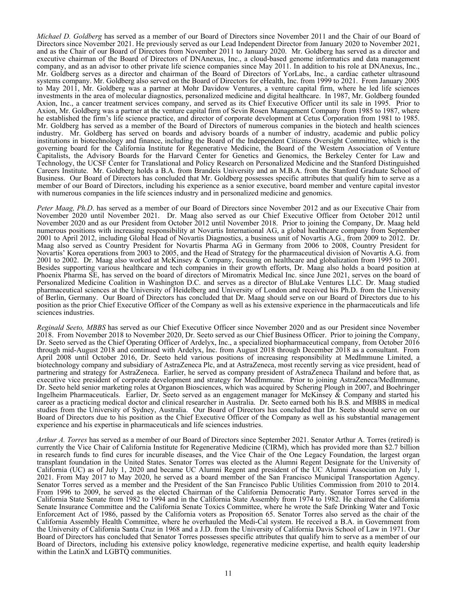*Michael D. Goldberg* has served as a member of our Board of Directors since November 2011 and the Chair of our Board of Directors since November 2021. He previously served as our Lead Independent Director from January 2020 to November 2021, and as the Chair of our Board of Directors from November 2011 to January 2020. Mr. Goldberg has served as a director and executive chairman of the Board of Directors of DNAnexus, Inc., a cloud-based genome informatics and data management company, and as an advisor to other private life science companies since May 2011. In addition to his role at DNAnexus, Inc., Mr. Goldberg serves as a director and chairman of the Board of Directors of YorLabs, Inc., a cardiac catheter ultrasound systems company. Mr. Goldberg also served on the Board of Directors for eHealth, Inc. from 1999 to 2021. From January 2005 to May 2011, Mr. Goldberg was a partner at Mohr Davidow Ventures, a venture capital firm, where he led life sciences investments in the area of molecular diagnostics, personalized medicine and digital healthcare. In 1987, Mr. Goldberg founded Axion, Inc., a cancer treatment services company, and served as its Chief Executive Officer until its sale in 1995. Prior to Axion, Mr. Goldberg was a partner at the venture capital firm of Sevin Rosen Management Company from 1985 to 1987, where he established the firm's life science practice, and director of corporate development at Cetus Corporation from 1981 to 1985. Mr. Goldberg has served as a member of the Board of Directors of numerous companies in the biotech and health sciences industry. Mr. Goldberg has served on boards and advisory boards of a number of industry, academic and public policy institutions in biotechnology and finance, including the Board of the Independent Citizens Oversight Committee, which is the governing board for the California Institute for Regenerative Medicine, the Board of the Western Association of Venture Capitalists, the Advisory Boards for the Harvard Center for Genetics and Genomics, the Berkeley Center for Law and Technology, the UCSF Center for Translational and Policy Research on Personalized Medicine and the Stanford Distinguished Careers Institute. Mr. Goldberg holds a B.A. from Brandeis University and an M.B.A. from the Stanford Graduate School of Business. Our Board of Directors has concluded that Mr. Goldberg possesses specific attributes that qualify him to serve as a member of our Board of Directors, including his experience as a senior executive, board member and venture capital investor with numerous companies in the life sciences industry and in personalized medicine and genomics.

*Peter Maag, Ph.D*. has served as a member of our Board of Directors since November 2012 and as our Executive Chair from November 2020 until November 2021. Dr. Maag also served as our Chief Executive Officer from October 2012 until November 2020 and as our President from October 2012 until November 2018. Prior to joining the Company, Dr. Maag held numerous positions with increasing responsibility at Novartis International AG, a global healthcare company from September 2001 to April 2012, including Global Head of Novartis Diagnostics, a business unit of Novartis A.G., from 2009 to 2012. Dr. Maag also served as Country President for Novartis Pharma AG in Germany from 2006 to 2008, Country President for Novartis' Korea operations from 2003 to 2005, and the Head of Strategy for the pharmaceutical division of Novartis A.G. from 2001 to 2002. Dr. Maag also worked at McKinsey & Company, focusing on healthcare and globalization from 1995 to 2001. Besides supporting various healthcare and tech companies in their growth efforts, Dr. Maag also holds a board position at Phoenix Pharma SE, has served on the board of directors of Miromatrix Medical Inc. since June 2021, serves on the board of Personalized Medicine Coalition in Washington D.C. and serves as a director of BluLake Ventures LLC. Dr. Maag studied pharmaceutical sciences at the University of Heidelberg and University of London and received his Ph.D. from the University of Berlin, Germany. Our Board of Directors has concluded that Dr. Maag should serve on our Board of Directors due to his position as the prior Chief Executive Officer of the Company as well as his extensive experience in the pharmaceuticals and life sciences industries.

*Reginald Seeto, MBBS* has served as our Chief Executive Officer since November 2020 and as our President since November 2018. From November 2018 to November 2020, Dr. Seeto served as our Chief Business Officer. Prior to joining the Company, Dr. Seeto served as the Chief Operating Officer of Ardelyx, Inc., a specialized biopharmaceutical company, from October 2016 through mid-August 2018 and continued with Ardelyx, Inc. from August 2018 through December 2018 as a consultant. From April 2008 until October 2016, Dr. Seeto held various positions of increasing responsibility at MedImmune Limited, a biotechnology company and subsidiary of AstraZeneca Plc, and at AstraZeneca, most recently serving as vice president, head of partnering and strategy for AstraZeneca. Earlier, he served as company president of AstraZeneca Thailand and before that, as executive vice president of corporate development and strategy for MedImmune. Prior to joining AstraZeneca/MedImmune, Dr. Seeto held senior marketing roles at Organon Biosciences, which was acquired by Schering Plough in 2007, and Boehringer Ingelheim Pharmaceuticals. Earlier, Dr. Seeto served as an engagement manager for McKinsey  $\&$  Company and started his career as a practicing medical doctor and clinical researcher in Australia. Dr. Seeto earned both his B.S. and MBBS in medical studies from the University of Sydney, Australia. Our Board of Directors has concluded that Dr. Seeto should serve on our Board of Directors due to his position as the Chief Executive Officer of the Company as well as his substantial management experience and his expertise in pharmaceuticals and life sciences industries.

*Arthur A. Torres* has served as a member of our Board of Directors since September 2021. Senator Arthur A. Torres (retired) is currently the Vice Chair of California Institute for Regenerative Medicine (CIRM), which has provided more than \$2.7 billion in research funds to find cures for incurable diseases, and the Vice Chair of the One Legacy Foundation, the largest organ transplant foundation in the United States. Senator Torres was elected as the Alumni Regent Designate for the University of California (UC) as of July 1, 2020 and became UC Alumni Regent and president of the UC Alumni Association on July 1, 2021. From May 2017 to May 2020, he served as a board member of the San Francisco Municipal Transportation Agency. Senator Torres served as a member and the President of the San Francisco Public Utilities Commission from 2010 to 2014. From 1996 to 2009, he served as the elected Chairman of the California Democratic Party. Senator Torres served in the California State Senate from 1982 to 1994 and in the California State Assembly from 1974 to 1982. He chaired the California Senate Insurance Committee and the California Senate Toxics Committee, where he wrote the Safe Drinking Water and Toxic Enforcement Act of 1986, passed by the California voters as Proposition 65. Senator Torres also served as the chair of the California Assembly Health Committee, where he overhauled the Medi-Cal system. He received a B.A. in Government from the University of California Santa Cruz in 1968 and a J.D. from the University of California Davis School of Law in 1971. Our Board of Directors has concluded that Senator Torres possesses specific attributes that qualify him to serve as a member of our Board of Directors, including his extensive policy knowledge, regenerative medicine expertise, and health equity leadership within the LatinX and LGBTQ communities.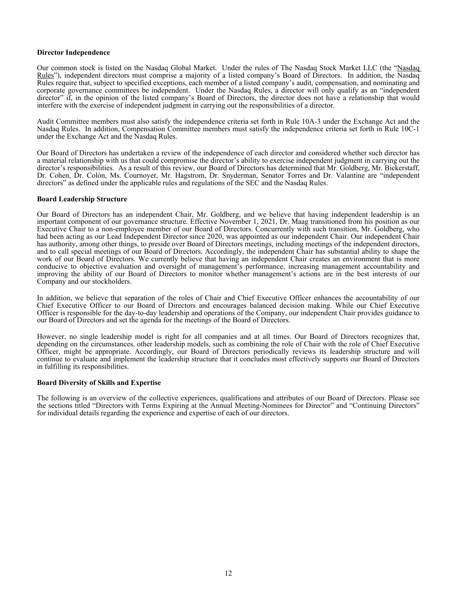#### <span id="page-15-0"></span>**Director Independence**

Our common stock is listed on the Nasdaq Global Market. Under the rules of The Nasdaq Stock Market LLC (the "Nasdaq Rules"), independent directors must comprise a majority of a listed company's Board of Directors. In addition, the Nasdaq Rules require that, subject to specified exceptions, each member of a listed company's audit, compensation, and nominating and corporate governance committees be independent. Under the Nasdaq Rules, a director will only qualify as an "independent director" if, in the opinion of the listed company's Board of Directors, the director does not have a relationship that would interfere with the exercise of independent judgment in carrying out the responsibilities of a director.

Audit Committee members must also satisfy the independence criteria set forth in Rule 10A-3 under the Exchange Act and the Nasdaq Rules. In addition, Compensation Committee members must satisfy the independence criteria set forth in Rule 10C-1 under the Exchange Act and the Nasdaq Rules.

Our Board of Directors has undertaken a review of the independence of each director and considered whether such director has a material relationship with us that could compromise the director's ability to exercise independent judgment in carrying out the director's responsibilities. As a result of this review, our Board of Directors has determined that Mr. Goldberg, Mr. Bickerstaff, Dr. Cohen, Dr. Colón, Ms. Cournoyer, Mr. Hagstrom, Dr. Snyderman, Senator Torres and Dr. Valantine are "independent directors" as defined under the applicable rules and regulations of the SEC and the Nasdaq Rules.

### **Board Leadership Structure**

Our Board of Directors has an independent Chair, Mr. Goldberg, and we believe that having independent leadership is an important component of our governance structure. Effective November 1, 2021, Dr. Maag transitioned from his position as our Executive Chair to a non-employee member of our Board of Directors. Concurrently with such transition, Mr. Goldberg, who had been acting as our Lead Independent Director since 2020, was appointed as our independent Chair. Our independent Chair has authority, among other things, to preside over Board of Directors meetings, including meetings of the independent directors, and to call special meetings of our Board of Directors. Accordingly, the independent Chair has substantial ability to shape the work of our Board of Directors. We currently believe that having an independent Chair creates an environment that is more conducive to objective evaluation and oversight of management's performance, increasing management accountability and improving the ability of our Board of Directors to monitor whether management's actions are in the best interests of our Company and our stockholders.

In addition, we believe that separation of the roles of Chair and Chief Executive Officer enhances the accountability of our Chief Executive Officer to our Board of Directors and encourages balanced decision making. While our Chief Executive Officer is responsible for the day-to-day leadership and operations of the Company, our independent Chair provides guidance to our Board of Directors and set the agenda for the meetings of the Board of Directors.

However, no single leadership model is right for all companies and at all times. Our Board of Directors recognizes that, depending on the circumstances, other leadership models, such as combining the role of Chair with the role of Chief Executive Officer, might be appropriate. Accordingly, our Board of Directors periodically reviews its leadership structure and will continue to evaluate and implement the leadership structure that it concludes most effectively supports our Board of Directors in fulfilling its responsibilities.

### **Board Diversity of Skills and Expertise**

The following is an overview of the collective experiences, qualifications and attributes of our Board of Directors. Please see the sections titled "Directors with Terms Expiring at the Annual Meeting-Nominees for Director" and "Continuing Directors" for individual details regarding the experience and expertise of each of our directors.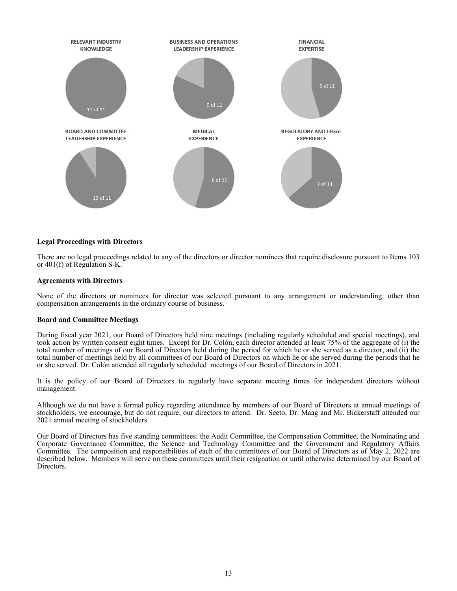<span id="page-16-0"></span>

### **Legal Proceedings with Directors**

There are no legal proceedings related to any of the directors or director nominees that require disclosure pursuant to Items 103 or 401(f) of Regulation S-K.

### **Agreements with Directors**

None of the directors or nominees for director was selected pursuant to any arrangement or understanding, other than compensation arrangements in the ordinary course of business.

#### **Board and Committee Meetings**

During fiscal year 2021, our Board of Directors held nine meetings (including regularly scheduled and special meetings), and took action by written consent eight times. Except for Dr. Colón, each director attended at least 75% of the aggregate of (i) the total number of meetings of our Board of Directors held during the period for which he or she served as a director, and (ii) the total number of meetings held by all committees of our Board of Directors on which he or she served during the periods that he or she served. Dr. Colón attended all regularly scheduled meetings of our Board of Directors in 2021.

It is the policy of our Board of Directors to regularly have separate meeting times for independent directors without management.

Although we do not have a formal policy regarding attendance by members of our Board of Directors at annual meetings of stockholders, we encourage, but do not require, our directors to attend. Dr. Seeto, Dr. Maag and Mr. Bickerstaff attended our 2021 annual meeting of stockholders.

Our Board of Directors has five standing committees: the Audit Committee, the Compensation Committee, the Nominating and Corporate Governance Committee, the Science and Technology Committee and the Government and Regulatory Affairs Committee. The composition and responsibilities of each of the committees of our Board of Directors as of May 2, 2022 are described below. Members will serve on these committees until their resignation or until otherwise determined by our Board of Directors.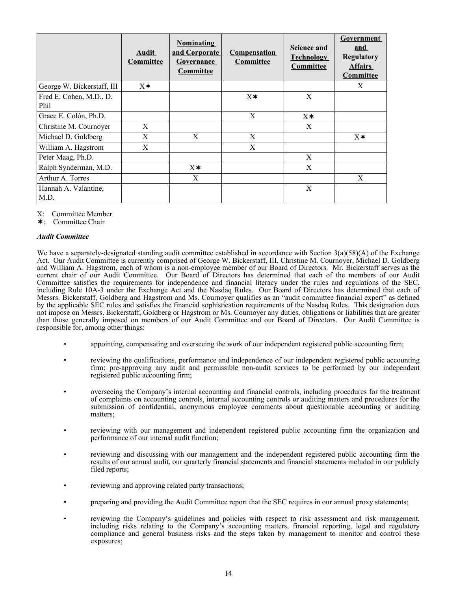|                            | Audit<br><b>Committee</b> | <b>Nominating</b><br>and Corporate<br>Governance<br>Committee | <b>Compensation</b><br>Committee | <b>Science and</b><br><b>Technology</b><br>Committee | Government<br>and<br><b>Regulatory</b><br><b>Affairs</b><br>Committee |
|----------------------------|---------------------------|---------------------------------------------------------------|----------------------------------|------------------------------------------------------|-----------------------------------------------------------------------|
| George W. Bickerstaff, III | $X^*$                     |                                                               |                                  |                                                      | X                                                                     |
| Fred E. Cohen, M.D., D.    |                           |                                                               | $X^*$                            | X                                                    |                                                                       |
| Phil                       |                           |                                                               |                                  |                                                      |                                                                       |
| Grace E. Colón, Ph.D.      |                           |                                                               | X                                | $X^*$                                                |                                                                       |
| Christine M. Cournoyer     | X                         |                                                               |                                  | X                                                    |                                                                       |
| Michael D. Goldberg        | X                         | X                                                             | X                                |                                                      | $X^*$                                                                 |
| William A. Hagstrom        | X                         |                                                               | X                                |                                                      |                                                                       |
| Peter Maag, Ph.D.          |                           |                                                               |                                  | X                                                    |                                                                       |
| Ralph Synderman, M.D.      |                           | $X^*$                                                         |                                  | X                                                    |                                                                       |
| Arthur A. Torres           |                           | X                                                             |                                  |                                                      | X                                                                     |
| Hannah A. Valantine,       |                           |                                                               |                                  | X                                                    |                                                                       |
| M.D.                       |                           |                                                               |                                  |                                                      |                                                                       |

X: Committee Member

¬: Committee Chair

# *Audit Committee*

We have a separately-designated standing audit committee established in accordance with Section 3(a)(58)(A) of the Exchange Act. Our Audit Committee is currently comprised of George W. Bickerstaff, III, Christine M. Cournoyer, Michael D. Goldberg and William A. Hagstrom, each of whom is a non-employee member of our Board of Directors. Mr. Bickerstaff serves as the current chair of our Audit Committee. Our Board of Directors has determined that each of the members of our Audit Committee satisfies the requirements for independence and financial literacy under the rules and regulations of the SEC, including Rule 10A-3 under the Exchange Act and the Nasdaq Rules. Our Board of Directors has determined that each of Messrs. Bickerstaff, Goldberg and Hagstrom and Ms. Cournoyer qualifies as an "audit committee financial expert" as defined by the applicable SEC rules and satisfies the financial sophistication requirements of the Nasdaq Rules. This designation does not impose on Messrs. Bickerstaff, Goldberg or Hagstrom or Ms. Cournoyer any duties, obligations or liabilities that are greater than those generally imposed on members of our Audit Committee and our Board of Directors. Our Audit Committee is responsible for, among other things:

- appointing, compensating and overseeing the work of our independent registered public accounting firm;
- reviewing the qualifications, performance and independence of our independent registered public accounting firm; pre-approving any audit and permissible non-audit services to be performed by our independent registered public accounting firm;
- overseeing the Company's internal accounting and financial controls, including procedures for the treatment of complaints on accounting controls, internal accounting controls or auditing matters and procedures for the submission of confidential, anonymous employee comments about questionable accounting or auditing matters;
- reviewing with our management and independent registered public accounting firm the organization and performance of our internal audit function;
- reviewing and discussing with our management and the independent registered public accounting firm the results of our annual audit, our quarterly financial statements and financial statements included in our publicly filed reports;
- reviewing and approving related party transactions;
- preparing and providing the Audit Committee report that the SEC requires in our annual proxy statements;
- reviewing the Company's guidelines and policies with respect to risk assessment and risk management, including risks relating to the Company's accounting matters, financial reporting, legal and regulatory compliance and general business risks and the steps taken by management to monitor and control these exposures;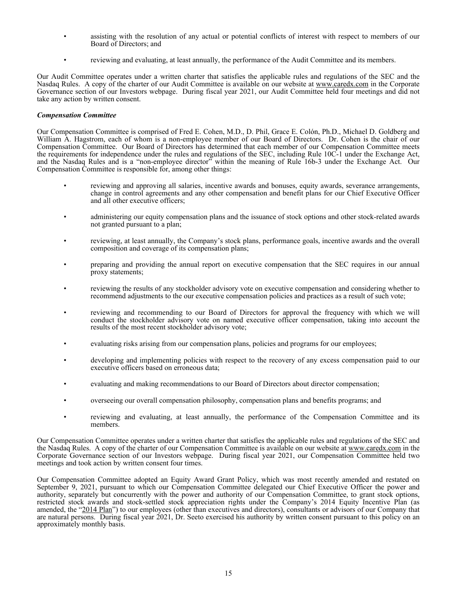- assisting with the resolution of any actual or potential conflicts of interest with respect to members of our Board of Directors; and
- reviewing and evaluating, at least annually, the performance of the Audit Committee and its members.

Our Audit Committee operates under a written charter that satisfies the applicable rules and regulations of the SEC and the Nasdaq Rules. A copy of the charter of our Audit Committee is available on our website at www.caredx.com in the Corporate Governance section of our Investors webpage. During fiscal year 2021, our Audit Committee held four meetings and did not take any action by written consent.

### *Compensation Committee*

Our Compensation Committee is comprised of Fred E. Cohen, M.D., D. Phil, Grace E. Colón, Ph.D., Michael D. Goldberg and William A. Hagstrom, each of whom is a non-employee member of our Board of Directors. Dr. Cohen is the chair of our Compensation Committee. Our Board of Directors has determined that each member of our Compensation Committee meets the requirements for independence under the rules and regulations of the SEC, including Rule 10C-1 under the Exchange Act, and the Nasdaq Rules and is a "non-employee director" within the meaning of Rule 16b-3 under the Exchange Act. Our Compensation Committee is responsible for, among other things:

- reviewing and approving all salaries, incentive awards and bonuses, equity awards, severance arrangements, change in control agreements and any other compensation and benefit plans for our Chief Executive Officer and all other executive officers;
- administering our equity compensation plans and the issuance of stock options and other stock-related awards not granted pursuant to a plan;
- reviewing, at least annually, the Company's stock plans, performance goals, incentive awards and the overall composition and coverage of its compensation plans;
- preparing and providing the annual report on executive compensation that the SEC requires in our annual proxy statements;
- reviewing the results of any stockholder advisory vote on executive compensation and considering whether to recommend adjustments to the our executive compensation policies and practices as a result of such vote;
- reviewing and recommending to our Board of Directors for approval the frequency with which we will conduct the stockholder advisory vote on named executive officer compensation, taking into account the results of the most recent stockholder advisory vote;
- evaluating risks arising from our compensation plans, policies and programs for our employees;
- developing and implementing policies with respect to the recovery of any excess compensation paid to our executive officers based on erroneous data;
- evaluating and making recommendations to our Board of Directors about director compensation;
- overseeing our overall compensation philosophy, compensation plans and benefits programs; and
- reviewing and evaluating, at least annually, the performance of the Compensation Committee and its members.

Our Compensation Committee operates under a written charter that satisfies the applicable rules and regulations of the SEC and the Nasdaq Rules. A copy of the charter of our Compensation Committee is available on our website at www.caredx.com in the Corporate Governance section of our Investors webpage. During fiscal year 2021, our Compensation Committee held two meetings and took action by written consent four times.

Our Compensation Committee adopted an Equity Award Grant Policy, which was most recently amended and restated on September 9, 2021, pursuant to which our Compensation Committee delegated our Chief Executive Officer the power and authority, separately but concurrently with the power and authority of our Compensation Committee, to grant stock options, restricted stock awards and stock-settled stock appreciation rights under the Company's 2014 Equity Incentive Plan (as amended, the "2014 Plan") to our employees (other than executives and directors), consultants or advisors of our Company that are natural persons. During fiscal year 2021, Dr. Seeto exercised his authority by written consent pursuant to this policy on an approximately monthly basis.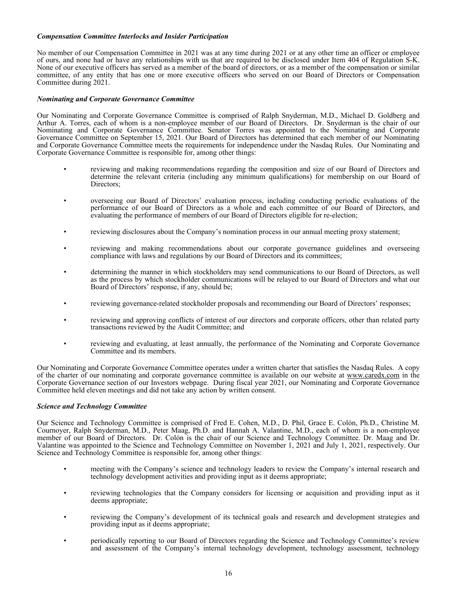### *Compensation Committee Interlocks and Insider Participation*

No member of our Compensation Committee in 2021 was at any time during 2021 or at any other time an officer or employee of ours, and none had or have any relationships with us that are required to be disclosed under Item 404 of Regulation S-K. None of our executive officers has served as a member of the board of directors, or as a member of the compensation or similar committee, of any entity that has one or more executive officers who served on our Board of Directors or Compensation Committee during 2021.

# *Nominating and Corporate Governance Committee*

Our Nominating and Corporate Governance Committee is comprised of Ralph Snyderman, M.D., Michael D. Goldberg and Arthur A. Torres, each of whom is a non-employee member of our Board of Directors. Dr. Snyderman is the chair of our Nominating and Corporate Governance Committee. Senator Torres was appointed to the Nominating and Corporate Governance Committee on September 15, 2021. Our Board of Directors has determined that each member of our Nominating and Corporate Governance Committee meets the requirements for independence under the Nasdaq Rules. Our Nominating and Corporate Governance Committee is responsible for, among other things:

- reviewing and making recommendations regarding the composition and size of our Board of Directors and determine the relevant criteria (including any minimum qualifications) for membership on our Board of Directors;
- overseeing our Board of Directors' evaluation process, including conducting periodic evaluations of the performance of our Board of Directors as a whole and each committee of our Board of Directors, and evaluating the performance of members of our Board of Directors eligible for re-election;
- reviewing disclosures about the Company's nomination process in our annual meeting proxy statement;
- reviewing and making recommendations about our corporate governance guidelines and overseeing compliance with laws and regulations by our Board of Directors and its committees;
- determining the manner in which stockholders may send communications to our Board of Directors, as well as the process by which stockholder communications will be relayed to our Board of Directors and what our Board of Directors' response, if any, should be;
- reviewing governance-related stockholder proposals and recommending our Board of Directors' responses;
- reviewing and approving conflicts of interest of our directors and corporate officers, other than related party transactions reviewed by the Audit Committee; and
- reviewing and evaluating, at least annually, the performance of the Nominating and Corporate Governance Committee and its members.

Our Nominating and Corporate Governance Committee operates under a written charter that satisfies the Nasdaq Rules. A copy of the charter of our nominating and corporate governance committee is available on our website at www.caredx.com in the Corporate Governance section of our Investors webpage. During fiscal year 2021, our Nominating and Corporate Governance Committee held eleven meetings and did not take any action by written consent.

### *Science and Technology Committee*

Our Science and Technology Committee is comprised of Fred E. Cohen, M.D., D. Phil, Grace E. Colón, Ph.D., Christine M. Cournoyer, Ralph Snyderman, M.D., Peter Maag, Ph.D. and Hannah A. Valantine, M.D., each of whom is a non-employee member of our Board of Directors. Dr. Colón is the chair of our Science and Technology Committee. Dr. Maag and Dr. Valantine was appointed to the Science and Technology Committee on November 1, 2021 and July 1, 2021, respectively. Our Science and Technology Committee is responsible for, among other things:

- meeting with the Company's science and technology leaders to review the Company's internal research and technology development activities and providing input as it deems appropriate;
- reviewing technologies that the Company considers for licensing or acquisition and providing input as it deems appropriate;
- reviewing the Company's development of its technical goals and research and development strategies and providing input as it deems appropriate;
- periodically reporting to our Board of Directors regarding the Science and Technology Committee's review and assessment of the Company's internal technology development, technology assessment, technology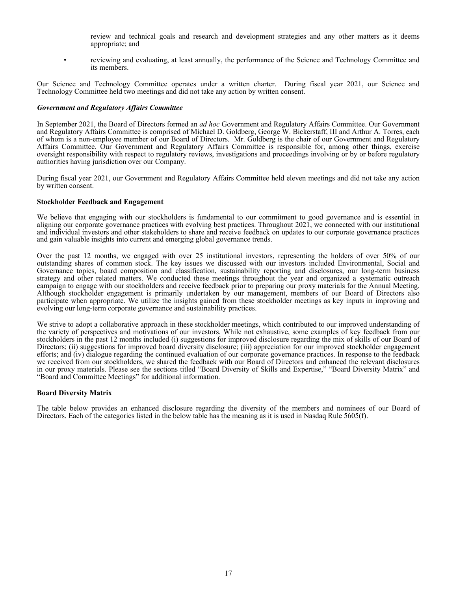- review and technical goals and research and development strategies and any other matters as it deems appropriate; and
- <span id="page-20-0"></span>• reviewing and evaluating, at least annually, the performance of the Science and Technology Committee and its members.

Our Science and Technology Committee operates under a written charter. During fiscal year 2021, our Science and Technology Committee held two meetings and did not take any action by written consent.

#### *Government and Regulatory Affairs Committee*

In September 2021, the Board of Directors formed an *ad hoc* Government and Regulatory Affairs Committee. Our Government and Regulatory Affairs Committee is comprised of Michael D. Goldberg, George W. Bickerstaff, III and Arthur A. Torres, each of whom is a non-employee member of our Board of Directors. Mr. Goldberg is the chair of our Government and Regulatory Affairs Committee. Our Government and Regulatory Affairs Committee is responsible for, among other things, exercise oversight responsibility with respect to regulatory reviews, investigations and proceedings involving or by or before regulatory authorities having jurisdiction over our Company.

During fiscal year 2021, our Government and Regulatory Affairs Committee held eleven meetings and did not take any action by written consent.

#### **Stockholder Feedback and Engagement**

We believe that engaging with our stockholders is fundamental to our commitment to good governance and is essential in aligning our corporate governance practices with evolving best practices. Throughout 2021, we connected with our institutional and individual investors and other stakeholders to share and receive feedback on updates to our corporate governance practices and gain valuable insights into current and emerging global governance trends.

Over the past 12 months, we engaged with over 25 institutional investors, representing the holders of over 50% of our outstanding shares of common stock. The key issues we discussed with our investors included Environmental, Social and Governance topics, board composition and classification, sustainability reporting and disclosures, our long-term business strategy and other related matters. We conducted these meetings throughout the year and organized a systematic outreach campaign to engage with our stockholders and receive feedback prior to preparing our proxy materials for the Annual Meeting. Although stockholder engagement is primarily undertaken by our management, members of our Board of Directors also participate when appropriate. We utilize the insights gained from these stockholder meetings as key inputs in improving and evolving our long-term corporate governance and sustainability practices.

We strive to adopt a collaborative approach in these stockholder meetings, which contributed to our improved understanding of the variety of perspectives and motivations of our investors. While not exhaustive, some examples of key feedback from our stockholders in the past 12 months included (i) suggestions for improved disclosure regarding the mix of skills of our Board of Directors; (ii) suggestions for improved board diversity disclosure; (iii) appreciation for our improved stockholder engagement efforts; and (iv) dialogue regarding the continued evaluation of our corporate governance practices. In response to the feedback we received from our stockholders, we shared the feedback with our Board of Directors and enhanced the relevant disclosures in our proxy materials. Please see the sections titled "Board Diversity of Skills and Expertise," "Board Diversity Matrix" and "Board and Committee Meetings" for additional information.

### **Board Diversity Matrix**

The table below provides an enhanced disclosure regarding the diversity of the members and nominees of our Board of Directors. Each of the categories listed in the below table has the meaning as it is used in Nasdaq Rule 5605(f).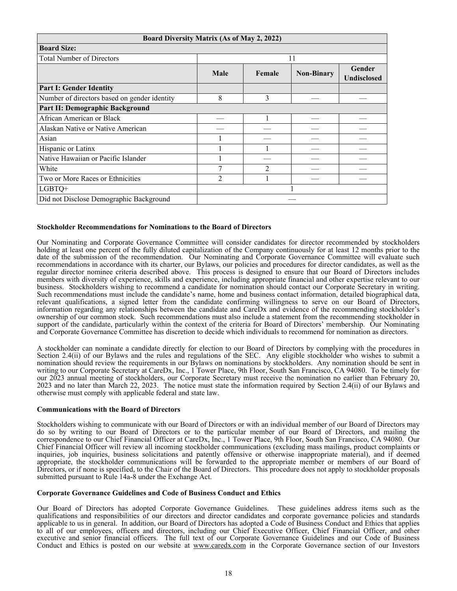<span id="page-21-0"></span>

| Board Diversity Matrix (As of May 2, 2022)   |                |               |                   |                              |
|----------------------------------------------|----------------|---------------|-------------------|------------------------------|
| <b>Board Size:</b>                           |                |               |                   |                              |
| <b>Total Number of Directors</b>             |                |               | 11                |                              |
|                                              | Male           | Female        | <b>Non-Binary</b> | Gender<br><b>Undisclosed</b> |
| <b>Part I: Gender Identity</b>               |                |               |                   |                              |
| Number of directors based on gender identity | 8              | 3             |                   |                              |
| Part II: Demographic Background              |                |               |                   |                              |
| African American or Black                    |                |               |                   |                              |
| Alaskan Native or Native American            |                |               |                   |                              |
| Asian                                        |                |               |                   |                              |
| Hispanic or Latinx                           |                |               |                   |                              |
| Native Hawaiian or Pacific Islander          |                |               |                   |                              |
| White                                        | 7              | $\mathcal{D}$ |                   |                              |
| Two or More Races or Ethnicities             | $\overline{c}$ |               |                   |                              |
| LGBTQ+                                       |                |               |                   |                              |
| Did not Disclose Demographic Background      |                |               |                   |                              |

# **Stockholder Recommendations for Nominations to the Board of Directors**

Our Nominating and Corporate Governance Committee will consider candidates for director recommended by stockholders holding at least one percent of the fully diluted capitalization of the Company continuously for at least 12 months prior to the date of the submission of the recommendation. Our Nominating and Corporate Governance Committee will evaluate such recommendations in accordance with its charter, our Bylaws, our policies and procedures for director candidates, as well as the regular director nominee criteria described above. This process is designed to ensure that our Board of Directors includes members with diversity of experience, skills and experience, including appropriate financial and other expertise relevant to our business. Stockholders wishing to recommend a candidate for nomination should contact our Corporate Secretary in writing. Such recommendations must include the candidate's name, home and business contact information, detailed biographical data, relevant qualifications, a signed letter from the candidate confirming willingness to serve on our Board of Directors, information regarding any relationships between the candidate and CareDx and evidence of the recommending stockholder's ownership of our common stock. Such recommendations must also include a statement from the recommending stockholder in support of the candidate, particularly within the context of the criteria for Board of Directors' membership. Our Nominating and Corporate Governance Committee has discretion to decide which individuals to recommend for nomination as directors.

A stockholder can nominate a candidate directly for election to our Board of Directors by complying with the procedures in Section 2.4(ii) of our Bylaws and the rules and regulations of the SEC. Any eligible stockholder who wishes to submit a nomination should review the requirements in our Bylaws on nominations by stockholders. Any nomination should be sent in writing to our Corporate Secretary at CareDx, Inc., 1 Tower Place, 9th Floor, South San Francisco, CA 94080. To be timely for our 2023 annual meeting of stockholders, our Corporate Secretary must receive the nomination no earlier than February 20, 2023 and no later than March 22, 2023. The notice must state the information required by Section 2.4(ii) of our Bylaws and otherwise must comply with applicable federal and state law.

### **Communications with the Board of Directors**

Stockholders wishing to communicate with our Board of Directors or with an individual member of our Board of Directors may do so by writing to our Board of Directors or to the particular member of our Board of Directors, and mailing the correspondence to our Chief Financial Officer at CareDx, Inc., 1 Tower Place, 9th Floor, South San Francisco, CA 94080. Our Chief Financial Officer will review all incoming stockholder communications (excluding mass mailings, product complaints or inquiries, job inquiries, business solicitations and patently offensive or otherwise inappropriate material), and if deemed appropriate, the stockholder communications will be forwarded to the appropriate member or members of our Board of Directors, or if none is specified, to the Chair of the Board of Directors. This procedure does not apply to stockholder proposals submitted pursuant to Rule 14a-8 under the Exchange Act.

### **Corporate Governance Guidelines and Code of Business Conduct and Ethics**

Our Board of Directors has adopted Corporate Governance Guidelines. These guidelines address items such as the qualifications and responsibilities of our directors and director candidates and corporate governance policies and standards applicable to us in general. In addition, our Board of Directors has adopted a Code of Business Conduct and Ethics that applies to all of our employees, officers and directors, including our Chief Executive Officer, Chief Financial Officer, and other executive and senior financial officers. The full text of our Corporate Governance Guidelines and our Code of Business Conduct and Ethics is posted on our website at www.caredx.com in the Corporate Governance section of our Investors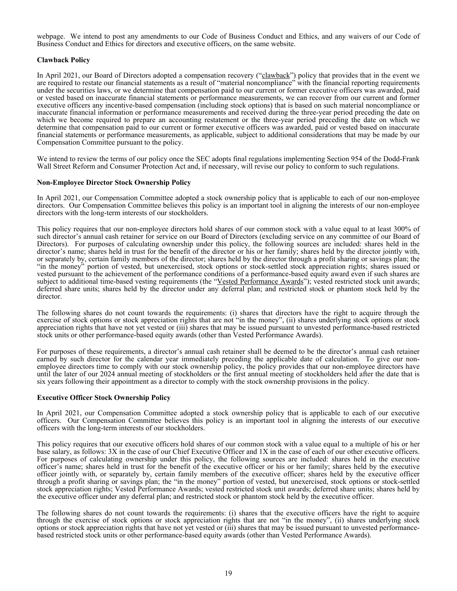<span id="page-22-0"></span>webpage. We intend to post any amendments to our Code of Business Conduct and Ethics, and any waivers of our Code of Business Conduct and Ethics for directors and executive officers, on the same website.

# **Clawback Policy**

In April 2021, our Board of Directors adopted a compensation recovery ("clawback") policy that provides that in the event we are required to restate our financial statements as a result of "material noncompliance" with the financial reporting requirements under the securities laws, or we determine that compensation paid to our current or former executive officers was awarded, paid or vested based on inaccurate financial statements or performance measurements, we can recover from our current and former executive officers any incentive-based compensation (including stock options) that is based on such material noncompliance or inaccurate financial information or performance measurements and received during the three-year period preceding the date on which we become required to prepare an accounting restatement or the three-year period preceding the date on which we determine that compensation paid to our current or former executive officers was awarded, paid or vested based on inaccurate financial statements or performance measurements, as applicable, subject to additional considerations that may be made by our Compensation Committee pursuant to the policy.

We intend to review the terms of our policy once the SEC adopts final regulations implementing Section 954 of the Dodd-Frank Wall Street Reform and Consumer Protection Act and, if necessary, will revise our policy to conform to such regulations.

### **Non-Employee Director Stock Ownership Policy**

In April 2021, our Compensation Committee adopted a stock ownership policy that is applicable to each of our non-employee directors. Our Compensation Committee believes this policy is an important tool in aligning the interests of our non-employee directors with the long-term interests of our stockholders.

This policy requires that our non-employee directors hold shares of our common stock with a value equal to at least 300% of such director's annual cash retainer for service on our Board of Directors (excluding service on any committee of our Board of Directors). For purposes of calculating ownership under this policy, the following sources are included: shares held in the director's name; shares held in trust for the benefit of the director or his or her family; shares held by the director jointly with, or separately by, certain family members of the director; shares held by the director through a profit sharing or savings plan; the "in the money" portion of vested, but unexercised, stock options or stock-settled stock appreciation rights; shares issued or vested pursuant to the achievement of the performance conditions of a performance-based equity award even if such shares are subject to additional time-based vesting requirements (the "Vested Performance Awards"); vested restricted stock unit awards; deferred share units; shares held by the director under any deferral plan; and restricted stock or phantom stock held by the director.

The following shares do not count towards the requirements: (i) shares that directors have the right to acquire through the exercise of stock options or stock appreciation rights that are not "in the money", (ii) shares underlying stock options or stock appreciation rights that have not yet vested or (iii) shares that may be issued pursuant to unvested performance-based restricted stock units or other performance-based equity awards (other than Vested Performance Awards).

For purposes of these requirements, a director's annual cash retainer shall be deemed to be the director's annual cash retainer earned by such director for the calendar year immediately preceding the applicable date of calculation. To give our nonemployee directors time to comply with our stock ownership policy, the policy provides that our non-employee directors have until the later of our 2024 annual meeting of stockholders or the first annual meeting of stockholders held after the date that is six years following their appointment as a director to comply with the stock ownership provisions in the policy.

### **Executive Officer Stock Ownership Policy**

In April 2021, our Compensation Committee adopted a stock ownership policy that is applicable to each of our executive officers. Our Compensation Committee believes this policy is an important tool in aligning the interests of our executive officers with the long-term interests of our stockholders.

This policy requires that our executive officers hold shares of our common stock with a value equal to a multiple of his or her base salary, as follows: 3X in the case of our Chief Executive Officer and 1X in the case of each of our other executive officers. For purposes of calculating ownership under this policy, the following sources are included: shares held in the executive officer's name; shares held in trust for the benefit of the executive officer or his or her family; shares held by the executive officer jointly with, or separately by, certain family members of the executive officer; shares held by the executive officer through a profit sharing or savings plan; the "in the money" portion of vested, but unexercised, stock options or stock-settled stock appreciation rights; Vested Performance Awards; vested restricted stock unit awards; deferred share units; shares held by the executive officer under any deferral plan; and restricted stock or phantom stock held by the executive officer.

The following shares do not count towards the requirements: (i) shares that the executive officers have the right to acquire through the exercise of stock options or stock appreciation rights that are not "in the money", (ii) shares underlying stock options or stock appreciation rights that have not yet vested or (iii) shares that may be issued pursuant to unvested performancebased restricted stock units or other performance-based equity awards (other than Vested Performance Awards).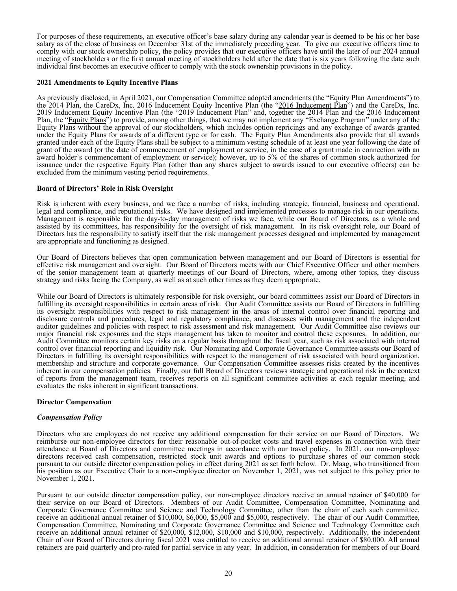<span id="page-23-0"></span>For purposes of these requirements, an executive officer's base salary during any calendar year is deemed to be his or her base salary as of the close of business on December 31st of the immediately preceding year. To give our executive officers time to comply with our stock ownership policy, the policy provides that our executive officers have until the later of our 2024 annual meeting of stockholders or the first annual meeting of stockholders held after the date that is six years following the date such individual first becomes an executive officer to comply with the stock ownership provisions in the policy.

#### **2021 Amendments to Equity Incentive Plans**

As previously disclosed, in April 2021, our Compensation Committee adopted amendments (the "Equity Plan Amendments") to the 2014 Plan, the CareDx, Inc. 2016 Inducement Equity Incentive Plan (the "2016 Inducement Plan") and the CareDx, Inc. 2019 Inducement Equity Incentive Plan (the "2019 Inducement Plan" and, together the 2014 Plan and the 2016 Inducement Plan, the "Equity Plans") to provide, among other things, that we may not implement any "Exchange Program" under any of the Equity Plans without the approval of our stockholders, which includes option repricings and any exchange of awards granted under the Equity Plans for awards of a different type or for cash. The Equity Plan Amendments also provide that all awards granted under each of the Equity Plans shall be subject to a minimum vesting schedule of at least one year following the date of grant of the award (or the date of commencement of employment or service, in the case of a grant made in connection with an award holder's commencement of employment or service); however, up to 5% of the shares of common stock authorized for issuance under the respective Equity Plan (other than any shares subject to awards issued to our executive officers) can be excluded from the minimum vesting period requirements.

### **Board of Directors' Role in Risk Oversight**

Risk is inherent with every business, and we face a number of risks, including strategic, financial, business and operational, legal and compliance, and reputational risks. We have designed and implemented processes to manage risk in our operations. Management is responsible for the day-to-day management of risks we face, while our Board of Directors, as a whole and assisted by its committees, has responsibility for the oversight of risk management. In its risk oversight role, our Board of Directors has the responsibility to satisfy itself that the risk management processes designed and implemented by management are appropriate and functioning as designed.

Our Board of Directors believes that open communication between management and our Board of Directors is essential for effective risk management and oversight. Our Board of Directors meets with our Chief Executive Officer and other members of the senior management team at quarterly meetings of our Board of Directors, where, among other topics, they discuss strategy and risks facing the Company, as well as at such other times as they deem appropriate.

While our Board of Directors is ultimately responsible for risk oversight, our board committees assist our Board of Directors in fulfilling its oversight responsibilities in certain areas of risk. Our Audit Committee assists our Board of Directors in fulfilling its oversight responsibilities with respect to risk management in the areas of internal control over financial reporting and disclosure controls and procedures, legal and regulatory compliance, and discusses with management and the independent auditor guidelines and policies with respect to risk assessment and risk management. Our Audit Committee also reviews our major financial risk exposures and the steps management has taken to monitor and control these exposures. In addition, our Audit Committee monitors certain key risks on a regular basis throughout the fiscal year, such as risk associated with internal control over financial reporting and liquidity risk. Our Nominating and Corporate Governance Committee assists our Board of Directors in fulfilling its oversight responsibilities with respect to the management of risk associated with board organization, membership and structure and corporate governance. Our Compensation Committee assesses risks created by the incentives inherent in our compensation policies. Finally, our full Board of Directors reviews strategic and operational risk in the context of reports from the management team, receives reports on all significant committee activities at each regular meeting, and evaluates the risks inherent in significant transactions.

### **Director Compensation**

### *Compensation Policy*

Directors who are employees do not receive any additional compensation for their service on our Board of Directors. We reimburse our non-employee directors for their reasonable out-of-pocket costs and travel expenses in connection with their attendance at Board of Directors and committee meetings in accordance with our travel policy. In 2021, our non-employee directors received cash compensation, restricted stock unit awards and options to purchase shares of our common stock pursuant to our outside director compensation policy in effect during 2021 as set forth below. Dr. Maag, who transitioned from his position as our Executive Chair to a non-employee director on November 1, 2021, was not subject to this policy prior to November 1, 2021.

Pursuant to our outside director compensation policy, our non-employee directors receive an annual retainer of \$40,000 for their service on our Board of Directors. Members of our Audit Committee, Compensation Committee, Nominating and Corporate Governance Committee and Science and Technology Committee, other than the chair of each such committee, receive an additional annual retainer of \$10,000, \$6,000, \$5,000 and \$5,000, respectively. The chair of our Audit Committee, Compensation Committee, Nominating and Corporate Governance Committee and Science and Technology Committee each receive an additional annual retainer of \$20,000, \$12,000, \$10,000 and \$10,000, respectively. Additionally, the independent Chair of our Board of Directors during fiscal 2021 was entitled to receive an additional annual retainer of \$80,000. All annual retainers are paid quarterly and pro-rated for partial service in any year. In addition, in consideration for members of our Board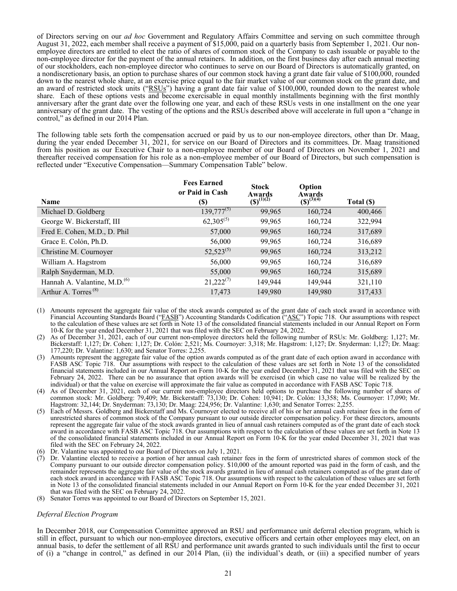of Directors serving on our *ad hoc* Government and Regulatory Affairs Committee and serving on such committee through August 31, 2022, each member shall receive a payment of \$15,000, paid on a quarterly basis from September 1, 2021. Our nonemployee directors are entitled to elect the ratio of shares of common stock of the Company to cash issuable or payable to the non-employee director for the payment of the annual retainers. In addition, on the first business day after each annual meeting of our stockholders, each non-employee director who continues to serve on our Board of Directors is automatically granted, on a nondiscretionary basis, an option to purchase shares of our common stock having a grant date fair value of \$100,000, rounded down to the nearest whole share, at an exercise price equal to the fair market value of our common stock on the grant date, and an award of restricted stock units ("RSUs") having a grant date fair value of \$100,000, rounded down to the nearest whole share. Each of these options vests and become exercisable in equal monthly installments beginning with the first monthly anniversary after the grant date over the following one year, and each of these RSUs vests in one installment on the one year anniversary of the grant date. The vesting of the options and the RSUs described above will accelerate in full upon a "change in control," as defined in our 2014 Plan.

The following table sets forth the compensation accrued or paid by us to our non-employee directors, other than Dr. Maag, during the year ended December 31, 2021, for service on our Board of Directors and its committees. Dr. Maag transitioned from his position as our Executive Chair to a non-employee member of our Board of Directors on November 1, 2021 and thereafter received compensation for his role as a non-employee member of our Board of Directors, but such compensation is reflected under "Executive Compensation—Summary Compensation Table" below.

|                                          | <b>Fees Earned</b><br>or Paid in Cash | <b>Stock</b><br>Awards | Option<br>Awards |            |
|------------------------------------------|---------------------------------------|------------------------|------------------|------------|
| <b>Name</b>                              | <b>(\$)</b>                           | $(5)^{(1)(2)}$         | $(S)^{(3)(4)}$   | Total (\$) |
| Michael D. Goldberg                      | $139,777^{(5)}$                       | 99,965                 | 160,724          | 400,466    |
| George W. Bickerstaff, III               | $62,305^{(5)}$                        | 99,965                 | 160,724          | 322,994    |
| Fred E. Cohen, M.D., D. Phil             | 57,000                                | 99,965                 | 160,724          | 317,689    |
| Grace E. Colón, Ph.D.                    | 56,000                                | 99,965                 | 160,724          | 316,689    |
| Christine M. Cournoyer                   | $52,523^{(5)}$                        | 99,965                 | 160,724          | 313,212    |
| William A. Hagstrom                      | 56,000                                | 99,965                 | 160,724          | 316,689    |
| Ralph Snyderman, M.D.                    | 55,000                                | 99,965                 | 160,724          | 315,689    |
| Hannah A. Valantine, M.D. <sup>(6)</sup> | $21,222^{(7)}$                        | 149,944                | 149,944          | 321,110    |
| Arthur A. Torres <sup>(8)</sup>          | 17,473                                | 149,980                | 149,980          | 317,433    |

- (1) Amounts represent the aggregate fair value of the stock awards computed as of the grant date of each stock award in accordance with Financial Accounting Standards Board ("FASB") Accounting Standards Codification ("ASC") Topic 718. Our assumptions with respect to the calculation of these values are set forth in Note 13 of the consolidated financial statements included in our Annual Report on Form 10-K for the year ended December 31, 2021 that was filed with the SEC on February 24, 2022.
- (2) As of December 31, 2021, each of our current non-employee directors held the following number of RSUs: Mr. Goldberg: 1,127; Mr. Bickerstaff: 1,127; Dr. Cohen: 1,127; Dr. Colón: 2,521; Ms. Cournoyer: 3,318; Mr. Hagstrom: 1,127; Dr. Snyderman: 1,127; Dr. Maag: 177,220; Dr. Valantine: 1,630; and Senator Torres: 2,255.
- (3) Amounts represent the aggregate fair value of the option awards computed as of the grant date of each option award in accordance with FASB ASC Topic 718. Our assumptions with respect to the calculation of these values are set forth in Note 13 of the consolidated financial statements included in our Annual Report on Form 10-K for the year ended December 31, 2021 that was filed with the SEC on February 24, 2022. There can be no assurance that option awards will be exercised (in which case no value will be realized by the individual) or that the value on exercise will approximate the fair value as computed in accordance with FASB ASC Topic 718.
- (4) As of December 31, 2021, each of our current non-employee directors held options to purchase the following number of shares of common stock: Mr. Goldberg: 79,409; Mr. Bickerstaff: 73,130; Dr. Cohen: 10,941; Dr. Colón: 13,358; Ms. Cournoyer: 17,090; Mr. Hagstrom: 32,144; Dr. Snyderman: 73,130; Dr. Maag: 224,956; Dr. Valantine: 1,630; and Senator Torres: 2,255.
- (5) Each of Messrs. Goldberg and Bickerstaff and Ms. Cournoyer elected to receive all of his or her annual cash retainer fees in the form of unrestricted shares of common stock of the Company pursuant to our outside director compensation policy. For these directors, amounts represent the aggregate fair value of the stock awards granted in lieu of annual cash retainers computed as of the grant date of each stock award in accordance with FASB ASC Topic 718. Our assumptions with respect to the calculation of these values are set forth in Note 13 of the consolidated financial statements included in our Annual Report on Form 10-K for the year ended December 31, 2021 that was filed with the SEC on February 24, 2022.
- (6) Dr. Valantine was appointed to our Board of Directors on July 1, 2021.
- (7) Dr. Valantine elected to receive a portion of her annual cash retainer fees in the form of unrestricted shares of common stock of the Company pursuant to our outside director compensation policy. \$10,000 of the amount reported was paid in the form of cash, and the remainder represents the aggregate fair value of the stock awards granted in lieu of annual cash retainers computed as of the grant date of each stock award in accordance with FASB ASC Topic 718. Our assumptions with respect to the calculation of these values are set forth in Note 13 of the consolidated financial statements included in our Annual Report on Form 10-K for the year ended December 31, 2021 that was filed with the SEC on February 24, 2022.
- (8) Senator Torres was appointed to our Board of Directors on September 15, 2021.

### *Deferral Election Program*

In December 2018, our Compensation Committee approved an RSU and performance unit deferral election program, which is still in effect, pursuant to which our non-employee directors, executive officers and certain other employees may elect, on an annual basis, to defer the settlement of all RSU and performance unit awards granted to such individuals until the first to occur of (i) a "change in control," as defined in our 2014 Plan, (ii) the individual's death, or (iii) a specified number of years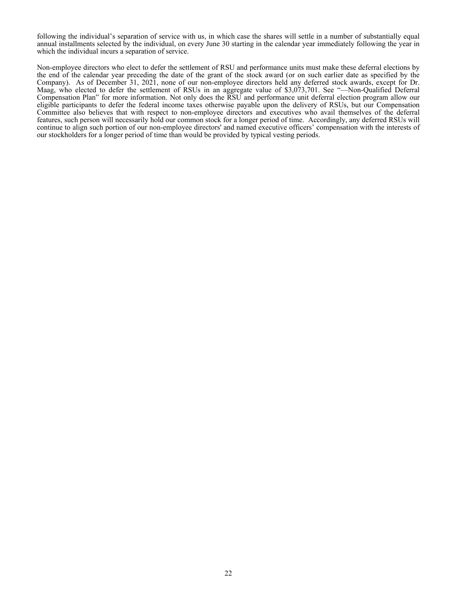following the individual's separation of service with us, in which case the shares will settle in a number of substantially equal annual installments selected by the individual, on every June 30 starting in the calendar year immediately following the year in which the individual incurs a separation of service.

Non-employee directors who elect to defer the settlement of RSU and performance units must make these deferral elections by the end of the calendar year preceding the date of the grant of the stock award (or on such earlier date as specified by the Company). As of December 31, 2021, none of our non-employee directors held any deferred stock awards, except for Dr. Maag, who elected to defer the settlement of RSUs in an aggregate value of \$3,073,701. See "—Non-Qualified Deferral Compensation Plan" for more information. Not only does the RSU and performance unit deferral election program allow our eligible participants to defer the federal income taxes otherwise payable upon the delivery of RSUs, but our Compensation Committee also believes that with respect to non-employee directors and executives who avail themselves of the deferral features, such person will necessarily hold our common stock for a longer period of time. Accordingly, any deferred RSUs will continue to align such portion of our non-employee directors' and named executive officers' compensation with the interests of our stockholders for a longer period of time than would be provided by typical vesting periods.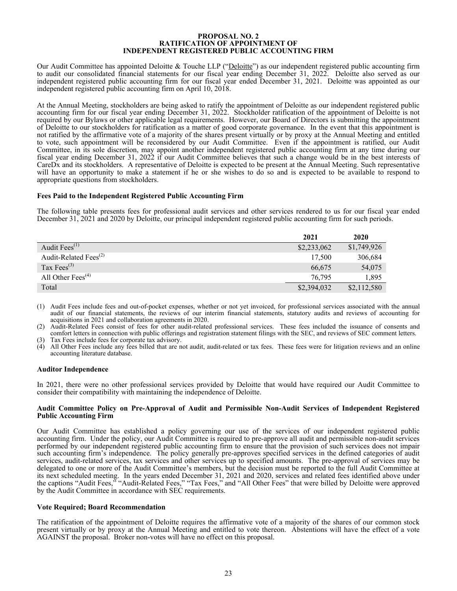#### **PROPOSAL NO. 2 RATIFICATION OF APPOINTMENT OF INDEPENDENT REGISTERED PUBLIC ACCOUNTING FIRM**

<span id="page-26-0"></span>Our Audit Committee has appointed Deloitte & Touche LLP ("Deloitte") as our independent registered public accounting firm to audit our consolidated financial statements for our fiscal year ending December 31, 2022. Deloitte also served as our independent registered public accounting firm for our fiscal year ended December 31, 2021. Deloitte was appointed as our independent registered public accounting firm on April 10, 2018.

At the Annual Meeting, stockholders are being asked to ratify the appointment of Deloitte as our independent registered public accounting firm for our fiscal year ending December 31, 2022. Stockholder ratification of the appointment of Deloitte is not required by our Bylaws or other applicable legal requirements. However, our Board of Directors is submitting the appointment of Deloitte to our stockholders for ratification as a matter of good corporate governance. In the event that this appointment is not ratified by the affirmative vote of a majority of the shares present virtually or by proxy at the Annual Meeting and entitled to vote, such appointment will be reconsidered by our Audit Committee. Even if the appointment is ratified, our Audit Committee, in its sole discretion, may appoint another independent registered public accounting firm at any time during our fiscal year ending December 31, 2022 if our Audit Committee believes that such a change would be in the best interests of CareDx and its stockholders. A representative of Deloitte is expected to be present at the Annual Meeting. Such representative will have an opportunity to make a statement if he or she wishes to do so and is expected to be available to respond to appropriate questions from stockholders.

### **Fees Paid to the Independent Registered Public Accounting Firm**

The following table presents fees for professional audit services and other services rendered to us for our fiscal year ended December 31, 2021 and 2020 by Deloitte, our principal independent registered public accounting firm for such periods.

|                                            | 2021        | 2020        |
|--------------------------------------------|-------------|-------------|
| Audit $Fees^{(1)}$                         | \$2,233,062 | \$1,749,926 |
| Audit-Related Fees <sup>(2)</sup>          | 17,500      | 306,684     |
| Tax Fees $^{(3)}$                          | 66,675      | 54,075      |
| All Other Fees <sup><math>(4)</math></sup> | 76,795      | 1,895       |
| Total                                      | \$2,394,032 | \$2,112,580 |

(1) Audit Fees include fees and out-of-pocket expenses, whether or not yet invoiced, for professional services associated with the annual audit of our financial statements, the reviews of our interim financial statements, statutory audits and reviews of accounting for acquisitions in 2021 and collaboration agreements in 2020.

(2) Audit-Related Fees consist of fees for other audit-related professional services. These fees included the issuance of consents and comfort letters in connection with public offerings and registration statement filings with the SEC, and reviews of SEC comment letters.

(3) Tax Fees include fees for corporate tax advisory.<br>(4) All Other Fees include any fees billed that are n

All Other Fees include any fees billed that are not audit, audit-related or tax fees. These fees were for litigation reviews and an online accounting literature database.

#### **Auditor Independence**

In 2021, there were no other professional services provided by Deloitte that would have required our Audit Committee to consider their compatibility with maintaining the independence of Deloitte.

#### **Audit Committee Policy on Pre-Approval of Audit and Permissible Non-Audit Services of Independent Registered Public Accounting Firm**

Our Audit Committee has established a policy governing our use of the services of our independent registered public accounting firm. Under the policy, our Audit Committee is required to pre-approve all audit and permissible non-audit services performed by our independent registered public accounting firm to ensure that the provision of such services does not impair such accounting firm's independence. The policy generally pre-approves specified services in the defined categories of audit services, audit-related services, tax services and other services up to specified amounts. The pre-approval of services may be delegated to one or more of the Audit Committee's members, but the decision must be reported to the full Audit Committee at its next scheduled meeting. In the years ended December 31, 2021 and 2020, services and related fees identified above under the captions "Audit Fees," "Audit-Related Fees," "Tax Fees," and "All Other Fees" that were billed by Deloitte were approved by the Audit Committee in accordance with SEC requirements.

### **Vote Required; Board Recommendation**

The ratification of the appointment of Deloitte requires the affirmative vote of a majority of the shares of our common stock present virtually or by proxy at the Annual Meeting and entitled to vote thereon. Abstentions will have the effect of a vote AGAINST the proposal. Broker non-votes will have no effect on this proposal.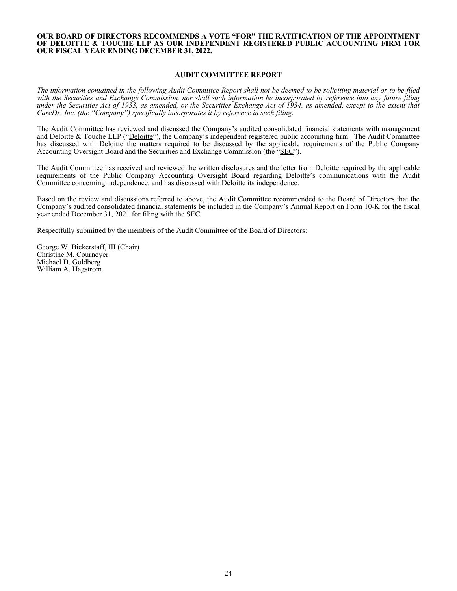#### <span id="page-27-0"></span>**OUR BOARD OF DIRECTORS RECOMMENDS A VOTE "FOR" THE RATIFICATION OF THE APPOINTMENT OF DELOITTE & TOUCHE LLP AS OUR INDEPENDENT REGISTERED PUBLIC ACCOUNTING FIRM FOR OUR FISCAL YEAR ENDING DECEMBER 31, 2022.**

#### **AUDIT COMMITTEE REPORT**

*The information contained in the following Audit Committee Report shall not be deemed to be soliciting material or to be filed with the Securities and Exchange Commission, nor shall such information be incorporated by reference into any future filing under the Securities Act of 1933, as amended, or the Securities Exchange Act of 1934, as amended, except to the extent that CareDx, Inc. (the "Company") specifically incorporates it by reference in such filing.*

The Audit Committee has reviewed and discussed the Company's audited consolidated financial statements with management and Deloitte & Touche LLP ("Deloitte"), the Company's independent registered public accounting firm. The Audit Committee has discussed with Deloitte the matters required to be discussed by the applicable requirements of the Public Company Accounting Oversight Board and the Securities and Exchange Commission (the "SEC").

The Audit Committee has received and reviewed the written disclosures and the letter from Deloitte required by the applicable requirements of the Public Company Accounting Oversight Board regarding Deloitte's communications with the Audit Committee concerning independence, and has discussed with Deloitte its independence.

Based on the review and discussions referred to above, the Audit Committee recommended to the Board of Directors that the Company's audited consolidated financial statements be included in the Company's Annual Report on Form 10-K for the fiscal year ended December 31, 2021 for filing with the SEC.

Respectfully submitted by the members of the Audit Committee of the Board of Directors:

George W. Bickerstaff, III (Chair) Christine M. Cournoyer Michael D. Goldberg William A. Hagstrom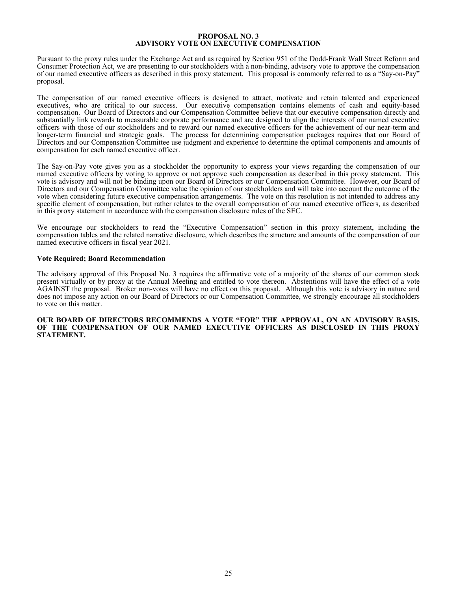#### **PROPOSAL NO. 3 ADVISORY VOTE ON EXECUTIVE COMPENSATION**

<span id="page-28-0"></span>Pursuant to the proxy rules under the Exchange Act and as required by Section 951 of the Dodd-Frank Wall Street Reform and Consumer Protection Act, we are presenting to our stockholders with a non-binding, advisory vote to approve the compensation of our named executive officers as described in this proxy statement. This proposal is commonly referred to as a "Say-on-Pay" proposal.

The compensation of our named executive officers is designed to attract, motivate and retain talented and experienced executives, who are critical to our success. Our executive compensation contains elements of cash and equity-based compensation. Our Board of Directors and our Compensation Committee believe that our executive compensation directly and substantially link rewards to measurable corporate performance and are designed to align the interests of our named executive officers with those of our stockholders and to reward our named executive officers for the achievement of our near-term and longer-term financial and strategic goals. The process for determining compensation packages requires that our Board of Directors and our Compensation Committee use judgment and experience to determine the optimal components and amounts of compensation for each named executive officer.

The Say-on-Pay vote gives you as a stockholder the opportunity to express your views regarding the compensation of our named executive officers by voting to approve or not approve such compensation as described in this proxy statement. This vote is advisory and will not be binding upon our Board of Directors or our Compensation Committee. However, our Board of Directors and our Compensation Committee value the opinion of our stockholders and will take into account the outcome of the vote when considering future executive compensation arrangements. The vote on this resolution is not intended to address any specific element of compensation, but rather relates to the overall compensation of our named executive officers, as described in this proxy statement in accordance with the compensation disclosure rules of the SEC.

We encourage our stockholders to read the "Executive Compensation" section in this proxy statement, including the compensation tables and the related narrative disclosure, which describes the structure and amounts of the compensation of our named executive officers in fiscal year 2021.

### **Vote Required; Board Recommendation**

The advisory approval of this Proposal No. 3 requires the affirmative vote of a majority of the shares of our common stock present virtually or by proxy at the Annual Meeting and entitled to vote thereon. Abstentions will have the effect of a vote AGAINST the proposal. Broker non-votes will have no effect on this proposal. Although this vote is advisory in nature and does not impose any action on our Board of Directors or our Compensation Committee, we strongly encourage all stockholders to vote on this matter.

#### **OUR BOARD OF DIRECTORS RECOMMENDS A VOTE "FOR" THE APPROVAL, ON AN ADVISORY BASIS, OF THE COMPENSATION OF OUR NAMED EXECUTIVE OFFICERS AS DISCLOSED IN THIS PROXY STATEMENT.**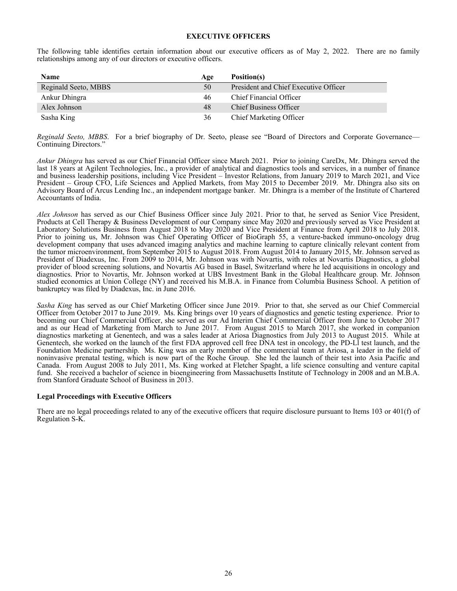### **EXECUTIVE OFFICERS**

<span id="page-29-0"></span>The following table identifies certain information about our executive officers as of May 2, 2022. There are no family relationships among any of our directors or executive officers.

| <b>Name</b>          | Age | Position(s)                           |
|----------------------|-----|---------------------------------------|
| Reginald Seeto, MBBS | 50  | President and Chief Executive Officer |
| Ankur Dhingra        | 46  | Chief Financial Officer               |
| Alex Johnson         | 48  | <b>Chief Business Officer</b>         |
| Sasha King           | 36  | <b>Chief Marketing Officer</b>        |

*Reginald Seeto, MBBS*. For a brief biography of Dr. Seeto, please see "Board of Directors and Corporate Governance— Continuing Directors."

*Ankur Dhingra* has served as our Chief Financial Officer since March 2021. Prior to joining CareDx, Mr. Dhingra served the last 18 years at Agilent Technologies, Inc., a provider of analytical and diagnostics tools and services, in a number of finance and business leadership positions, including Vice President – Investor Relations, from January 2019 to March 2021, and Vice President – Group CFO, Life Sciences and Applied Markets, from May 2015 to December 2019. Mr. Dhingra also sits on Advisory Board of Arcus Lending Inc., an independent mortgage banker. Mr. Dhingra is a member of the Institute of Chartered Accountants of India.

*Alex Johnson* has served as our Chief Business Officer since July 2021. Prior to that, he served as Senior Vice President, Products at Cell Therapy & Business Development of our Company since May 2020 and previously served as Vice President at Laboratory Solutions Business from August 2018 to May 2020 and Vice President at Finance from April 2018 to July 2018. Prior to joining us, Mr. Johnson was Chief Operating Officer of BioGraph 55, a venture-backed immuno-oncology drug development company that uses advanced imaging analytics and machine learning to capture clinically relevant content from the tumor microenvironment, from September 2015 to August 2018. From August 2014 to January 2015, Mr. Johnson served as President of Diadexus, Inc. From 2009 to 2014, Mr. Johnson was with Novartis, with roles at Novartis Diagnostics, a global provider of blood screening solutions, and Novartis AG based in Basel, Switzerland where he led acquisitions in oncology and diagnostics. Prior to Novartis, Mr. Johnson worked at UBS Investment Bank in the Global Healthcare group. Mr. Johnson studied economics at Union College (NY) and received his M.B.A. in Finance from Columbia Business School. A petition of bankruptcy was filed by Diadexus, Inc. in June 2016.

*Sasha King* has served as our Chief Marketing Officer since June 2019. Prior to that, she served as our Chief Commercial Officer from October 2017 to June 2019. Ms. King brings over 10 years of diagnostics and genetic testing experience. Prior to becoming our Chief Commercial Officer, she served as our Ad Interim Chief Commercial Officer from June to October 2017 and as our Head of Marketing from March to June 2017. From August 2015 to March 2017, she worked in companion diagnostics marketing at Genentech, and was a sales leader at Ariosa Diagnostics from July 2013 to August 2015. While at Genentech, she worked on the launch of the first FDA approved cell free DNA test in oncology, the PD-Ll test launch, and the Foundation Medicine partnership. Ms. King was an early member of the commercial team at Ariosa, a leader in the field of noninvasive prenatal testing, which is now part of the Roche Group. She led the launch of their test into Asia Pacific and Canada. From August 2008 to July 2011, Ms. King worked at Fletcher Spaght, a life science consulting and venture capital fund. She received a bachelor of science in bioengineering from Massachusetts Institute of Technology in 2008 and an M.B.A. from Stanford Graduate School of Business in 2013.

### **Legal Proceedings with Executive Officers**

There are no legal proceedings related to any of the executive officers that require disclosure pursuant to Items 103 or 401(f) of Regulation S-K.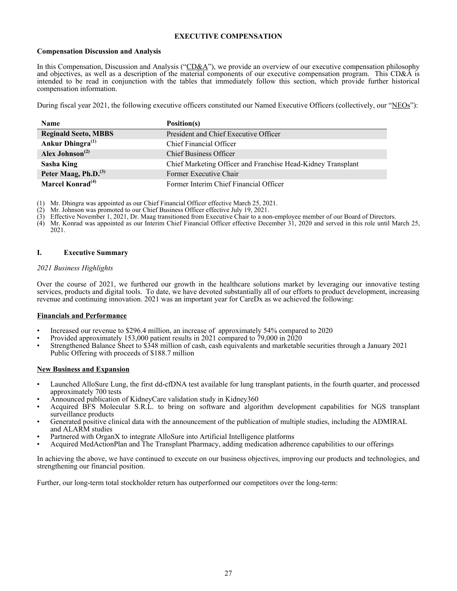# **EXECUTIVE COMPENSATION**

### <span id="page-30-0"></span>**Compensation Discussion and Analysis**

In this Compensation, Discussion and Analysis ("CD&A"), we provide an overview of our executive compensation philosophy and objectives, as well as a description of the material components of our executive compensation program. This CD&A is intended to be read in conjunction with the tables that immediately follow this section, which provide further historical compensation information.

During fiscal year 2021, the following executive officers constituted our Named Executive Officers (collectively, our "NEOs"):

| <b>Name</b>                      | Position(s)                                                  |
|----------------------------------|--------------------------------------------------------------|
| <b>Reginald Seeto, MBBS</b>      | President and Chief Executive Officer                        |
| Ankur Dhingra <sup>(1)</sup>     | Chief Financial Officer                                      |
| Alex Johnson <sup>(2)</sup>      | <b>Chief Business Officer</b>                                |
| Sasha King                       | Chief Marketing Officer and Franchise Head-Kidney Transplant |
| Peter Maag, Ph.D. <sup>(3)</sup> | Former Executive Chair                                       |
| Marcel Konrad <sup>(4)</sup>     | Former Interim Chief Financial Officer                       |

(1) Mr. Dhingra was appointed as our Chief Financial Officer effective March 25, 2021.

- 
- $(2)$  Mr. Johnson was promoted to our Chief Business Officer effective July 19, 2021.<br>
(3) Effective November 1, 2021, Dr. Maag transitioned from Executive Chair to a nor Effective November 1, 2021, Dr. Maag transitioned from Executive Chair to a non-employee member of our Board of Directors.
- (4) Mr. Konrad was appointed as our Interim Chief Financial Officer effective December 31, 2020 and served in this role until March 25, 2021.

# **I. Executive Summary**

# *2021 Business Highlights*

Over the course of 2021, we furthered our growth in the healthcare solutions market by leveraging our innovative testing services, products and digital tools. To date, we have devoted substantially all of our efforts to product development, increasing revenue and continuing innovation. 2021 was an important year for CareDx as we achieved the following:

# **Financials and Performance**

- Increased our revenue to \$296.4 million, an increase of approximately 54% compared to 2020
- Provided approximately 153,000 patient results in 2021 compared to  $79,000$  in  $2020$
- Strengthened Balance Sheet to \$348 million of cash, cash equivalents and marketable securities through a January 2021 Public Offering with proceeds of \$188.7 million

### **New Business and Expansion**

- Launched AlloSure Lung, the first dd-cfDNA test available for lung transplant patients, in the fourth quarter, and processed approximately 700 tests
- Announced publication of KidneyCare validation study in Kidney360
- Acquired BFS Molecular S.R.L. to bring on software and algorithm development capabilities for NGS transplant surveillance products
- Generated positive clinical data with the announcement of the publication of multiple studies, including the ADMIRAL and ALARM studies
- Partnered with OrganX to integrate AlloSure into Artificial Intelligence platforms
- Acquired MedActionPlan and The Transplant Pharmacy, adding medication adherence capabilities to our offerings

In achieving the above, we have continued to execute on our business objectives, improving our products and technologies, and strengthening our financial position.

Further, our long-term total stockholder return has outperformed our competitors over the long-term: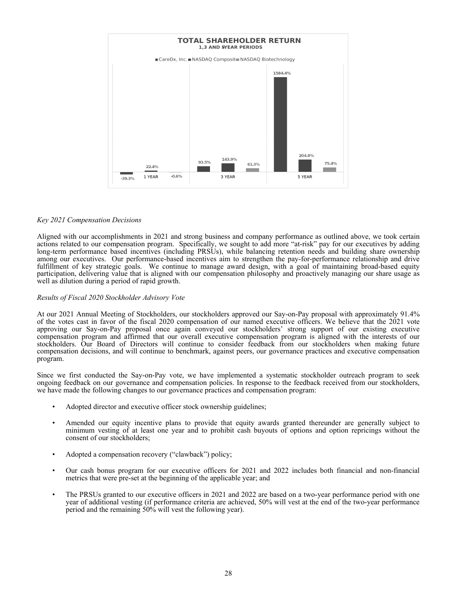

### *Key 2021 Compensation Decisions*

Aligned with our accomplishments in 2021 and strong business and company performance as outlined above, we took certain actions related to our compensation program. Specifically, we sought to add more "at-risk" pay for our executives by adding long-term performance based incentives (including PRSUs), while balancing retention needs and building share ownership among our executives. Our performance-based incentives aim to strengthen the pay-for-performance relationship and drive fulfillment of key strategic goals. We continue to manage award design, with a goal of maintaining broad-based equity participation, delivering value that is aligned with our compensation philosophy and proactively managing our share usage as well as dilution during a period of rapid growth.

### *Results of Fiscal 2020 Stockholder Advisory Vote*

At our 2021 Annual Meeting of Stockholders, our stockholders approved our Say-on-Pay proposal with approximately 91.4% of the votes cast in favor of the fiscal 2020 compensation of our named executive officers. We believe that the 2021 vote approving our Say-on-Pay proposal once again conveyed our stockholders' strong support of our existing executive compensation program and affirmed that our overall executive compensation program is aligned with the interests of our stockholders. Our Board of Directors will continue to consider feedback from our stockholders when making future compensation decisions, and will continue to benchmark, against peers, our governance practices and executive compensation program.

Since we first conducted the Say-on-Pay vote, we have implemented a systematic stockholder outreach program to seek ongoing feedback on our governance and compensation policies. In response to the feedback received from our stockholders, we have made the following changes to our governance practices and compensation program:

- Adopted director and executive officer stock ownership guidelines;
- Amended our equity incentive plans to provide that equity awards granted thereunder are generally subject to minimum vesting of at least one year and to prohibit cash buyouts of options and option repricings without the consent of our stockholders;
- Adopted a compensation recovery ("clawback") policy;
- Our cash bonus program for our executive officers for 2021 and 2022 includes both financial and non-financial metrics that were pre-set at the beginning of the applicable year; and
- The PRSUs granted to our executive officers in 2021 and 2022 are based on a two-year performance period with one year of additional vesting (if performance criteria are achieved, 50% will vest at the end of the two-year performance period and the remaining 50% will vest the following year).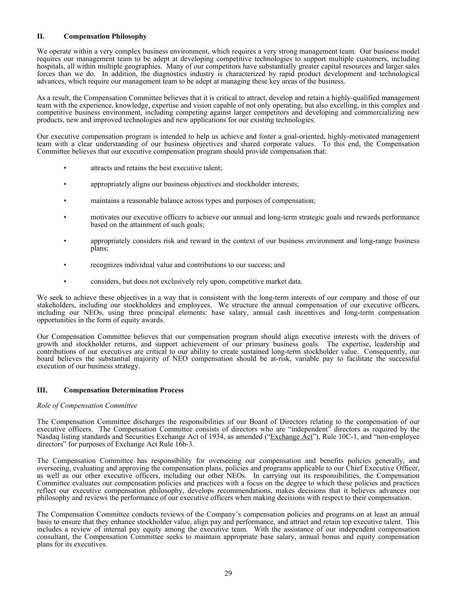# <span id="page-32-0"></span>**II. Compensation Philosophy**

We operate within a very complex business environment, which requires a very strong management team. Our business model requires our management team to be adept at developing competitive technologies to support multiple customers, including hospitals, all within multiple geographies. Many of our competitors have substantially greater capital resources and larger sales forces than we do. In addition, the diagnostics industry is characterized by rapid product development and technological advances, which require our management team to be adept at managing these key areas of the business.

As a result, the Compensation Committee believes that it is critical to attract, develop and retain a highly-qualified management team with the experience, knowledge, expertise and vision capable of not only operating, but also excelling, in this complex and competitive business environment, including competing against larger competitors and developing and commercializing new products, new and improved technologies and new applications for our existing technologies.

Our executive compensation program is intended to help us achieve and foster a goal-oriented, highly-motivated management team with a clear understanding of our business objectives and shared corporate values. To this end, the Compensation Committee believes that our executive compensation program should provide compensation that:

- attracts and retains the best executive talent;
- appropriately aligns our business objectives and stockholder interests;
- maintains a reasonable balance across types and purposes of compensation;
- motivates our executive officers to achieve our annual and long-term strategic goals and rewards performance based on the attainment of such goals;
- appropriately considers risk and reward in the context of our business environment and long-range business plans;
- recognizes individual value and contributions to our success; and
- considers, but does not exclusively rely upon, competitive market data.

We seek to achieve these objectives in a way that is consistent with the long-term interests of our company and those of our stakeholders, including our stockholders and employees. We structure the annual compensation of our executive officers, including our NEOs, using three principal elements: base salary, annual cash incentives and long-term compensation opportunities in the form of equity awards.

Our Compensation Committee believes that our compensation program should align executive interests with the drivers of growth and stockholder returns, and support achievement of our primary business goals. The expertise, leadership and contributions of our executives are critical to our ability to create sustained long-term stockholder value. Consequently, our board believes the substantial majority of NEO compensation should be at-risk, variable pay to facilitate the successful execution of our business strategy.

# **III. Compensation Determination Process**

### *Role of Compensation Committee*

The Compensation Committee discharges the responsibilities of our Board of Directors relating to the compensation of our executive officers. The Compensation Committee consists of directors who are "independent" directors as required by the Nasdaq listing standards and Securities Exchange Act of 1934, as amended ("Exchange Act"), Rule 10C-1, and "non-employee directors" for purposes of Exchange Act Rule 16b-3.

The Compensation Committee has responsibility for overseeing our compensation and benefits policies generally, and overseeing, evaluating and approving the compensation plans, policies and programs applicable to our Chief Executive Officer, as well as our other executive officers, including our other NEOs. In carrying out its responsibilities, the Compensation Committee evaluates our compensation policies and practices with a focus on the degree to which these policies and practices reflect our executive compensation philosophy, develops recommendations, makes decisions that it believes advances our philosophy and reviews the performance of our executive officers when making decisions with respect to their compensation.

The Compensation Committee conducts reviews of the Company's compensation policies and programs on at least an annual basis to ensure that they enhance stockholder value, align pay and performance, and attract and retain top executive talent. This includes a review of internal pay equity among the executive team. With the assistance of our independent compensation consultant, the Compensation Committee seeks to maintain appropriate base salary, annual bonus and equity compensation plans for its executives.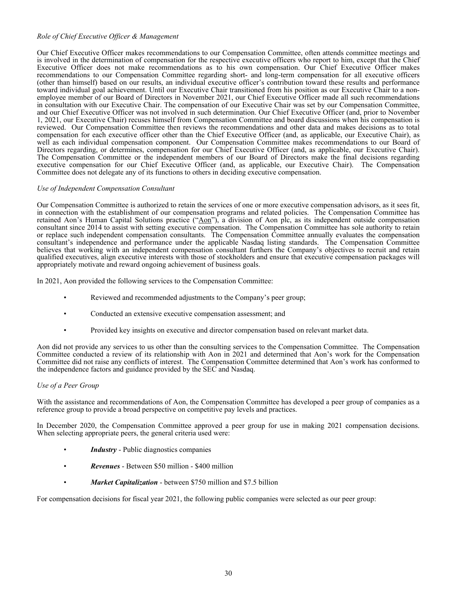### *Role of Chief Executive Officer & Management*

Our Chief Executive Officer makes recommendations to our Compensation Committee, often attends committee meetings and is involved in the determination of compensation for the respective executive officers who report to him, except that the Chief Executive Officer does not make recommendations as to his own compensation. Our Chief Executive Officer makes recommendations to our Compensation Committee regarding short- and long-term compensation for all executive officers (other than himself) based on our results, an individual executive officer's contribution toward these results and performance toward individual goal achievement. Until our Executive Chair transitioned from his position as our Executive Chair to a nonemployee member of our Board of Directors in November 2021, our Chief Executive Officer made all such recommendations in consultation with our Executive Chair. The compensation of our Executive Chair was set by our Compensation Committee, and our Chief Executive Officer was not involved in such determination. Our Chief Executive Officer (and, prior to November 1, 2021, our Executive Chair) recuses himself from Compensation Committee and board discussions when his compensation is reviewed. Our Compensation Committee then reviews the recommendations and other data and makes decisions as to total compensation for each executive officer other than the Chief Executive Officer (and, as applicable, our Executive Chair), as well as each individual compensation component. Our Compensation Committee makes recommendations to our Board of Directors regarding, or determines, compensation for our Chief Executive Officer (and, as applicable, our Executive Chair). The Compensation Committee or the independent members of our Board of Directors make the final decisions regarding executive compensation for our Chief Executive Officer (and, as applicable, our Executive Chair). The Compensation Committee does not delegate any of its functions to others in deciding executive compensation.

# *Use of Independent Compensation Consultant*

Our Compensation Committee is authorized to retain the services of one or more executive compensation advisors, as it sees fit, in connection with the establishment of our compensation programs and related policies. The Compensation Committee has retained Aon's Human Capital Solutions practice ("Aon"), a division of Aon plc, as its independent outside compensation consultant since 2014 to assist with setting executive compensation. The Compensation Committee has sole authority to retain or replace such independent compensation consultants. The Compensation Committee annually evaluates the compensation consultant's independence and performance under the applicable Nasdaq listing standards. The Compensation Committee believes that working with an independent compensation consultant furthers the Company's objectives to recruit and retain qualified executives, align executive interests with those of stockholders and ensure that executive compensation packages will appropriately motivate and reward ongoing achievement of business goals.

In 2021, Aon provided the following services to the Compensation Committee:

- Reviewed and recommended adjustments to the Company's peer group;
- Conducted an extensive executive compensation assessment; and
- Provided key insights on executive and director compensation based on relevant market data.

Aon did not provide any services to us other than the consulting services to the Compensation Committee. The Compensation Committee conducted a review of its relationship with Aon in 2021 and determined that Aon's work for the Compensation Committee did not raise any conflicts of interest. The Compensation Committee determined that Aon's work has conformed to the independence factors and guidance provided by the SEC and Nasdaq.

### *Use of a Peer Group*

With the assistance and recommendations of Aon, the Compensation Committee has developed a peer group of companies as a reference group to provide a broad perspective on competitive pay levels and practices.

In December 2020, the Compensation Committee approved a peer group for use in making 2021 compensation decisions. When selecting appropriate peers, the general criteria used were:

- *Industry* Public diagnostics companies
- *Revenues* Between \$50 million \$400 million
- *Market Capitalization* between \$750 million and \$7.5 billion

For compensation decisions for fiscal year 2021, the following public companies were selected as our peer group: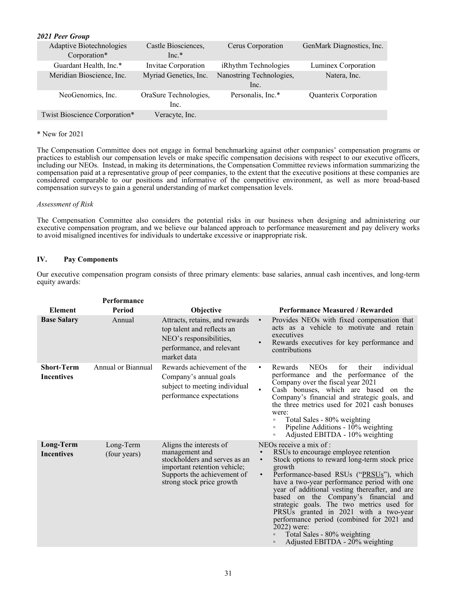# <span id="page-34-0"></span>*2021 Peer Group*

| Adaptive Biotechnologies<br>Corporation* | Castle Biosciences,<br>$Inc.*$ | Cerus Corporation                | GenMark Diagnostics, Inc. |
|------------------------------------------|--------------------------------|----------------------------------|---------------------------|
| Guardant Health, Inc.*                   | Invitae Corporation            | iRhythm Technologies             | Luminex Corporation       |
| Meridian Bioscience, Inc.                | Myriad Genetics, Inc.          | Nanostring Technologies,<br>Inc. | Natera, Inc.              |
| NeoGenomics, Inc.                        | OraSure Technologies,<br>Inc.  | Personalis, Inc.*                | Quanterix Corporation     |
| Twist Bioscience Corporation*            | Veracyte, Inc.                 |                                  |                           |

#### \* New for 2021

The Compensation Committee does not engage in formal benchmarking against other companies' compensation programs or practices to establish our compensation levels or make specific compensation decisions with respect to our executive officers, including our NEOs. Instead, in making its determinations, the Compensation Committee reviews information summarizing the compensation paid at a representative group of peer companies, to the extent that the executive positions at these companies are considered comparable to our positions and informative of the competitive environment, as well as more broad-based compensation surveys to gain a general understanding of market compensation levels.

### *Assessment of Risk*

The Compensation Committee also considers the potential risks in our business when designing and administering our executive compensation program, and we believe our balanced approach to performance measurement and pay delivery works to avoid misaligned incentives for individuals to undertake excessive or inappropriate risk.

# **IV. Pay Components**

Our executive compensation program consists of three primary elements: base salaries, annual cash incentives, and long-term equity awards:

|                                        | Performance               |                                                                                                                                                                        |                                                                                                                                                                                                                                                                                                                                                                                                                                                                                                                                                                              |
|----------------------------------------|---------------------------|------------------------------------------------------------------------------------------------------------------------------------------------------------------------|------------------------------------------------------------------------------------------------------------------------------------------------------------------------------------------------------------------------------------------------------------------------------------------------------------------------------------------------------------------------------------------------------------------------------------------------------------------------------------------------------------------------------------------------------------------------------|
| Element                                | Period                    | Objective                                                                                                                                                              | <b>Performance Measured / Rewarded</b>                                                                                                                                                                                                                                                                                                                                                                                                                                                                                                                                       |
| <b>Base Salary</b>                     | Annual                    | Attracts, retains, and rewards<br>top talent and reflects an<br>NEO's responsibilities,<br>performance, and relevant<br>market data                                    | Provides NEOs with fixed compensation that<br>$\bullet$<br>acts as a vehicle to motivate and retain<br>executives<br>Rewards executives for key performance and<br>$\bullet$<br>contributions                                                                                                                                                                                                                                                                                                                                                                                |
| <b>Short-Term</b><br><b>Incentives</b> | Annual or Biannual        | Rewards achievement of the<br>Company's annual goals<br>subject to meeting individual<br>performance expectations                                                      | individual<br>Rewards<br><b>NEOs</b><br>for<br>their<br>٠<br>performance and the performance of the<br>Company over the fiscal year 2021<br>Cash bonuses, which are based on the<br>Company's financial and strategic goals, and<br>the three metrics used for 2021 cash bonuses<br>were:<br>Total Sales - 80% weighting<br>$\circ$<br>Pipeline Additions - 10% weighting<br>$\circ$<br>Adjusted EBITDA - 10% weighting<br>$\circ$                                                                                                                                           |
| Long-Term<br><b>Incentives</b>         | Long-Term<br>(four years) | Aligns the interests of<br>management and<br>stockholders and serves as an<br>important retention vehicle;<br>Supports the achievement of<br>strong stock price growth | NEOs receive a mix of :<br>RSUs to encourage employee retention<br>$\bullet$<br>Stock options to reward long-term stock price<br>$\bullet$<br>growth<br>Performance-based RSUs ("PRSUs"), which<br>$\bullet$<br>have a two-year performance period with one<br>year of additional vesting thereafter, and are<br>based on the Company's financial and<br>strategic goals. The two metrics used for<br>PRSUs granted in 2021 with a two-year<br>performance period (combined for 2021 and<br>$2022$ ) were:<br>Total Sales - 80% weighting<br>Adjusted EBITDA - 20% weighting |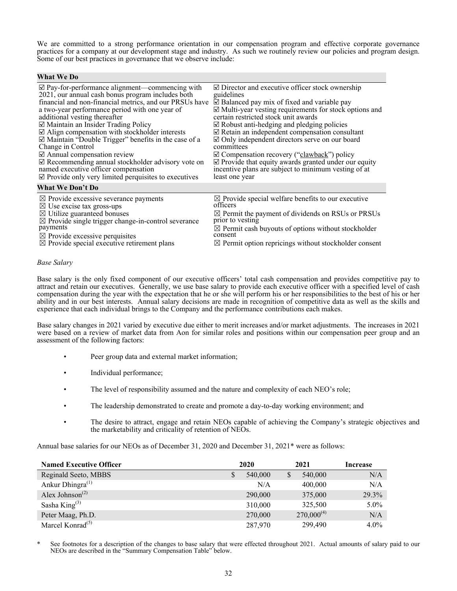We are committed to a strong performance orientation in our compensation program and effective corporate governance practices for a company at our development stage and industry. As such we routinely review our policies and program design. Some of our best practices in governance that we observe include:

| <b>What We Do</b>                                               |                                                                   |
|-----------------------------------------------------------------|-------------------------------------------------------------------|
| $\boxtimes$ Pay-for-performance alignment—commencing with       | $\Box$ Director and executive officer stock ownership             |
| 2021, our annual cash bonus program includes both               | guidelines                                                        |
| financial and non-financial metrics, and our PRSUs have         | $\triangle$ Balanced pay mix of fixed and variable pay            |
| a two-year performance period with one year of                  | $\mathbb Z$ Multi-year vesting requirements for stock options and |
| additional vesting thereafter                                   | certain restricted stock unit awards                              |
| $\boxtimes$ Maintain an Insider Trading Policy                  | $\boxtimes$ Robust anti-hedging and pledging policies             |
| $\boxtimes$ Align compensation with stockholder interests       | $\mathbb Z$ Retain an independent compensation consultant         |
| $\mathbb Z$ Maintain "Double Trigger" benefits in the case of a | $\boxtimes$ Only independent directors serve on our board         |
| Change in Control                                               | committees                                                        |
| $\triangle$ Annual compensation review                          | $\mathbb Z$ Compensation recovery ("clawback") policy             |
| $\mathcal{Q}$ Recommending annual stockholder advisory vote on  | $\mathbb Z$ Provide that equity awards granted under our equity   |
| named executive officer compensation                            | incentive plans are subject to minimum vesting of at              |
| $\mathbb Z$ Provide only very limited perquisites to executives | least one year                                                    |
| <b>What We Don't Do</b>                                         |                                                                   |
| $\boxtimes$ Provide excessive severance payments                | $\boxtimes$ Provide special welfare benefits to our executive     |
| $\boxtimes$ Use excise tax gross-ups                            | officers                                                          |
| $\boxtimes$ Utilize guaranteed bonuses                          | $\boxtimes$ Permit the payment of dividends on RSUs or PRSUs      |
| $\boxtimes$ Provide single trigger change-in-control severance  | prior to vesting                                                  |
| payments                                                        | $\boxtimes$ Permit cash buyouts of options without stockholder    |
| $\boxtimes$ Provide excessive perquisites                       | consent                                                           |
| $\boxtimes$ Provide special executive retirement plans          | $\boxtimes$ Permit option repricings without stockholder consent  |

# *Base Salary*

Base salary is the only fixed component of our executive officers' total cash compensation and provides competitive pay to attract and retain our executives. Generally, we use base salary to provide each executive officer with a specified level of cash compensation during the year with the expectation that he or she will perform his or her responsibilities to the best of his or her ability and in our best interests. Annual salary decisions are made in recognition of competitive data as well as the skills and experience that each individual brings to the Company and the performance contributions each makes.

Base salary changes in 2021 varied by executive due either to merit increases and/or market adjustments. The increases in 2021 were based on a review of market data from Aon for similar roles and positions within our compensation peer group and an assessment of the following factors:

- Peer group data and external market information;
- Individual performance;
- The level of responsibility assumed and the nature and complexity of each NEO's role;
- The leadership demonstrated to create and promote a day-to-day working environment; and
- The desire to attract, engage and retain NEOs capable of achieving the Company's strategic objectives and the marketability and criticality of retention of NEOs.

Annual base salaries for our NEOs as of December 31, 2020 and December 31, 2021\* were as follows:

| <b>Named Executive Officer</b>           |   | 2020    | 2021            | Increase |
|------------------------------------------|---|---------|-----------------|----------|
| Reginald Seeto, MBBS                     | S | 540,000 | \$<br>540,000   | N/A      |
| Ankur Dhingra $^{(1)}$                   |   | N/A     | 400,000         | N/A      |
| Alex Johnson <sup><math>(2)</math></sup> |   | 290,000 | 375,000         | 29.3%    |
| Sasha King $^{(3)}$                      |   | 310,000 | 325,500         | $5.0\%$  |
| Peter Maag, Ph.D.                        |   | 270,000 | $270,000^{(4)}$ | N/A      |
| Marcel Konrad $(5)$                      |   | 287,970 | 299,490         | $4.0\%$  |

See footnotes for a description of the changes to base salary that were effected throughout 2021. Actual amounts of salary paid to our NEOs are described in the "Summary Compensation Table" below.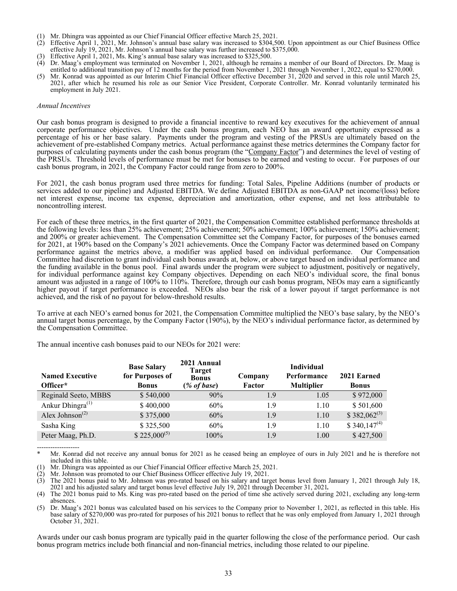- (1) Mr. Dhingra was appointed as our Chief Financial Officer effective March 25, 2021.
- (2) Effective April 1, 2021, Mr. Johnson's annual base salary was increased to \$304,500. Upon appointment as our Chief Business Office effective July 19, 2021, Mr. Johnson's annual base salary was further increased to \$375,000.
- (3) Effective April 1, 2021, Ms. King's annual base salary was increased to \$325,500.
- (4) Dr. Maag's employment was terminated on November 1, 2021, although he remains a member of our Board of Directors. Dr. Maag is entitled to additional transition pay of 12 months for the period from November 1, 2021 through November 1, 2022, equal to \$270,000.
- (5) Mr. Konrad was appointed as our Interim Chief Financial Officer effective December 31, 2020 and served in this role until March 25, 2021, after which he resumed his role as our Senior Vice President, Corporate Controller. Mr. Konrad voluntarily terminated his employment in July 2021.

#### *Annual Incentives*

Our cash bonus program is designed to provide a financial incentive to reward key executives for the achievement of annual corporate performance objectives. Under the cash bonus program, each NEO has an award opportunity expressed as a percentage of his or her base salary. Payments under the program and vesting of the PRSUs are ultimately based on the achievement of pre-established Company metrics. Actual performance against these metrics determines the Company factor for purposes of calculating payments under the cash bonus program (the "Company Factor") and determines the level of vesting of the PRSUs. Threshold levels of performance must be met for bonuses to be earned and vesting to occur. For purposes of our cash bonus program, in 2021, the Company Factor could range from zero to 200%.

For 2021, the cash bonus program used three metrics for funding: Total Sales, Pipeline Additions (number of products or services added to our pipeline) and Adjusted EBITDA. We define Adjusted EBITDA as non-GAAP net income/(loss) before net interest expense, income tax expense, depreciation and amortization, other expense, and net loss attributable to noncontrolling interest.

For each of these three metrics, in the first quarter of 2021, the Compensation Committee established performance thresholds at the following levels: less than 25% achievement; 25% achievement; 50% achievement; 100% achievement; 150% achievement; and 200% or greater achievement. The Compensation Committee set the Company Factor, for purposes of the bonuses earned for 2021, at 190% based on the Company's 2021 achievements. Once the Company Factor was determined based on Company performance against the metrics above, a modifier was applied based on individual performance. Our Compensation Committee had discretion to grant individual cash bonus awards at, below, or above target based on individual performance and the funding available in the bonus pool. Final awards under the program were subject to adjustment, positively or negatively, for individual performance against key Company objectives. Depending on each NEO's individual score, the final bonus amount was adjusted in a range of 100% to 110%. Therefore, through our cash bonus program, NEOs may earn a significantly higher payout if target performance is exceeded. NEOs also bear the risk of a lower payout if target performance is not achieved, and the risk of no payout for below-threshold results.

To arrive at each NEO's earned bonus for 2021, the Compensation Committee multiplied the NEO's base salary, by the NEO's annual target bonus percentage, by the Company Factor (190%), by the NEO's individual performance factor, as determined by the Compensation Committee.

The annual incentive cash bonuses paid to our NEOs for 2021 were:

| <b>Named Executive</b><br>Officer*       | <b>Base Salary</b><br>for Purposes of<br><b>Bonus</b> | 2021 Annual<br>Target<br><b>Bonus</b><br>$(\%$ of base) | Company<br>Factor | <b>Individual</b><br>Performance<br><b>Multiplier</b> | 2021 Earned<br><b>Bonus</b> |
|------------------------------------------|-------------------------------------------------------|---------------------------------------------------------|-------------------|-------------------------------------------------------|-----------------------------|
| Reginald Seeto, MBBS                     | \$540,000                                             | 90%                                                     | 1.9               | 1.05                                                  | \$972,000                   |
| Ankur Dhingra $(1)$                      | \$400,000                                             | 60%                                                     | 1.9               | 1.10                                                  | \$501,600                   |
| Alex Johnson <sup><math>(2)</math></sup> | \$375,000                                             | 60%                                                     | 1.9               | 1.10                                                  | $$382,062^{(3)}$            |
| Sasha King                               | \$325,500                                             | 60%                                                     | 1.9               | 1.10                                                  | $$340,147^{(4)}$            |
| Peter Maag, Ph.D.                        | $$225,000^{(5)}$                                      | 100%                                                    | 1.9               | 1.00                                                  | \$427,500                   |

-------------------

Awards under our cash bonus program are typically paid in the quarter following the close of the performance period. Our cash bonus program metrics include both financial and non-financial metrics, including those related to our pipeline.

Mr. Konrad did not receive any annual bonus for 2021 as he ceased being an employee of ours in July 2021 and he is therefore not included in this table.

Mr. Dhingra was appointed as our Chief Financial Officer effective March 25, 2021.

<sup>(2)</sup> Mr. Johnson was promoted to our Chief Business Officer effective July 19, 2021. (3) The 2021 bonus paid to Mr. Johnson was pro-rated based on his salary and target bonus level from January 1, 2021 through July 18, 2021 and his adjusted salary and target bonus level effective July 19, 2021 through December 31, 2021*.*

<sup>(4)</sup> The 2021 bonus paid to Ms. King was pro-rated based on the period of time she actively served during 2021, excluding any long-term absences.

<sup>(5)</sup> Dr. Maag's 2021 bonus was calculated based on his services to the Company prior to November 1, 2021, as reflected in this table. His base salary of \$270,000 was pro-rated for purposes of his 2021 bonus to reflect that he was only employed from January 1, 2021 through October 31, 2021.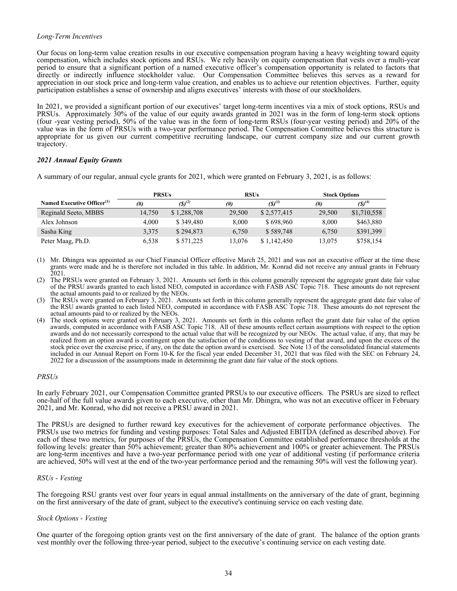### *Long-Term Incentives*

Our focus on long-term value creation results in our executive compensation program having a heavy weighting toward equity compensation, which includes stock options and RSUs. We rely heavily on equity compensation that vests over a multi-year period to ensure that a significant portion of a named executive officer's compensation opportunity is related to factors that directly or indirectly influence stockholder value. Our Compensation Committee believes this serves as a reward for appreciation in our stock price and long-term value creation, and enables us to achieve our retention objectives. Further, equity participation establishes a sense of ownership and aligns executives' interests with those of our stockholders.

In 2021, we provided a significant portion of our executives' target long-term incentives via a mix of stock options, RSUs and PRSUs. Approximately 30% of the value of our equity awards granted in 2021 was in the form of long-term stock options (four -year vesting period), 50% of the value was in the form of long-term RSUs (four-year vesting period) and 20% of the value was in the form of PRSUs with a two-year performance period. The Compensation Committee believes this structure is appropriate for us given our current competitive recruiting landscape, our current company size and our current growth trajectory.

# *2021 Annual Equity Grants*

A summary of our regular, annual cycle grants for 2021, which were granted on February 3, 2021, is as follows:

|                                        | <b>PRSUs</b> |             | <b>RSUs</b> |             | <b>Stock Options</b> |             |
|----------------------------------------|--------------|-------------|-------------|-------------|----------------------|-------------|
| Named Executive Officer <sup>(1)</sup> | (#)          | $(S)^{(2)}$ | $^{(#)}$    | $(S)^{(3)}$ | (#)                  | $(5)^{(4)}$ |
| Reginald Seeto, MBBS                   | 14.750       | \$1,288,708 | 29,500      | \$2,577,415 | 29,500               | \$1,710,558 |
| Alex Johnson                           | 4.000        | \$349.480   | 8.000       | \$698,960   | 8.000                | \$463,880   |
| Sasha King                             | 3,375        | \$294,873   | 6,750       | \$589,748   | 6,750                | \$391,399   |
| Peter Maag, Ph.D.                      | 6,538        | \$571,225   | 13,076      | \$1,142,450 | 13,075               | \$758,154   |

(1) Mr. Dhingra was appointed as our Chief Financial Officer effective March 25, 2021 and was not an executive officer at the time these grants were made and he is therefore not included in this table. In addition, Mr. Konrad did not receive any annual grants in February 2021.

(2) The PRSUs were granted on February 3, 2021. Amounts set forth in this column generally represent the aggregate grant date fair value of the PRSU awards granted to each listed NEO, computed in accordance with FASB ASC Topic 718. These amounts do not represent the actual amounts paid to or realized by the NEOs.

(3) The RSUs were granted on February 3, 2021. Amounts set forth in this column generally represent the aggregate grant date fair value of the RSU awards granted to each listed NEO, computed in accordance with FASB ASC Topic 718. These amounts do not represent the actual amounts paid to or realized by the NEOs.

(4) The stock options were granted on February 3, 2021. Amounts set forth in this column reflect the grant date fair value of the option awards, computed in accordance with FASB ASC Topic 718. All of these amounts reflect certain assumptions with respect to the option awards and do not necessarily correspond to the actual value that will be recognized by our NEOs. The actual value, if any, that may be realized from an option award is contingent upon the satisfaction of the conditions to vesting of that award, and upon the excess of the stock price over the exercise price, if any, on the date the option award is exercised. See Note 13 of the consolidated financial statements included in our Annual Report on Form 10-K for the fiscal year ended December 31, 2021 that was filed with the SEC on February 24, 2022 for a discussion of the assumptions made in determining the grant date fair value of the stock options.

### *PRSUs*

In early February 2021, our Compensation Committee granted PRSUs to our executive officers. The PSRUs are sized to reflect one-half of the full value awards given to each executive, other than Mr. Dhingra, who was not an executive officer in February 2021, and Mr. Konrad, who did not receive a PRSU award in 2021.

The PRSUs are designed to further reward key executives for the achievement of corporate performance objectives. The PRSUs use two metrics for funding and vesting purposes: Total Sales and Adjusted EBITDA (defined as described above). For each of these two metrics, for purposes of the PRSUs, the Compensation Committee established performance thresholds at the following levels: greater than 50% achievement; greater than 80% achievement and 100% or greater achievement. The PRSUs are long-term incentives and have a two-year performance period with one year of additional vesting (if performance criteria are achieved, 50% will vest at the end of the two-year performance period and the remaining 50% will vest the following year).

### *RSUs - Vesting*

The foregoing RSU grants vest over four years in equal annual installments on the anniversary of the date of grant, beginning on the first anniversary of the date of grant, subject to the executive's continuing service on each vesting date.

### *Stock Options - Vesting*

One quarter of the foregoing option grants vest on the first anniversary of the date of grant. The balance of the option grants vest monthly over the following three-year period, subject to the executive's continuing service on each vesting date.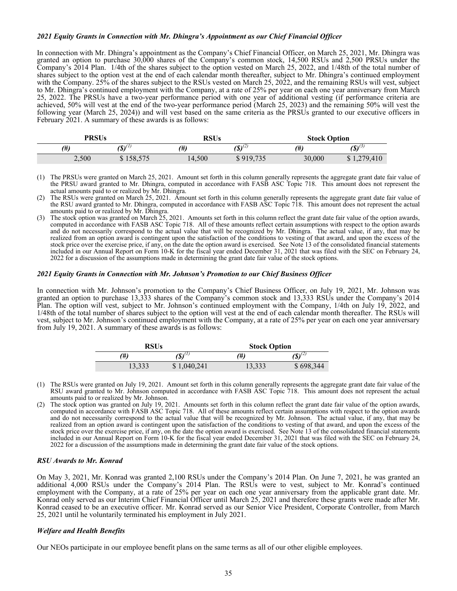#### *2021 Equity Grants in Connection with Mr. Dhingra's Appointment as our Chief Financial Officer*

In connection with Mr. Dhingra's appointment as the Company's Chief Financial Officer, on March 25, 2021, Mr. Dhingra was granted an option to purchase 30,000 shares of the Company's common stock, 14,500 RSUs and 2,500 PRSUs under the Company's 2014 Plan. 1/4th of the shares subject to the option vested on March 25, 2022, and 1/48th of the total number of shares subject to the option vest at the end of each calendar month thereafter, subject to Mr. Dhingra's continued employment with the Company. 25% of the shares subject to the RSUs vested on March 25, 2022, and the remaining RSUs will vest, subject to Mr. Dhingra's continued employment with the Company, at a rate of 25% per year on each one year anniversary from March 25, 2022. The PRSUs have a two-year performance period with one year of additional vesting (if performance criteria are achieved, 50% will vest at the end of the two-year performance period (March 25, 2023) and the remaining 50% will vest the following year (March 25, 2024)) and will vest based on the same criteria as the PRSUs granted to our executive officers in February 2021. A summary of these awards is as follows:

| <b>PRSUs</b> |                 | RSUs   |                              | <b>Stock Option</b> |                                                 |
|--------------|-----------------|--------|------------------------------|---------------------|-------------------------------------------------|
| (#)          | $(0)$ (1)<br>ω. | $(\#)$ | $(S)^{(\frac{2}{\epsilon})}$ | (#)                 | $\left( \mathbf{\$}\right) ^{\left( 3\right) }$ |
| 2,500        | \$158,575       | 14,500 | 919,735<br>Φ                 | 30,000              | ,279,410                                        |

<sup>(1)</sup> The PRSUs were granted on March 25, 2021. Amount set forth in this column generally represents the aggregate grant date fair value of the PRSU award granted to Mr. Dhingra, computed in accordance with FASB ASC Topic 718. This amount does not represent the actual amounts paid to or realized by Mr. Dhingra.

(3) The stock option was granted on March 25, 2021. Amounts set forth in this column reflect the grant date fair value of the option awards, computed in accordance with FASB ASC Topic 718. All of these amounts reflect certain assumptions with respect to the option awards and do not necessarily correspond to the actual value that will be recognized by Mr. Dhingra. The actual value, if any, that may be realized from an option award is contingent upon the satisfaction of the conditions to vesting of that award, and upon the excess of the stock price over the exercise price, if any, on the date the option award is exercised. See Note 13 of the consolidated financial statements included in our Annual Report on Form 10-K for the fiscal year ended December 31, 2021 that was filed with the SEC on February 24, 2022 for a discussion of the assumptions made in determining the grant date fair value of the stock options.

#### *2021 Equity Grants in Connection with Mr. Johnson's Promotion to our Chief Business Officer*

In connection with Mr. Johnson's promotion to the Company's Chief Business Officer, on July 19, 2021, Mr. Johnson was granted an option to purchase 13,333 shares of the Company's common stock and 13,333 RSUs under the Company's 2014 Plan. The option will vest, subject to Mr. Johnson's continued employment with the Company, 1/4th on July 19, 2022, and 1/48th of the total number of shares subject to the option will vest at the end of each calendar month thereafter. The RSUs will vest, subject to Mr. Johnson's continued employment with the Company, at a rate of 25% per year on each one year anniversary from July 19, 2021. A summary of these awards is as follows:

| RSUs   |                         | <b>Stock Option</b> |             |  |  |
|--------|-------------------------|---------------------|-------------|--|--|
| (#)    | $\mathbf{S}$ ) $^{(1)}$ | H)                  | $(S)^{(2)}$ |  |  |
| 13,333 | \$1,040,241             | 13,333              | \$698,344   |  |  |

- (1) The RSUs were granted on July 19, 2021. Amount set forth in this column generally represents the aggregate grant date fair value of the RSU award granted to Mr. Johnson computed in accordance with FASB ASC Topic 718. This amount does not represent the actual amounts paid to or realized by Mr. Johnson.
- (2) The stock option was granted on July 19, 2021. Amounts set forth in this column reflect the grant date fair value of the option awards, computed in accordance with FASB ASC Topic 718. All of these amounts reflect certain assumptions with respect to the option awards and do not necessarily correspond to the actual value that will be recognized by Mr. Johnson. The actual value, if any, that may be realized from an option award is contingent upon the satisfaction of the conditions to vesting of that award, and upon the excess of the stock price over the exercise price, if any, on the date the option award is exercised. See Note 13 of the consolidated financial statements included in our Annual Report on Form 10-K for the fiscal year ended December 31, 2021 that was filed with the SEC on February 24, 2022 for a discussion of the assumptions made in determining the grant date fair value of the stock options.

#### *RSU Awards to Mr. Konrad*

On May 3, 2021, Mr. Konrad was granted 2,100 RSUs under the Company's 2014 Plan. On June 7, 2021, he was granted an additional 4,000 RSUs under the Company's 2014 Plan. The RSUs were to vest, subject to Mr. Konrad's continued employment with the Company, at a rate of 25% per year on each one year anniversary from the applicable grant date. Mr. Konrad only served as our Interim Chief Financial Officer until March 25, 2021 and therefore these grants were made after Mr. Konrad ceased to be an executive officer. Mr. Konrad served as our Senior Vice President, Corporate Controller, from March 25, 2021 until he voluntarily terminated his employment in July 2021.

#### *Welfare and Health Benefits*

Our NEOs participate in our employee benefit plans on the same terms as all of our other eligible employees.

<sup>(2)</sup> The RSUs were granted on March 25, 2021. Amount set forth in this column generally represents the aggregate grant date fair value of the RSU award granted to Mr. Dhingra, computed in accordance with FASB ASC Topic 718. This amount does not represent the actual amounts paid to or realized by Mr. Dhingra.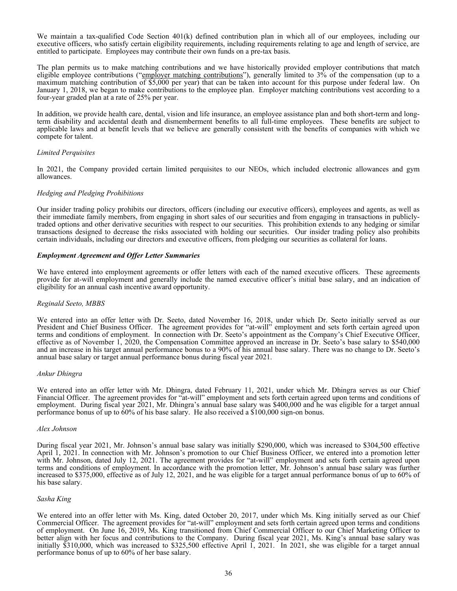We maintain a tax-qualified Code Section 401(k) defined contribution plan in which all of our employees, including our executive officers, who satisfy certain eligibility requirements, including requirements relating to age and length of service, are entitled to participate. Employees may contribute their own funds on a pre-tax basis.

The plan permits us to make matching contributions and we have historically provided employer contributions that match eligible employee contributions ("employer matching contributions"), generally limited to 3% of the compensation (up to a maximum matching contribution of \$5,000 per year) that can be taken into account for this purpose under federal law. On January 1, 2018, we began to make contributions to the employee plan. Employer matching contributions vest according to a four-year graded plan at a rate of 25% per year.

In addition, we provide health care, dental, vision and life insurance, an employee assistance plan and both short-term and longterm disability and accidental death and dismemberment benefits to all full-time employees. These benefits are subject to applicable laws and at benefit levels that we believe are generally consistent with the benefits of companies with which we compete for talent.

#### *Limited Perquisites*

In 2021, the Company provided certain limited perquisites to our NEOs, which included electronic allowances and gym allowances.

#### *Hedging and Pledging Prohibitions*

Our insider trading policy prohibits our directors, officers (including our executive officers), employees and agents, as well as their immediate family members, from engaging in short sales of our securities and from engaging in transactions in publiclytraded options and other derivative securities with respect to our securities. This prohibition extends to any hedging or similar transactions designed to decrease the risks associated with holding our securities. Our insider trading policy also prohibits certain individuals, including our directors and executive officers, from pledging our securities as collateral for loans.

#### *Employment Agreement and Offer Letter Summaries*

We have entered into employment agreements or offer letters with each of the named executive officers. These agreements provide for at-will employment and generally include the named executive officer's initial base salary, and an indication of eligibility for an annual cash incentive award opportunity.

### *Reginald Seeto, MBBS*

We entered into an offer letter with Dr. Seeto, dated November 16, 2018, under which Dr. Seeto initially served as our President and Chief Business Officer. The agreement provides for "at-will" employment and sets forth certain agreed upon terms and conditions of employment. In connection with Dr. Seeto's appointment as the Company's Chief Executive Officer, effective as of November 1, 2020, the Compensation Committee approved an increase in Dr. Seeto's base salary to \$540,000 and an increase in his target annual performance bonus to a 90% of his annual base salary. There was no change to Dr. Seeto's annual base salary or target annual performance bonus during fiscal year 2021.

#### *Ankur Dhingra*

We entered into an offer letter with Mr. Dhingra, dated February 11, 2021, under which Mr. Dhingra serves as our Chief Financial Officer. The agreement provides for "at-will" employment and sets forth certain agreed upon terms and conditions of employment. During fiscal year 2021, Mr. Dhingra's annual base salary was \$400,000 and he was eligible for a target annual performance bonus of up to 60% of his base salary. He also received a \$100,000 sign-on bonus.

#### *Alex Johnson*

During fiscal year 2021, Mr. Johnson's annual base salary was initially \$290,000, which was increased to \$304,500 effective April 1, 2021. In connection with Mr. Johnson's promotion to our Chief Business Officer, we entered into a promotion letter with Mr. Johnson, dated July 12, 2021. The agreement provides for "at-will" employment and sets forth certain agreed upon terms and conditions of employment. In accordance with the promotion letter, Mr. Johnson's annual base salary was further increased to \$375,000, effective as of July 12, 2021, and he was eligible for a target annual performance bonus of up to 60% of his base salary.

#### *Sasha King*

We entered into an offer letter with Ms. King, dated October 20, 2017, under which Ms. King initially served as our Chief Commercial Officer. The agreement provides for "at-will" employment and sets forth certain agreed upon terms and conditions of employment. On June 16, 2019, Ms. King transitioned from Chief Commercial Officer to our Chief Marketing Officer to better align with her focus and contributions to the Company. During fiscal year 2021, Ms. King's annual base salary was initially \$310,000, which was increased to \$325,500 effective April 1, 2021. In 2021, she was eligible for a target annual performance bonus of up to 60% of her base salary.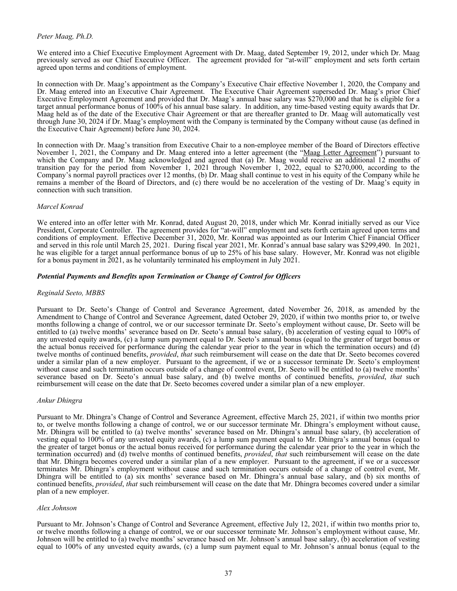### *Peter Maag, Ph.D.*

We entered into a Chief Executive Employment Agreement with Dr. Maag, dated September 19, 2012, under which Dr. Maag previously served as our Chief Executive Officer. The agreement provided for "at-will" employment and sets forth certain agreed upon terms and conditions of employment.

In connection with Dr. Maag's appointment as the Company's Executive Chair effective November 1, 2020, the Company and Dr. Maag entered into an Executive Chair Agreement. The Executive Chair Agreement superseded Dr. Maag's prior Chief Executive Employment Agreement and provided that Dr. Maag's annual base salary was \$270,000 and that he is eligible for a target annual performance bonus of 100% of his annual base salary. In addition, any time-based vesting equity awards that Dr. Maag held as of the date of the Executive Chair Agreement or that are thereafter granted to Dr. Maag will automatically vest through June 30, 2024 if Dr. Maag's employment with the Company is terminated by the Company without cause (as defined in the Executive Chair Agreement) before June 30, 2024.

In connection with Dr. Maag's transition from Executive Chair to a non-employee member of the Board of Directors effective November 1, 2021, the Company and Dr. Maag entered into a letter agreement (the "Maag Letter Agreement") pursuant to which the Company and Dr. Maag acknowledged and agreed that (a) Dr. Maag would receive an additional 12 months of transition pay for the period from November 1, 2021 through November 1, 2022, equal to \$270,000, according to the Company's normal payroll practices over 12 months, (b) Dr. Maag shall continue to vest in his equity of the Company while he remains a member of the Board of Directors, and (c) there would be no acceleration of the vesting of Dr. Maag's equity in connection with such transition.

### *Marcel Konrad*

We entered into an offer letter with Mr. Konrad, dated August 20, 2018, under which Mr. Konrad initially served as our Vice President, Corporate Controller. The agreement provides for "at-will" employment and sets forth certain agreed upon terms and conditions of employment. Effective December 31, 2020, Mr. Konrad was appointed as our Interim Chief Financial Officer and served in this role until March 25, 2021. During fiscal year 2021, Mr. Konrad's annual base salary was \$299,490. In 2021, he was eligible for a target annual performance bonus of up to 25% of his base salary. However, Mr. Konrad was not eligible for a bonus payment in 2021, as he voluntarily terminated his employment in July 2021.

### *Potential Payments and Benefits upon Termination or Change of Control for Officers*

### *Reginald Seeto, MBBS*

Pursuant to Dr. Seeto's Change of Control and Severance Agreement, dated November 26, 2018, as amended by the Amendment to Change of Control and Severance Agreement, dated October 29, 2020, if within two months prior to, or twelve months following a change of control, we or our successor terminate Dr. Seeto's employment without cause, Dr. Seeto will be entitled to (a) twelve months' severance based on Dr. Seeto's annual base salary, (b) acceleration of vesting equal to 100% of any unvested equity awards, (c) a lump sum payment equal to Dr. Seeto's annual bonus (equal to the greater of target bonus or the actual bonus received for performance during the calendar year prior to the year in which the termination occurs) and (d) twelve months of continued benefits, *provided*, *that* such reimbursement will cease on the date that Dr. Seeto becomes covered under a similar plan of a new employer. Pursuant to the agreement, if we or a successor terminate Dr. Seeto's employment without cause and such termination occurs outside of a change of control event, Dr. Seeto will be entitled to (a) twelve months' severance based on Dr. Seeto's annual base salary, and (b) twelve months of continued benefits, *provided*, *that* such reimbursement will cease on the date that Dr. Seeto becomes covered under a similar plan of a new employer.

### *Ankur Dhingra*

Pursuant to Mr. Dhingra's Change of Control and Severance Agreement, effective March 25, 2021, if within two months prior to, or twelve months following a change of control, we or our successor terminate Mr. Dhingra's employment without cause, Mr. Dhingra will be entitled to (a) twelve months' severance based on Mr. Dhingra's annual base salary, (b) acceleration of vesting equal to 100% of any unvested equity awards, (c) a lump sum payment equal to Mr. Dhingra's annual bonus (equal to the greater of target bonus or the actual bonus received for performance during the calendar year prior to the year in which the termination occurred) and (d) twelve months of continued benefits, *provided*, *that* such reimbursement will cease on the date that Mr. Dhingra becomes covered under a similar plan of a new employer. Pursuant to the agreement, if we or a successor terminates Mr. Dhingra's employment without cause and such termination occurs outside of a change of control event, Mr. Dhingra will be entitled to (a) six months' severance based on Mr. Dhingra's annual base salary, and (b) six months of continued benefits, *provided*, *that* such reimbursement will cease on the date that Mr. Dhingra becomes covered under a similar plan of a new employer.

#### *Alex Johnson*

Pursuant to Mr. Johnson's Change of Control and Severance Agreement, effective July 12, 2021, if within two months prior to, or twelve months following a change of control, we or our successor terminate Mr. Johnson's employment without cause, Mr. Johnson will be entitled to (a) twelve months' severance based on Mr. Johnson's annual base salary, (b) acceleration of vesting equal to 100% of any unvested equity awards, (c) a lump sum payment equal to Mr. Johnson's annual bonus (equal to the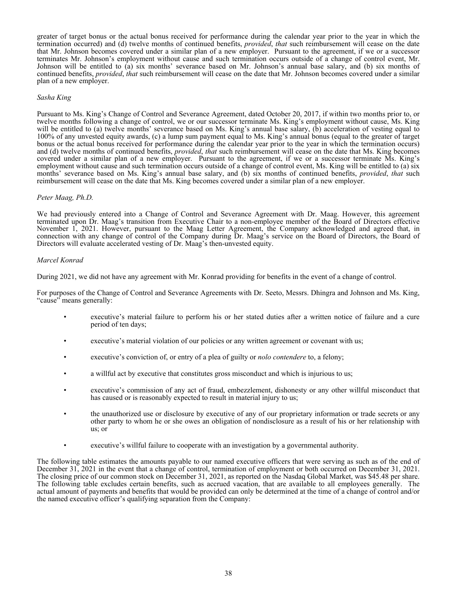greater of target bonus or the actual bonus received for performance during the calendar year prior to the year in which the termination occurred) and (d) twelve months of continued benefits, *provided*, *that* such reimbursement will cease on the date that Mr. Johnson becomes covered under a similar plan of a new employer. Pursuant to the agreement, if we or a successor terminates Mr. Johnson's employment without cause and such termination occurs outside of a change of control event, Mr. Johnson will be entitled to (a) six months' severance based on Mr. Johnson's annual base salary, and (b) six months of continued benefits, *provided*, *that* such reimbursement will cease on the date that Mr. Johnson becomes covered under a similar plan of a new employer.

### *Sasha King*

Pursuant to Ms. King's Change of Control and Severance Agreement, dated October 20, 2017, if within two months prior to, or twelve months following a change of control, we or our successor terminate Ms. King's employment without cause, Ms. King will be entitled to (a) twelve months' severance based on Ms. King's annual base salary, (b) acceleration of vesting equal to 100% of any unvested equity awards, (c) a lump sum payment equal to Ms. King's annual bonus (equal to the greater of target bonus or the actual bonus received for performance during the calendar year prior to the year in which the termination occurs) and (d) twelve months of continued benefits, *provided*, *that* such reimbursement will cease on the date that Ms. King becomes covered under a similar plan of a new employer. Pursuant to the agreement, if we or a successor terminate Ms. King's employment without cause and such termination occurs outside of a change of control event, Ms. King will be entitled to (a) six months' severance based on Ms. King's annual base salary, and (b) six months of continued benefits, *provided*, *that* such reimbursement will cease on the date that Ms. King becomes covered under a similar plan of a new employer.

### *Peter Maag, Ph.D.*

We had previously entered into a Change of Control and Severance Agreement with Dr. Maag. However, this agreement terminated upon Dr. Maag's transition from Executive Chair to a non-employee member of the Board of Directors effective November 1, 2021. However, pursuant to the Maag Letter Agreement, the Company acknowledged and agreed that, in connection with any change of control of the Company during Dr. Maag's service on the Board of Directors, the Board of Directors will evaluate accelerated vesting of Dr. Maag's then-unvested equity.

# *Marcel Konrad*

During 2021, we did not have any agreement with Mr. Konrad providing for benefits in the event of a change of control.

For purposes of the Change of Control and Severance Agreements with Dr. Seeto, Messrs. Dhingra and Johnson and Ms. King, "cause" means generally:

- executive's material failure to perform his or her stated duties after a written notice of failure and a cure period of ten days;
- executive's material violation of our policies or any written agreement or covenant with us;
- executive's conviction of, or entry of a plea of guilty or *nolo contendere* to, a felony;
- a willful act by executive that constitutes gross misconduct and which is injurious to us;
- executive's commission of any act of fraud, embezzlement, dishonesty or any other willful misconduct that has caused or is reasonably expected to result in material injury to us;
- the unauthorized use or disclosure by executive of any of our proprietary information or trade secrets or any other party to whom he or she owes an obligation of nondisclosure as a result of his or her relationship with us; or
- executive's willful failure to cooperate with an investigation by a governmental authority.

The following table estimates the amounts payable to our named executive officers that were serving as such as of the end of December 31, 2021 in the event that a change of control, termination of employment or both occurred on December 31, 2021. The closing price of our common stock on December 31, 2021, as reported on the Nasdaq Global Market, was \$45.48 per share. The following table excludes certain benefits, such as accrued vacation, that are available to all employees generally. The actual amount of payments and benefits that would be provided can only be determined at the time of a change of control and/or the named executive officer's qualifying separation from the Company: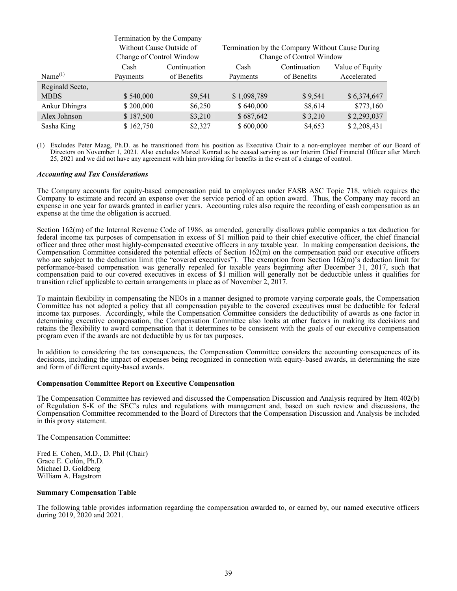<span id="page-42-0"></span>

|                     | Termination by the Company |              |             |                                                 |                 |  |  |  |
|---------------------|----------------------------|--------------|-------------|-------------------------------------------------|-----------------|--|--|--|
|                     | Without Cause Outside of   |              |             | Termination by the Company Without Cause During |                 |  |  |  |
|                     | Change of Control Window   |              |             | Change of Control Window                        |                 |  |  |  |
|                     | Cash                       | Continuation | Cash        | Continuation                                    | Value of Equity |  |  |  |
| Name <sup>(1)</sup> | Payments                   | of Benefits  | Payments    | of Benefits                                     | Accelerated     |  |  |  |
| Reginald Seeto,     |                            |              |             |                                                 |                 |  |  |  |
| <b>MBBS</b>         | \$540,000                  | \$9,541      | \$1,098,789 | \$9,541                                         | \$6,374,647     |  |  |  |
| Ankur Dhingra       | \$200,000                  | \$6,250      | \$640,000   | \$8,614                                         | \$773,160       |  |  |  |
| Alex Johnson        | \$187,500                  | \$3,210      | \$687,642   | \$3,210                                         | \$2,293,037     |  |  |  |
| Sasha King          | \$162,750                  | \$2,327      | \$600,000   | \$4,653                                         | \$2,208,431     |  |  |  |

(1) Excludes Peter Maag, Ph.D. as he transitioned from his position as Executive Chair to a non-employee member of our Board of Directors on November 1, 2021. Also excludes Marcel Konrad as he ceased serving as our Interim Chief Financial Officer after March 25, 2021 and we did not have any agreement with him providing for benefits in the event of a change of control.

#### *Accounting and Tax Considerations*

The Company accounts for equity-based compensation paid to employees under FASB ASC Topic 718, which requires the Company to estimate and record an expense over the service period of an option award. Thus, the Company may record an expense in one year for awards granted in earlier years. Accounting rules also require the recording of cash compensation as an expense at the time the obligation is accrued.

Section 162(m) of the Internal Revenue Code of 1986, as amended, generally disallows public companies a tax deduction for federal income tax purposes of compensation in excess of \$1 million paid to their chief executive officer, the chief financial officer and three other most highly-compensated executive officers in any taxable year. In making compensation decisions, the Compensation Committee considered the potential effects of Section 162(m) on the compensation paid our executive officers who are subject to the deduction limit (the "covered executives"). The exemption from Section  $162(m)$ 's deduction limit for performance-based compensation was generally repealed for taxable years beginning after December 31, 2017, such that compensation paid to our covered executives in excess of \$1 million will generally not be deductible unless it qualifies for transition relief applicable to certain arrangements in place as of November 2, 2017.

To maintain flexibility in compensating the NEOs in a manner designed to promote varying corporate goals, the Compensation Committee has not adopted a policy that all compensation payable to the covered executives must be deductible for federal income tax purposes. Accordingly, while the Compensation Committee considers the deductibility of awards as one factor in determining executive compensation, the Compensation Committee also looks at other factors in making its decisions and retains the flexibility to award compensation that it determines to be consistent with the goals of our executive compensation program even if the awards are not deductible by us for tax purposes.

In addition to considering the tax consequences, the Compensation Committee considers the accounting consequences of its decisions, including the impact of expenses being recognized in connection with equity-based awards, in determining the size and form of different equity-based awards.

### **Compensation Committee Report on Executive Compensation**

The Compensation Committee has reviewed and discussed the Compensation Discussion and Analysis required by Item 402(b) of Regulation S-K of the SEC's rules and regulations with management and, based on such review and discussions, the Compensation Committee recommended to the Board of Directors that the Compensation Discussion and Analysis be included in this proxy statement.

The Compensation Committee:

Fred E. Cohen, M.D., D. Phil (Chair) Grace E. Colón, Ph.D. Michael D. Goldberg William A. Hagstrom

#### **Summary Compensation Table**

The following table provides information regarding the compensation awarded to, or earned by, our named executive officers during 2019, 2020 and 2021.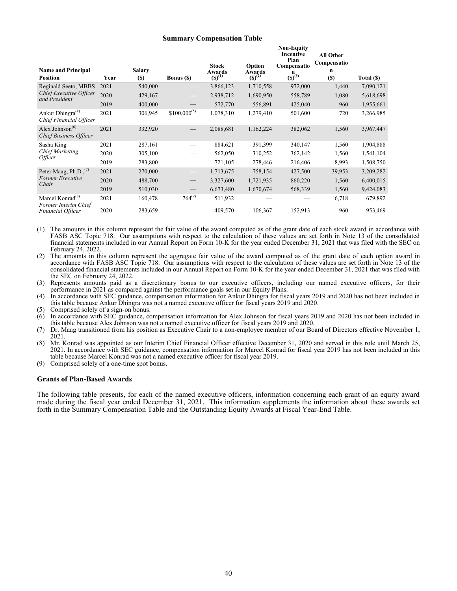#### **Summary Compensation Table**

**Non-Equity**

<span id="page-43-0"></span>

| <b>Name and Principal</b><br><b>Position</b>                 | Year | <b>Salary</b><br><b>(S)</b> | <b>Bonus</b> (\$)               | <b>Stock</b><br>Awards<br>$(S)^{(1)}$ | Option<br>Awards<br>$(S)^{(2)}$ | <b>Incentive</b><br>Plan<br>Compensatio<br>n<br>$\overline{(5)}^{(3)}$ | <b>All Other</b><br>Compensatio<br>n<br>(S) | Total (\$) |
|--------------------------------------------------------------|------|-----------------------------|---------------------------------|---------------------------------------|---------------------------------|------------------------------------------------------------------------|---------------------------------------------|------------|
| Reginald Seeto, MBBS                                         | 2021 | 540,000                     |                                 | 3,866,123                             | 1,710,558                       | 972,000                                                                | 1,440                                       | 7,090,121  |
| Chief Executive Officer<br>and President                     | 2020 | 429,167                     |                                 | 2,938,712                             | 1,690,950                       | 558,789                                                                | 1,080                                       | 5,618,698  |
|                                                              | 2019 | 400,000                     |                                 | 572,770                               | 556,891                         | 425,040                                                                | 960                                         | 1,955,661  |
| Ankur Dhingra <sup>(4)</sup><br>Chief Financial Officer      | 2021 | 306,945                     | $$100,000^{(5)}$                | 1,078,310                             | 1,279,410                       | 501,600                                                                | 720                                         | 3,266,985  |
| Alex Johnson <sup>(6)</sup><br><b>Chief Business Officer</b> | 2021 | 332,920                     |                                 | 2,088,681                             | 1,162,224                       | 382,062                                                                | 1,560                                       | 3,967,447  |
| Sasha King                                                   | 2021 | 287,161                     |                                 | 884,621                               | 391,399                         | 340,147                                                                | 1,560                                       | 1,904,888  |
| <b>Chief Marketing</b><br><i><b>Officer</b></i>              | 2020 | 305,100                     |                                 | 562,050                               | 310,252                         | 362,142                                                                | 1,560                                       | 1,541,104  |
|                                                              | 2019 | 283,800                     |                                 | 721,105                               | 278,446                         | 216,406                                                                | 8,993                                       | 1,508,750  |
| Peter Maag, Ph.D., <sup>(7)</sup>                            | 2021 | 270,000                     | $\hspace{0.1mm}-\hspace{0.1mm}$ | 1,713,675                             | 758,154                         | 427,500                                                                | 39,953                                      | 3,209,282  |
| <b>Former Executive</b><br>Chair                             | 2020 | 488,700                     | $\qquad \qquad -$               | 3,327,600                             | 1,721,935                       | 860,220                                                                | 1,560                                       | 6,400,015  |
|                                                              | 2019 | 510,030                     |                                 | 6,673,480                             | 1,670,674                       | 568,339                                                                | 1,560                                       | 9,424,083  |
| Marcel Konrad <sup>(8)</sup><br>Former Interim Chief         | 2021 | 160,478                     | $764^{(9)}$                     | 511,932                               |                                 |                                                                        | 6,718                                       | 679,892    |
| Financial Officer                                            | 2020 | 283,659                     |                                 | 409,570                               | 106,367                         | 152,913                                                                | 960                                         | 953,469    |

(1) The amounts in this column represent the fair value of the award computed as of the grant date of each stock award in accordance with FASB ASC Topic 718. Our assumptions with respect to the calculation of these values are set forth in Note 13 of the consolidated financial statements included in our Annual Report on Form 10-K for the year ended December 31, 2021 that was filed with the SEC on February 24, 2022.

(2) The amounts in this column represent the aggregate fair value of the award computed as of the grant date of each option award in accordance with FASB ASC Topic 718. Our assumptions with respect to the calculation of these values are set forth in Note 13 of the consolidated financial statements included in our Annual Report on Form 10-K for the year ended December 31, 2021 that was filed with the SEC on February 24, 2022.

(3) Represents amounts paid as a discretionary bonus to our executive officers, including our named executive officers, for their performance in 2021 as compared against the performance goals set in our Equity Plans.

(4) In accordance with SEC guidance, compensation information for Ankur Dhingra for fiscal years 2019 and 2020 has not been included in this table because Ankur Dhingra was not a named executive officer for fiscal years 2019 and 2020.

(5) Comprised solely of a sign-on bonus.

(6) In accordance with SEC guidance, compensation information for Alex Johnson for fiscal years 2019 and 2020 has not been included in this table because Alex Johnson was not a named executive officer for fiscal years 2019 and 2020.

(7) Dr. Maag transitioned from his position as Executive Chair to a non-employee member of our Board of Directors effective November 1, 2021.

(8) Mr. Konrad was appointed as our Interim Chief Financial Officer effective December 31, 2020 and served in this role until March 25, 2021. In accordance with SEC guidance, compensation information for Marcel Konrad for fiscal year 2019 has not been included in this table because Marcel Konrad was not a named executive officer for fiscal year 2019.

(9) Comprised solely of a one-time spot bonus.

#### **Grants of Plan-Based Awards**

The following table presents, for each of the named executive officers, information concerning each grant of an equity award made during the fiscal year ended December 31, 2021. This information supplements the information about these awards set forth in the Summary Compensation Table and the Outstanding Equity Awards at Fiscal Year-End Table.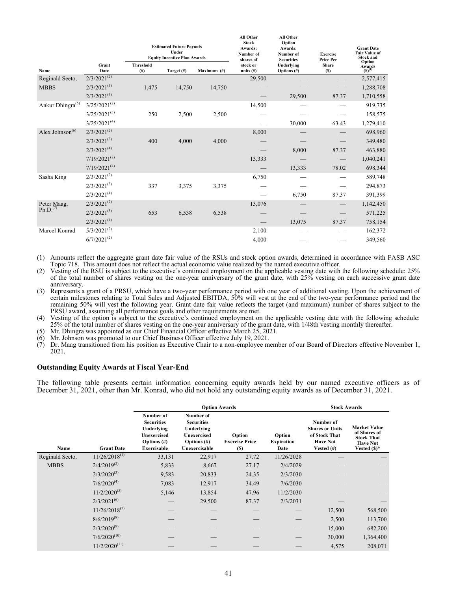<span id="page-44-0"></span>

|                              |                             | <b>Estimated Future Payouts</b><br>Under<br><b>Equity Incentive Plan Awards</b> |            |             | ли ошег<br>Stock<br>Awards:<br>Number of<br>shares of | ли ошег<br>Option<br>Awards:<br>Number of<br><b>Securities</b> | <b>Exercise</b><br>Price Per | <b>Grant Date</b><br><b>Fair Value of</b><br><b>Stock and</b> |
|------------------------------|-----------------------------|---------------------------------------------------------------------------------|------------|-------------|-------------------------------------------------------|----------------------------------------------------------------|------------------------------|---------------------------------------------------------------|
| Name                         | Grant<br>Date               | <b>Threshold</b><br>(# )                                                        | Target (#) | Maximum (#) | stock or<br>units $(f)$                               | Underlying<br>Options (#)                                      | Share<br>(S)                 | Option<br>Awards $(S)^{(1)}$                                  |
| Reginald Seeto,              | $2/3/202\overline{1^{(2)}}$ |                                                                                 |            |             | 29,500                                                |                                                                |                              | 2,577,415                                                     |
| <b>MBBS</b>                  | $2/3/2021^{(3)}$            | 1,475                                                                           | 14,750     | 14,750      |                                                       |                                                                |                              | 1,288,708                                                     |
|                              | $2/3/2021^{(4)}$            |                                                                                 |            |             |                                                       | 29,500                                                         | 87.37                        | 1,710,558                                                     |
| Ankur Dhingra <sup>(5)</sup> | $3/25/2021^{(2)}$           |                                                                                 |            |             | 14,500                                                |                                                                |                              | 919,735                                                       |
|                              | $3/25/2021^{(3)}$           | 250                                                                             | 2,500      | 2,500       |                                                       |                                                                |                              | 158,575                                                       |
|                              | $3/25/2021^{(4)}$           |                                                                                 |            |             |                                                       | 30,000                                                         | 63.43                        | 1,279,410                                                     |
| Alex Johnson <sup>(6)</sup>  | $2/3/2021^{(2)}$            |                                                                                 |            |             | 8,000                                                 |                                                                |                              | 698,960                                                       |
|                              | $2/3/2021^{(3)}$            | 400                                                                             | 4,000      | 4,000       |                                                       |                                                                |                              | 349,480                                                       |
|                              | $2/3/2021^{(4)}$            |                                                                                 |            |             |                                                       | 8,000                                                          | 87.37                        | 463,880                                                       |
|                              | $7/19/2021^{(2)}$           |                                                                                 |            |             | 13,333                                                |                                                                |                              | 1,040,241                                                     |
|                              | $7/19/2021^{(4)}$           |                                                                                 |            |             |                                                       | 13,333                                                         | 78.02                        | 698,344                                                       |
| Sasha King                   | $2/3/2021^{(2)}$            |                                                                                 |            |             | 6,750                                                 |                                                                |                              | 589,748                                                       |
|                              | $2/3/2021^{(3)}$            | 337                                                                             | 3,375      | 3,375       |                                                       |                                                                |                              | 294,873                                                       |
|                              | $2/3/2021^{(4)}$            |                                                                                 |            |             |                                                       | 6,750                                                          | 87.37                        | 391,399                                                       |
| Peter Maag,                  | $2/3/2021^{(2)}$            |                                                                                 |            |             | 13,076                                                |                                                                |                              | 1,142,450                                                     |
| Ph.D. <sup>(7)</sup>         | $2/3/2021^{(3)}$            | 653                                                                             | 6,538      | 6,538       |                                                       |                                                                |                              | 571,225                                                       |
|                              | $2/3/2021^{(4)}$            |                                                                                 |            |             |                                                       | 13,075                                                         | 87.37                        | 758,154                                                       |
| Marcel Konrad                | $5/3/2021^{(2)}$            |                                                                                 |            |             | 2,100                                                 |                                                                |                              | 162,372                                                       |
|                              | $6/7/2021^{(2)}$            |                                                                                 |            |             | 4,000                                                 |                                                                |                              | 349,560                                                       |
|                              |                             |                                                                                 |            |             |                                                       |                                                                |                              |                                                               |

**All Other**

**All Other**

(1) Amounts reflect the aggregate grant date fair value of the RSUs and stock option awards, determined in accordance with FASB ASC Topic 718. This amount does not reflect the actual economic value realized by the named executive officer.

(2) Vesting of the RSU is subject to the executive's continued employment on the applicable vesting date with the following schedule: 25% of the total number of shares vesting on the one-year anniversary of the grant date, with 25% vesting on each successive grant date anniversary.

(3) Represents a grant of a PRSU, which have a two-year performance period with one year of additional vesting. Upon the achievement of certain milestones relating to Total Sales and Adjusted EBITDA, 50% will vest at the end of the two-year performance period and the remaining 50% will vest the following year. Grant date fair value reflects the target (and maximum) number of shares subject to the PRSU award, assuming all performance goals and other requirements are met.

(4) Vesting of the option is subject to the executive's continued employment on the applicable vesting date with the following schedule: 25% of the total number of shares vesting on the one-year anniversary of the grant date, with 1/48th vesting monthly thereafter.

(5) Mr. Dhingra was appointed as our Chief Financial Officer effective March 25, 2021.

(6) Mr. Johnson was promoted to our Chief Business Officer effective July 19, 2021.

Dr. Maag transitioned from his position as Executive Chair to a non-employee member of our Board of Directors effective November 1, 2021.

### **Outstanding Equity Awards at Fiscal Year-End**

The following table presents certain information concerning equity awards held by our named executive officers as of December 31, 2021, other than Mr. Konrad, who did not hold any outstanding equity awards as of December 31, 2021.

|                 |                    |                                                                                                            | <b>Option Awards</b>                                                                                  |                                        |                                     |                                                                                          | <b>Stock Awards</b>                                                                           |  |  |
|-----------------|--------------------|------------------------------------------------------------------------------------------------------------|-------------------------------------------------------------------------------------------------------|----------------------------------------|-------------------------------------|------------------------------------------------------------------------------------------|-----------------------------------------------------------------------------------------------|--|--|
| Name            | <b>Grant Date</b>  | Number of<br><b>Securities</b><br>Underlying<br><b>Unexercised</b><br>Options $(\#)$<br><b>Exercisable</b> | Number of<br><b>Securities</b><br>Underlying<br><b>Unexercised</b><br>Options $(\#)$<br>Unexercisable | Option<br><b>Exercise Price</b><br>(S) | Option<br><b>Expiration</b><br>Date | Number of<br><b>Shares or Units</b><br>of Stock That<br><b>Have Not</b><br>Vested $(\#)$ | <b>Market Value</b><br>of Shares of<br><b>Stock That</b><br><b>Have Not</b><br>Vested $(S)^*$ |  |  |
| Reginald Seeto, | $11/26/2018^{(1)}$ | 33,131                                                                                                     | 22,917                                                                                                | 27.72                                  | 11/26/2028                          |                                                                                          |                                                                                               |  |  |
| <b>MBBS</b>     | $2/4/2019^{(2)}$   | 5,833                                                                                                      | 8,667                                                                                                 | 27.17                                  | 2/4/2029                            |                                                                                          |                                                                                               |  |  |
|                 | $2/3/2020^{(3)}$   | 9,583                                                                                                      | 20,833                                                                                                | 24.35                                  | 2/3/2030                            |                                                                                          |                                                                                               |  |  |
|                 | $7/6/2020^{(4)}$   | 7,083                                                                                                      | 12,917                                                                                                | 34.49                                  | 7/6/2030                            |                                                                                          |                                                                                               |  |  |
|                 | $11/2/2020^{(5)}$  | 5,146                                                                                                      | 13,854                                                                                                | 47.96                                  | 11/2/2030                           |                                                                                          |                                                                                               |  |  |
|                 | $2/3/2021^{(6)}$   |                                                                                                            | 29,500                                                                                                | 87.37                                  | 2/3/2031                            |                                                                                          |                                                                                               |  |  |
|                 | $11/26/2018^{(7)}$ |                                                                                                            |                                                                                                       |                                        |                                     | 12,500                                                                                   | 568,500                                                                                       |  |  |
|                 | $8/6/2019^{(8)}$   |                                                                                                            |                                                                                                       |                                        |                                     | 2,500                                                                                    | 113,700                                                                                       |  |  |
|                 | $2/3/2020^{(9)}$   |                                                                                                            |                                                                                                       |                                        |                                     | 15,000                                                                                   | 682,200                                                                                       |  |  |
|                 | $7/6/2020^{(10)}$  |                                                                                                            |                                                                                                       |                                        |                                     | 30,000                                                                                   | 1,364,400                                                                                     |  |  |
|                 | $11/2/2020^{(11)}$ |                                                                                                            |                                                                                                       |                                        |                                     | 4,575                                                                                    | 208,071                                                                                       |  |  |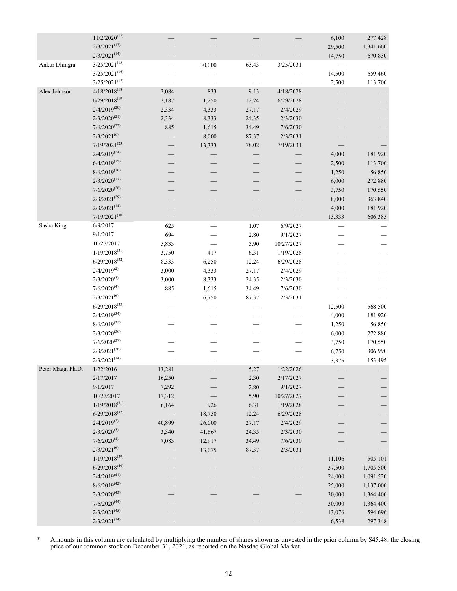|                   | $11/2/2020^{(12)}$ |        |        |       |            | 6,100  | 277,428   |
|-------------------|--------------------|--------|--------|-------|------------|--------|-----------|
|                   | $2/3/2021^{(13)}$  |        |        |       |            | 29,500 | 1,341,660 |
|                   | $2/3/2021^{(14)}$  |        |        |       |            | 14,750 | 670,830   |
| Ankur Dhingra     | $3/25/2021^{(15)}$ |        | 30,000 | 63.43 | 3/25/2031  |        |           |
|                   | $3/25/2021^{(16)}$ |        |        |       |            | 14,500 | 659,460   |
|                   | $3/25/2021^{(17)}$ |        |        |       |            | 2,500  | 113,700   |
| Alex Johnson      | $4/18/2018^{(18)}$ | 2,084  | 833    | 9.13  | 4/18/2028  |        |           |
|                   | $6/29/2018^{(19)}$ | 2,187  | 1,250  | 12.24 | 6/29/2028  |        |           |
|                   | $2/4/2019^{(20)}$  | 2,334  | 4,333  | 27.17 | 2/4/2029   |        |           |
|                   | $2/3/2020^{(21)}$  | 2,334  | 8,333  | 24.35 | 2/3/2030   |        |           |
|                   | $7/6/2020^{(22)}$  | 885    | 1,615  | 34.49 | 7/6/2030   |        |           |
|                   | $2/3/2021^{(6)}$   |        | 8,000  | 87.37 | 2/3/2031   |        |           |
|                   | $7/19/2021^{(23)}$ |        | 13,333 | 78.02 | 7/19/2031  |        |           |
|                   | $2/4/2019^{(24)}$  |        |        |       |            | 4,000  | 181,920   |
|                   | $6/4/2019^{(25)}$  |        |        |       |            | 2,500  | 113,700   |
|                   | $8/6/2019^{(26)}$  |        |        |       |            | 1,250  | 56,850    |
|                   | $2/3/2020^{(27)}$  |        |        |       |            | 6,000  | 272,880   |
|                   | $7/6/2020^{(28)}$  |        |        |       |            | 3,750  | 170,550   |
|                   | $2/3/2021^{(29)}$  |        |        |       |            | 8,000  |           |
|                   | $2/3/2021^{(14)}$  |        |        |       |            |        | 363,840   |
|                   | $7/19/2021^{(30)}$ |        |        |       |            | 4,000  | 181,920   |
|                   |                    |        |        |       |            | 13,333 | 606,385   |
| Sasha King        | 6/9/2017           | 625    |        | 1.07  | 6/9/2027   |        |           |
|                   | 9/1/2017           | 694    |        | 2.80  | 9/1/2027   |        |           |
|                   | 10/27/2017         | 5,833  |        | 5.90  | 10/27/2027 |        |           |
|                   | $1/19/2018^{(31)}$ | 3,750  | 417    | 6.31  | 1/19/2028  |        |           |
|                   | $6/29/2018^{(32)}$ | 8,333  | 6,250  | 12.24 | 6/29/2028  |        |           |
|                   | $2/4/2019^{(2)}$   | 3,000  | 4,333  | 27.17 | 2/4/2029   |        |           |
|                   | $2/3/2020^{(3)}$   | 3,000  | 8,333  | 24.35 | 2/3/2030   |        |           |
|                   | $7/6/2020^{(4)}$   | 885    | 1,615  | 34.49 | 7/6/2030   |        |           |
|                   | $2/3/2021^{(6)}$   |        | 6,750  | 87.37 | 2/3/2031   |        |           |
|                   | $6/29/2018^{(33)}$ |        |        |       |            | 12,500 | 568,500   |
|                   | $2/4/2019^{(34)}$  |        |        |       |            | 4,000  | 181,920   |
|                   | $8/6/2019^{(35)}$  |        |        |       |            | 1,250  | 56,850    |
|                   | $2/3/2020^{(36)}$  |        |        |       |            | 6,000  | 272,880   |
|                   | $7/6/2020^{(37)}$  |        |        |       |            | 3,750  | 170,550   |
|                   | $2/3/2021^{(38)}$  |        |        |       |            | 6,750  | 306,990   |
|                   | $2/3/2021^{(14)}$  |        |        |       |            | 3,375  | 153,495   |
| Peter Maag, Ph.D. | 1/22/2016          | 13,281 |        | 5.27  | 1/22/2026  |        |           |
|                   | 2/17/2017          | 16,250 |        | 2.30  | 2/17/2027  |        |           |
|                   | 9/1/2017           | 7,292  |        | 2.80  | 9/1/2027   |        |           |
|                   | 10/27/2017         | 17,312 |        | 5.90  | 10/27/2027 |        |           |
|                   | $1/19/2018^{(31)}$ | 6,164  | 926    | 6.31  | 1/19/2028  |        |           |
|                   | $6/29/2018^{(32)}$ |        | 18,750 | 12.24 | 6/29/2028  |        |           |
|                   | $2/4/2019^{(2)}$   | 40,899 | 26,000 | 27.17 | 2/4/2029   |        |           |
|                   | $2/3/2020^{(3)}$   | 3,340  | 41,667 | 24.35 | 2/3/2030   |        |           |
|                   | $7/6/2020^{(4)}$   | 7,083  | 12,917 | 34.49 | 7/6/2030   |        |           |
|                   | $2/3/2021^{(6)}$   |        | 13,075 | 87.37 | 2/3/2031   |        |           |
|                   | $1/19/2018^{(39)}$ |        |        |       |            | 11,106 | 505,101   |
|                   | $6/29/2018^{(40)}$ |        |        |       |            | 37,500 | 1,705,500 |
|                   | $2/4/2019^{(41)}$  |        |        |       |            | 24,000 | 1,091,520 |
|                   | $8/6/2019^{(42)}$  |        |        |       |            | 25,000 | 1,137,000 |
|                   | $2/3/2020^{(43)}$  |        |        |       |            |        |           |
|                   | $7/6/2020^{(44)}$  |        |        |       |            | 30,000 | 1,364,400 |
|                   | $2/3/2021^{(45)}$  |        |        |       |            | 30,000 | 1,364,400 |
|                   |                    |        |        |       |            | 13,076 | 594,696   |
|                   | $2/3/2021^{(14)}$  |        |        |       |            | 6,538  | 297,348   |

\* Amounts in this column are calculated by multiplying the number of shares shown as unvested in the prior column by \$45.48, the closing price of our common stock on December 31, 2021, as reported on the Nasdaq Global Market.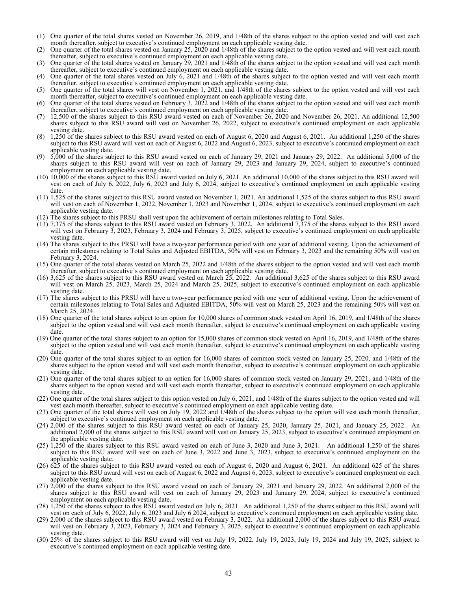- (1) One quarter of the total shares vested on November 26, 2019, and 1/48th of the shares subject to the option vested and will vest each month thereafter, subject to executive's continued employment on each applicable vesting date.
- (2) One quarter of the total shares vested on January 25, 2020 and 1/48th of the shares subject to the option vested and will vest each month thereafter, subject to executive's continued employment on each applicable vesting date.
- (3) One quarter of the total shares vested on January 29, 2021 and 1/48th of the shares subject to the option vested and will vest each month thereafter, subject to executive's continued employment on each applicable vesting date.
- (4) One quarter of the total shares vested on July 6, 2021 and 1/48th of the shares subject to the option vested and will vest each month thereafter, subject to executive's continued employment on each applicable vesting date.
- (5) One quarter of the total shares will vest on November 1, 2021, and 1/48th of the shares subject to the option vested and will vest each month thereafter, subject to executive's continued employment on each applicable vesting date.
- (6) One quarter of the total shares vested on February 3, 2022 and 1/48th of the shares subject to the option vested and will vest each month thereafter, subject to executive's continued employment on each applicable vesting date.
- (7) 12,500 of the shares subject to this RSU award vested on each of November 26, 2020 and November 26, 2021. An additional 12,500 shares subject to this RSU award will vest on November 26, 2022, subject to executive's continued employment on each applicable vesting date.
- (8) 1,250 of the shares subject to this RSU award vested on each of August 6, 2020 and August 6, 2021. An additional 1,250 of the shares subject to this RSU award will vest on each of August 6, 2022 and August 6, 2023, subject to executive's continued employment on each applicable vesting date.
- 5,000 of the shares subject to this RSU award vested on each of January 29, 2021 and January 29, 2022. An additional 5,000 of the shares subject to this RSU award will vest on each of January 29, 2023 and January 29, 2024, subject to executive's continued employment on each applicable vesting date.
- (10) 10,000 of the shares subject to this RSU award vested on July 6, 2021. An additional 10,000 of the shares subject to this RSU award will vest on each of July 6, 2022, July 6, 2023 and July 6, 2024, subject to executive's continued employment on each applicable vesting date.
- (11) 1,525 of the shares subject to this RSU award vested on November 1, 2021. An additional 1,525 of the shares subject to this RSU award will vest on each of November 1, 2022, November 1, 2023 and November 1, 2024, subject to executive's continued employment on each applicable vesting date.
- (12) The shares subject to this PRSU shall vest upon the achievement of certain milestones relating to Total Sales.
- (13) 7,375 of the shares subject to this RSU award vested on February 3, 2022. An additional 7,375 of the shares subject to this RSU award will vest on February 3, 2023, February 3, 2024 and February 3, 2025, subject to executive's continued employment on each applicable vesting date.
- (14) The shares subject to this PRSU will have a two-year performance period with one year of additional vesting. Upon the achievement of certain milestones relating to Total Sales and Adjusted EBITDA, 50% will vest on February 3, 2023 and the remaining 50% will vest on February 3, 2024.
- (15) One quarter of the total shares vested on March 25, 2022 and 1/48th of the shares subject to the option vested and will vest each month thereafter, subject to executive's continued employment on each applicable vesting date.
- (16) 3,625 of the shares subject to this RSU award vested on March 25, 2022. An additional 3,625 of the shares subject to this RSU award will vest on March 25, 2023, March 25, 2024 and March 25, 2025, subject to executive's continued employment on each applicable vesting date.
- (17) The shares subject to this PRSU will have a two-year performance period with one year of additional vesting. Upon the achievement of certain milestones relating to Total Sales and Adjusted EBITDA, 50% will vest on March 25, 2023 and the remaining 50% will vest on March 25, 2024.
- (18) One quarter of the total shares subject to an option for 10,000 shares of common stock vested on April 16, 2019, and 1/48th of the shares subject to the option vested and will vest each month thereafter, subject to executive's continued employment on each applicable vesting date.
- (19) One quarter of the total shares subject to an option for 15,000 shares of common stock vested on April 16, 2019, and 1/48th of the shares subject to the option vested and will vest each month thereafter, subject to executive's continued employment on each applicable vesting date.
- (20) One quarter of the total shares subject to an option for 16,000 shares of common stock vested on January 25, 2020, and 1/48th of the shares subject to the option vested and will vest each month thereafter, subject to executive's continued employment on each applicable vesting date.
- (21) One quarter of the total shares subject to an option for 16,000 shares of common stock vested on January 29, 2021, and 1/48th of the shares subject to the option vested and will vest each month thereafter, subject to executive's continued employment on each applicable vesting date.
- (22) One quarter of the total shares subject to this option vested on July 6, 2021, and 1/48th of the shares subject to the option vested and will vest each month thereafter, subject to executive's continued employment on each applicable vesting date.
- (23) One quarter of the total shares will vest on July 19, 2022 and  $1/48$ th of the shares subject to the option will vest each month thereafter, subject to executive's continued employment on each applicable vesting date.
- (24) 2,000 of the shares subject to this RSU award vested on each of January 25, 2020, January 25, 2021, and January 25, 2022. An additional 2,000 of the shares subject to this RSU award will vest on January 25, 2023, subject to executive's continued employment on the applicable vesting date.
- (25) 1,250 of the shares subject to this RSU award vested on each of June 3, 2020 and June 3, 2021. An additional 1,250 of the shares subject to this RSU award will vest on each of June 3, 2022 and June 3, 2023, subject to executive's continued employment on the applicable vesting date.
- (26) 625 of the shares subject to this RSU award vested on each of August 6, 2020 and August 6, 2021. An additional 625 of the shares subject to this RSU award will vest on each of August 6, 2022 and August 6, 2023, subject to executive's continued employment on each applicable vesting date.
- (27) 2,000 of the shares subject to this RSU award vested on each of January 29, 2021 and January 29, 2022. An additional 2,000 of the shares subject to this RSU award will vest on each of January 29, 2023 and January 29, 2024, subject to executive's continued employment on each applicable vesting date.
- (28) 1,250 of the shares subject to this RSU award vested on July 6, 2021. An additional 1,250 of the shares subject to this RSU award will vest on each of July 6, 2022, July 6, 2023 and July 6 2024, subject to executive's continued employment on each applicable vesting date.
- (29) 2,000 of the shares subject to this RSU award vested on February 3, 2022. An additional 2,000 of the shares subject to this RSU award will vest on February 3, 2023, February 3, 2024 and February 3, 2025, subject to executive's continued employment on each applicable vesting date.
- (30) 25% of the shares subject to this RSU award will vest on July 19, 2022, July 19, 2023, July 19, 2024 and July 19, 2025, subject to executive's continued employment on each applicable vesting date.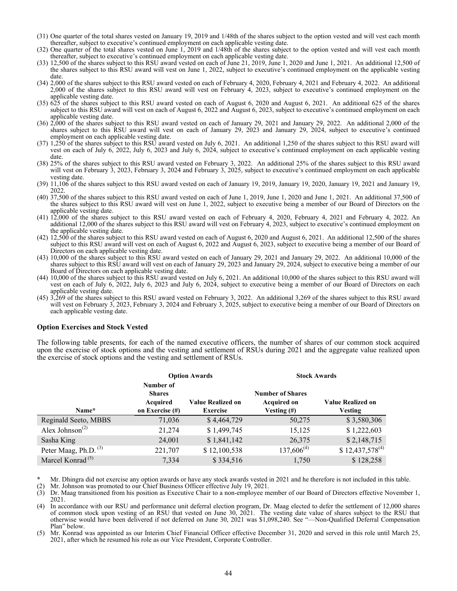- <span id="page-47-0"></span>(31) One quarter of the total shares vested on January 19, 2019 and 1/48th of the shares subject to the option vested and will vest each month thereafter, subject to executive's continued employment on each applicable vesting date.
- (32) One quarter of the total shares vested on June 1, 2019 and 1/48th of the shares subject to the option vested and will vest each month thereafter, subject to executive's continued employment on each applicable vesting date.
- (33) 12,500 of the shares subject to this RSU award vested on each of June 21, 2019, June 1, 2020 and June 1, 2021. An additional 12,500 of the shares subject to this RSU award will vest on June 1, 2022, subject to executive's continued employment on the applicable vesting date.
- (34) 2,000 of the shares subject to this RSU award vested on each of February 4, 2020, February 4, 2021 and February 4, 2022. An additional 2,000 of the shares subject to this RSU award will vest on February 4, 2023, subject to executive's continued employment on the applicable vesting date.
- (35) 625 of the shares subject to this RSU award vested on each of August 6, 2020 and August 6, 2021. An additional 625 of the shares subject to this RSU award will vest on each of August 6, 2022 and August 6, 2023, subject to executive's continued employment on each applicable vesting date.
- (36) 2,000 of the shares subject to this RSU award vested on each of January 29, 2021 and January 29, 2022. An additional 2,000 of the shares subject to this RSU award will vest on each of January 29, 2023 and January 29, 2024, subject to executive's continued employment on each applicable vesting date.
- (37) 1,250 of the shares subject to this RSU award vested on July 6, 2021. An additional 1,250 of the shares subject to this RSU award will vest on each of July 6, 2022, July 6, 2023 and July 6, 2024, subject to executive's continued employment on each applicable vesting date.
- (38) 25% of the shares subject to this RSU award vested on February 3, 2022. An additional 25% of the shares subject to this RSU award will vest on February 3, 2023, February 3, 2024 and February 3, 2025, subject to executive's continued employment on each applicable vesting date.
- (39) 11,106 of the shares subject to this RSU award vested on each of January 19, 2019, January 19, 2020, January 19, 2021 and January 19, 2022.
- (40) 37,500 of the shares subject to this RSU award vested on each of June 1, 2019, June 1, 2020 and June 1, 2021. An additional 37,500 of the shares subject to this RSU award will vest on June 1, 2022, subject to executive being a member of our Board of Directors on the applicable vesting date.
- (41) 12,000 of the shares subject to this RSU award vested on each of February 4, 2020, February 4, 2021 and February 4, 2022. An additional 12,000 of the shares subject to this RSU award will vest on February 4, 2023, subject to executive's continued employment on the applicable vesting date.
- (42) 12,500 of the shares subject to this RSU award vested on each of August 6, 2020 and August 6, 2021. An additional 12,500 of the shares subject to this RSU award will vest on each of August 6, 2022 and August 6, 2023, subject to executive being a member of our Board of Directors on each applicable vesting date.
- (43) 10,000 of the shares subject to this RSU award vested on each of January 29, 2021 and January 29, 2022. An additional 10,000 of the shares subject to this RSU award will vest on each of January 29, 2023 and January 29, 2024, subject to executive being a member of our Board of Directors on each applicable vesting date.
- (44) 10,000 of the shares subject to this RSU award vested on July 6, 2021. An additional 10,000 of the shares subject to this RSU award will vest on each of July 6, 2022, July 6, 2023 and July 6, 2024, subject to executive being a member of our Board of Directors on each applicable vesting date.
- (45) 3,269 of the shares subject to this RSU award vested on February 3, 2022. An additional 3,269 of the shares subject to this RSU award will vest on February 3, 2023, February 3, 2024 and February 3, 2025, subject to executive being a member of our Board of Directors on each applicable vesting date.

### **Option Exercises and Stock Vested**

The following table presents, for each of the named executive officers, the number of shares of our common stock acquired upon the exercise of stock options and the vesting and settlement of RSUs during 2021 and the aggregate value realized upon the exercise of stock options and the vesting and settlement of RSUs.

|                                          |                                                                  | <b>Option Awards</b>                        | <b>Stock Awards</b>                                          |                                            |  |
|------------------------------------------|------------------------------------------------------------------|---------------------------------------------|--------------------------------------------------------------|--------------------------------------------|--|
| Name*                                    | Number of<br><b>Shares</b><br><b>Acquired</b><br>on Exercise (#) | <b>Value Realized on</b><br><b>Exercise</b> | <b>Number of Shares</b><br><b>Acquired on</b><br>Vesting (#) | <b>Value Realized on</b><br><b>Vesting</b> |  |
| Reginald Seeto, MBBS                     | 71,036                                                           | \$4,464,729                                 | 50,275                                                       | \$3,580,306                                |  |
| Alex Johnson <sup><math>(2)</math></sup> | 21,274                                                           | \$1,499,745                                 | 15,125                                                       | \$1,222,603                                |  |
| Sasha King                               | 24,001                                                           | \$1,841,142                                 | 26,375                                                       | \$2,148,715                                |  |
| Peter Maag, Ph.D. <sup>(3)</sup>         | 221,707                                                          | \$12,100,538                                | $137,606^{(4)}$                                              | $$12,437,578^{(4)}$                        |  |
| Marcel Konrad <sup>(5)</sup>             | 7,334                                                            | \$334,516                                   | 1,750                                                        | \$128,258                                  |  |

Mr. Dhingra did not exercise any option awards or have any stock awards vested in 2021 and he therefore is not included in this table.

(2) Mr. Johnson was promoted to our Chief Business Officer effective July 19, 2021.

(3) Dr. Maag transitioned from his position as Executive Chair to a non-employee member of our Board of Directors effective November 1, 2021.

(4) In accordance with our RSU and performance unit deferral election program, Dr. Maag elected to defer the settlement of 12,000 shares of common stock upon vesting of an RSU that vested on June 30, 2021. The vesting date value of shares subject to the RSU that otherwise would have been delivered if not deferred on June 30, 2021 was \$1,098,240. See "—Non-Qualified Deferral Compensation Plan" below.

(5) Mr. Konrad was appointed as our Interim Chief Financial Officer effective December 31, 2020 and served in this role until March 25, 2021, after which he resumed his role as our Vice President, Corporate Controller.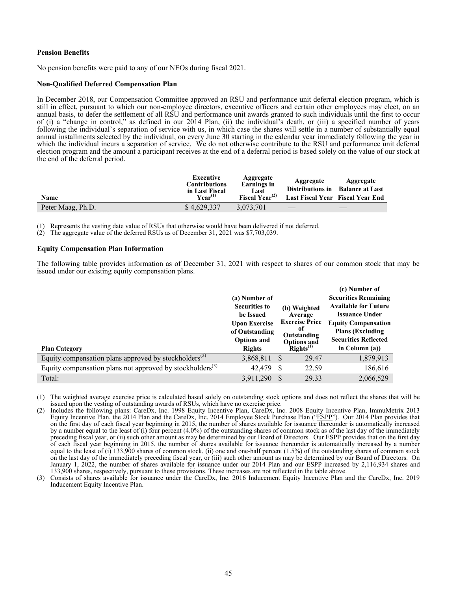### <span id="page-48-0"></span>**Pension Benefits**

No pension benefits were paid to any of our NEOs during fiscal 2021.

# **Non-Qualified Deferred Compensation Plan**

In December 2018, our Compensation Committee approved an RSU and performance unit deferral election program, which is still in effect, pursuant to which our non-employee directors, executive officers and certain other employees may elect, on an annual basis, to defer the settlement of all RSU and performance unit awards granted to such individuals until the first to occur of (i) a "change in control," as defined in our 2014 Plan, (ii) the individual's death, or (iii) a specified number of years following the individual's separation of service with us, in which case the shares will settle in a number of substantially equal annual installments selected by the individual, on every June 30 starting in the calendar year immediately following the year in which the individual incurs a separation of service. We do not otherwise contribute to the RSU and performance unit deferral election program and the amount a participant receives at the end of a deferral period is based solely on the value of our stock at the end of the deferral period.

| Name              | Executive<br><b>Contributions</b><br>in Last Fiscal<br>$\mathbf{V}$ ear $^{(1)}$ | Aggregate<br>Earnings in<br>Last<br>Fiscal Year <sup><math>(2)</math></sup> | Aggregate<br>Distributions in<br>Last Fiscal Year Fiscal Year End | Aggregate<br><b>Balance at Last</b> |
|-------------------|----------------------------------------------------------------------------------|-----------------------------------------------------------------------------|-------------------------------------------------------------------|-------------------------------------|
| Peter Maag, Ph.D. | \$4,629,337                                                                      | 3.073.701                                                                   |                                                                   |                                     |

(1) Represents the vesting date value of RSUs that otherwise would have been delivered if not deferred.<br>(2) The aggregate value of the deferred RSUs as of December 31, 2021 was \$7,703,039.

The aggregate value of the deferred RSUs as of December 31, 2021 was \$7,703,039.

# **Equity Compensation Plan Information**

The following table provides information as of December 31, 2021 with respect to shares of our common stock that may be issued under our existing equity compensation plans.

|                                                                       |                      |                       | (c) Number of               |
|-----------------------------------------------------------------------|----------------------|-----------------------|-----------------------------|
|                                                                       | (a) Number of        |                       | <b>Securities Remaining</b> |
|                                                                       | <b>Securities to</b> | (b) Weighted          | <b>Available for Future</b> |
|                                                                       | be Issued            | Average               | <b>Issuance Under</b>       |
|                                                                       | <b>Upon Exercise</b> | <b>Exercise Price</b> | <b>Equity Compensation</b>  |
|                                                                       | of Outstanding       | 0t<br>Outstanding     | <b>Plans (Excluding)</b>    |
|                                                                       | <b>Options and</b>   | <b>Options and</b>    | <b>Securities Reflected</b> |
| <b>Plan Category</b>                                                  | <b>Rights</b>        | $Rights^{(1)}$        | in Column $(a)$ )           |
|                                                                       |                      |                       |                             |
| Equity compensation plans approved by stockholders <sup>(2)</sup>     | 3,868,811            | 29.47<br>- \$         | 1,879,913                   |
| Equity compensation plans not approved by stockholders <sup>(3)</sup> | 42,479               | 22.59                 | 186,616                     |

<sup>(1)</sup> The weighted average exercise price is calculated based solely on outstanding stock options and does not reflect the shares that will be issued upon the vesting of outstanding awards of RSUs, which have no exercise price.

<sup>(2)</sup> Includes the following plans: CareDx, Inc. 1998 Equity Incentive Plan, CareDx, Inc. 2008 Equity Incentive Plan, ImmuMetrix 2013 Equity Incentive Plan, the 2014 Plan and the CareDx, Inc. 2014 Employee Stock Purchase Plan ("ESPP"). Our 2014 Plan provides that on the first day of each fiscal year beginning in 2015, the number of shares available for issuance thereunder is automatically increased by a number equal to the least of (i) four percent (4.0%) of the outstanding shares of common stock as of the last day of the immediately preceding fiscal year, or (ii) such other amount as may be determined by our Board of Directors. Our ESPP provides that on the first day of each fiscal year beginning in 2015, the number of shares available for issuance thereunder is automatically increased by a number equal to the least of (i) 133,900 shares of common stock, (ii) one and one-half percent (1.5%) of the outstanding shares of common stock on the last day of the immediately preceding fiscal year, or (iii) such other amount as may be determined by our Board of Directors. On January 1, 2022, the number of shares available for issuance under our 2014 Plan and our ESPP increased by 2,116,934 shares and 133,900 shares, respectively, pursuant to these provisions. These increases are not reflected in the table above.

<sup>(3)</sup> Consists of shares available for issuance under the CareDx, Inc. 2016 Inducement Equity Incentive Plan and the CareDx, Inc. 2019 Inducement Equity Incentive Plan.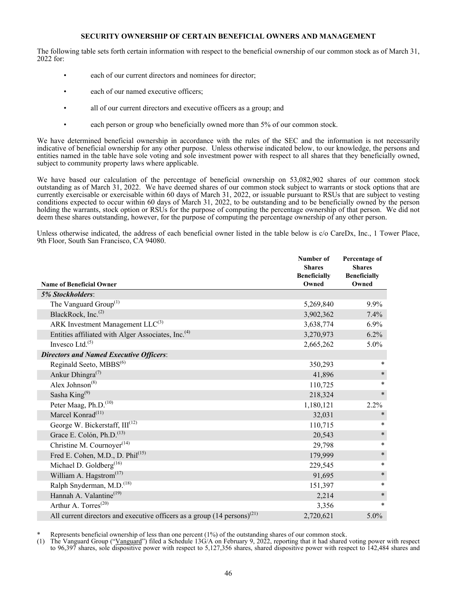### **SECURITY OWNERSHIP OF CERTAIN BENEFICIAL OWNERS AND MANAGEMENT**

<span id="page-49-0"></span>The following table sets forth certain information with respect to the beneficial ownership of our common stock as of March 31, 2022 for:

- each of our current directors and nominees for director;
- each of our named executive officers;
- all of our current directors and executive officers as a group; and
- each person or group who beneficially owned more than 5% of our common stock.

We have determined beneficial ownership in accordance with the rules of the SEC and the information is not necessarily indicative of beneficial ownership for any other purpose. Unless otherwise indicated below, to our knowledge, the persons and entities named in the table have sole voting and sole investment power with respect to all shares that they beneficially owned, subject to community property laws where applicable.

We have based our calculation of the percentage of beneficial ownership on 53,082,902 shares of our common stock outstanding as of March 31, 2022. We have deemed shares of our common stock subject to warrants or stock options that are currently exercisable or exercisable within 60 days of March 31, 2022, or issuable pursuant to RSUs that are subject to vesting conditions expected to occur within 60 days of March 31, 2022, to be outstanding and to be beneficially owned by the person holding the warrants, stock option or RSUs for the purpose of computing the percentage ownership of that person. We did not deem these shares outstanding, however, for the purpose of computing the percentage ownership of any other person.

Unless otherwise indicated, the address of each beneficial owner listed in the table below is c/o CareDx, Inc., 1 Tower Place, 9th Floor, South San Francisco, CA 94080.

|                                                                                       | Number of<br><b>Shares</b><br><b>Beneficially</b> | Percentage of<br><b>Shares</b><br><b>Beneficially</b> |
|---------------------------------------------------------------------------------------|---------------------------------------------------|-------------------------------------------------------|
| <b>Name of Beneficial Owner</b>                                                       | Owned                                             | Owned                                                 |
| <b>5% Stockholders:</b>                                                               |                                                   |                                                       |
| The Vanguard Group <sup>(1)</sup>                                                     | 5,269,840                                         | 9.9%                                                  |
| BlackRock, Inc. <sup>(2)</sup>                                                        | 3,902,362                                         | 7.4%                                                  |
| ARK Investment Management $LLC^{(3)}$                                                 | 3,638,774                                         | $6.9\%$                                               |
| Entities affiliated with Alger Associates, Inc. <sup>(4)</sup>                        | 3,270,973                                         | 6.2%                                                  |
| Invesco Ltd. $(5)$                                                                    | 2,665,262                                         | 5.0%                                                  |
| <b>Directors and Named Executive Officers:</b>                                        |                                                   |                                                       |
| Reginald Seeto, MBBS <sup>(6)</sup>                                                   | 350,293                                           | $\ast$                                                |
| Ankur Dhingra <sup>(7)</sup>                                                          | 41,896                                            | $\ast$                                                |
| Alex Johnson <sup><math>(8)</math></sup>                                              | 110,725                                           | $\ast$                                                |
| Sasha King <sup>(9)</sup>                                                             | 218,324                                           | $\ast$                                                |
| Peter Maag, Ph.D. <sup>(10)</sup>                                                     | 1,180,121                                         | 2.2%                                                  |
| Marcel Konrad <sup>(11)</sup>                                                         | 32,031                                            | $\ast$                                                |
| George W. Bickerstaff, III <sup>(12)</sup>                                            | 110,715                                           | $\ast$                                                |
| Grace E. Colón, Ph.D. <sup>(13)</sup>                                                 | 20,543                                            | $\ast$                                                |
| Christine M. Cournoyer <sup><math>(14)</math></sup>                                   | 29,798                                            | $\ast$                                                |
| Fred E. Cohen, M.D., D. Phil <sup>(15)</sup>                                          | 179,999                                           | $\ast$                                                |
| Michael D. Goldberg <sup>(16)</sup>                                                   | 229,545                                           | $\ast$                                                |
| William A. Hagstrom <sup>(17)</sup>                                                   | 91,695                                            | $\ast$                                                |
| Ralph Snyderman, M.D. <sup>(18)</sup>                                                 | 151,397                                           | $\ast$                                                |
| Hannah A. Valantine <sup>(19)</sup>                                                   | 2,214                                             | $\ast$                                                |
| Arthur A. Torres <sup>(20)</sup>                                                      | 3,356                                             | $\ast$                                                |
| All current directors and executive officers as a group $(14 \text{ persons})^{(21)}$ | 2,720,621                                         | 5.0%                                                  |

\* Represents beneficial ownership of less than one percent (1%) of the outstanding shares of our common stock.<br>(1) The Vanguard Group ("Vanguard") filed a Schedule 13G/A on February 9, 2022, reporting that it had shared

(1) The Vanguard Group ("Vanguard") filed a Schedule 13G/A on February 9, 2022, reporting that it had shared voting power with respect to 96,397 shares, sole dispositive power with respect to 5,127,356 shares, shared dispositive power with respect to 142,484 shares and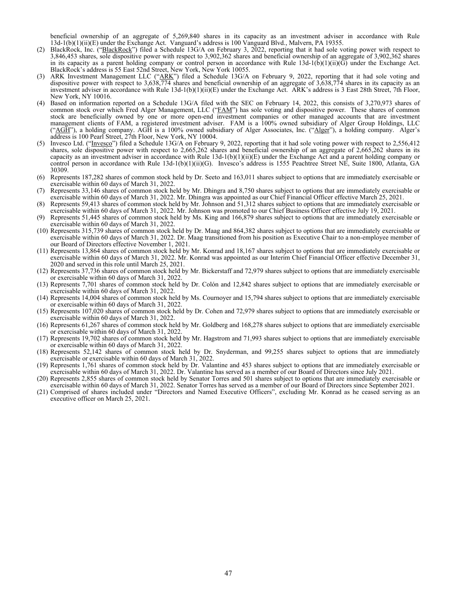beneficial ownership of an aggregate of 5,269,840 shares in its capacity as an investment adviser in accordance with Rule 13d-1(b)(1)(ii)(E) under the Exchange Act. Vanguard's address is 100 Vanguard Blvd., Malvern, PA 19355.

- (2) BlackRock, Inc. ("BlackRock") filed a Schedule 13G/A on February 3, 2022, reporting that it had sole voting power with respect to 3,846,453 shares, sole dispositive power with respect to 3,902,362 shares and beneficial ownership of an aggregate of 3,902,362 shares in its capacity as a parent holding company or control person in accordance with Rule  $13d-1(b)(1)(ii)(\tilde{G})$  under the Exchange Act. BlackRock's address is 55 East 52nd Street, New York, New York 10055.
- (3) ARK Investment Management LLC ("ARK") filed a Schedule 13G/A on February 9, 2022, reporting that it had sole voting and dispositive power with respect to 3,638,774 shares and beneficial ownership of an aggregate of 3,638,774 shares in its capacity as an investment adviser in accordance with Rule 13d-1(b)(1)(ii)(E) under the Exchange Act. ARK's address is 3 East 28th Street, 7th Floor, New York, NY 10016.
- (4) Based on information reported on a Schedule 13G/A filed with the SEC on February 14, 2022, this consists of 3,270,973 shares of common stock over which Fred Alger Management, LLC ("FAM") has sole voting and dispositive power. These shares of common stock are beneficially owned by one or more open-end investment companies or other managed accounts that are investment management clients of FAM, a registered investment adviser. FAM is a 100% owned subsidiary of Alger Group Holdings, LLC ("AGH"), a holding company. AGH is a 100% owned subsidiary of Alger Associates, Inc. ("Alger"), a holding company. Alger's address is 100 Pearl Street, 27th Floor, New York, NY 10004.
- (5) Invesco Ltd. ("Invesco") filed a Schedule 13G/A on February 9, 2022, reporting that it had sole voting power with respect to 2,556,412 shares, sole dispositive power with respect to 2,665,262 shares and beneficial ownership of an aggregate of 2,665,262 shares in its capacity as an investment adviser in accordance with Rule  $13d-1(b)(1)(ii)(E)$  under the Exchange Act and a parent holding company or control person in accordance with Rule 13d-1(b)(1)(ii)(G). Invesco's address is 1555 Peachtree Street NE, Suite 1800, Atlanta, GA 30309.
- (6) Represents 187,282 shares of common stock held by Dr. Seeto and 163,011 shares subject to options that are immediately exercisable or exercisable within 60 days of March 31, 2022.
- (7) Represents 33,146 shares of common stock held by Mr. Dhingra and 8,750 shares subject to options that are immediately exercisable or exercisable within 60 days of March 31, 2022. Mr. Dhingra was appointed as our Chief Financial Officer effective March 25, 2021.
- (8) Represents 59,413 shares of common stock held by Mr. Johnson and 51,312 shares subject to options that are immediately exercisable or exercisable within 60 days of March 31, 2022. Mr. Johnson was promoted to our Chief Business Officer effective July 19, 2021.
- (9) Represents 51,445 shares of common stock held by Ms. King and 166,879 shares subject to options that are immediately exercisable or exercisable within 60 days of March 31, 2022.
- (10) Represents 315,739 shares of common stock held by Dr. Maag and 864,382 shares subject to options that are immediately exercisable or exercisable within 60 days of March 31, 2022. Dr. Maag transitioned from his position as Executive Chair to a non-employee member of our Board of Directors effective November 1, 2021.
- (11) Represents 13,864 shares of common stock held by Mr. Konrad and 18,167 shares subject to options that are immediately exercisable or exercisable within 60 days of March 31, 2022. Mr. Konrad was appointed as our Interim Chief Financial Officer effective December 31, 2020 and served in this role until March 25, 2021.
- (12) Represents 37,736 shares of common stock held by Mr. Bickerstaff and 72,979 shares subject to options that are immediately exercisable or exercisable within 60 days of March 31, 2022.
- (13) Represents 7,701 shares of common stock held by Dr. Colón and 12,842 shares subject to options that are immediately exercisable or exercisable within 60 days of March 31, 2022.
- (14) Represents 14,004 shares of common stock held by Ms. Cournoyer and 15,794 shares subject to options that are immediately exercisable or exercisable within 60 days of March 31, 2022.
- (15) Represents 107,020 shares of common stock held by Dr. Cohen and 72,979 shares subject to options that are immediately exercisable or exercisable within 60 days of March 31, 2022.
- (16) Represents 61,267 shares of common stock held by Mr. Goldberg and 168,278 shares subject to options that are immediately exercisable or exercisable within 60 days of March 31, 2022.
- (17) Represents 19,702 shares of common stock held by Mr. Hagstrom and 71,993 shares subject to options that are immediately exercisable or exercisable within 60 days of March 31, 2022.
- (18) Represents 52,142 shares of common stock held by Dr. Snyderman, and 99,255 shares subject to options that are immediately exercisable or exercisable within 60 days of March 31, 2022.
- (19) Represents 1,761 shares of common stock held by Dr. Valantine and 453 shares subject to options that are immediately exercisable or exercisable within 60 days of March 31, 2022. Dr. Valantine has served as a member of our Board of Directors since July 2021.
- (20) Represents 2,855 shares of common stock held by Senator Torres and 501 shares subject to options that are immediately exercisable or exercisable within 60 days of March 31, 2022. Senator Torres has served as a member of our Board of Directors since September 2021.
- (21) Comprised of shares included under "Directors and Named Executive Officers", excluding Mr. Konrad as he ceased serving as an executive officer on March 25, 2021.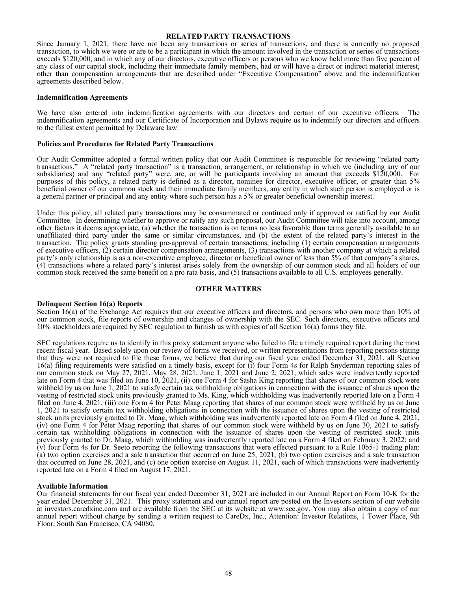#### **RELATED PARTY TRANSACTIONS**

<span id="page-51-0"></span>Since January 1, 2021, there have not been any transactions or series of transactions, and there is currently no proposed transaction, to which we were or are to be a participant in which the amount involved in the transaction or series of transactions exceeds \$120,000, and in which any of our directors, executive officers or persons who we know held more than five percent of any class of our capital stock, including their immediate family members, had or will have a direct or indirect material interest, other than compensation arrangements that are described under "Executive Compensation" above and the indemnification agreements described below.

#### **Indemnification Agreements**

We have also entered into indemnification agreements with our directors and certain of our executive officers. The indemnification agreements and our Certificate of Incorporation and Bylaws require us to indemnify our directors and officers to the fullest extent permitted by Delaware law.

#### **Policies and Procedures for Related Party Transactions**

Our Audit Committee adopted a formal written policy that our Audit Committee is responsible for reviewing "related party transactions." A "related party transaction" is a transaction, arrangement, or relationship in which we (including any of our subsidiaries) and any "related party" were, are, or will be participants involving an amount that exceeds \$120,000. For purposes of this policy, a related party is defined as a director, nominee for director, executive officer, or greater than 5% beneficial owner of our common stock and their immediate family members, any entity in which such person is employed or is a general partner or principal and any entity where such person has a 5% or greater beneficial ownership interest.

Under this policy, all related party transactions may be consummated or continued only if approved or ratified by our Audit Committee. In determining whether to approve or ratify any such proposal, our Audit Committee will take into account, among other factors it deems appropriate, (a) whether the transaction is on terms no less favorable than terms generally available to an unaffiliated third party under the same or similar circumstances, and (b) the extent of the related party's interest in the transaction. The policy grants standing pre-approval of certain transactions, including (1) certain compensation arrangements of executive officers, (2) certain director compensation arrangements, (3) transactions with another company at which a related party's only relationship is as a non-executive employee, director or beneficial owner of less than 5% of that company's shares, (4) transactions where a related party's interest arises solely from the ownership of our common stock and all holders of our common stock received the same benefit on a pro rata basis, and (5) transactions available to all U.S. employees generally.

#### **OTHER MATTERS**

#### **Delinquent Section 16(a) Reports**

Section 16(a) of the Exchange Act requires that our executive officers and directors, and persons who own more than 10% of our common stock, file reports of ownership and changes of ownership with the SEC. Such directors, executive officers and 10% stockholders are required by SEC regulation to furnish us with copies of all Section 16(a) forms they file.

SEC regulations require us to identify in this proxy statement anyone who failed to file a timely required report during the most recent fiscal year. Based solely upon our review of forms we received, or written representations from reporting persons stating that they were not required to file these forms, we believe that during our fiscal year ended December 31, 2021, all Section 16(a) filing requirements were satisfied on a timely basis, except for (i) four Form 4s for Ralph Snyderman reporting sales of our common stock on May 27, 2021, May 28, 2021, June 1, 2021 and June 2, 2021, which sales were inadvertently reported late on Form 4 that was filed on June 10, 2021, (ii) one Form 4 for Sasha King reporting that shares of our common stock were withheld by us on June 1, 2021 to satisfy certain tax withholding obligations in connection with the issuance of shares upon the vesting of restricted stock units previously granted to Ms. King, which withholding was inadvertently reported late on a Form 4 filed on June 4, 2021, (iii) one Form 4 for Peter Maag reporting that shares of our common stock were withheld by us on June 1, 2021 to satisfy certain tax withholding obligations in connection with the issuance of shares upon the vesting of restricted stock units previously granted to Dr. Maag, which withholding was inadvertently reported late on Form 4 filed on June 4, 2021, (iv) one Form 4 for Peter Maag reporting that shares of our common stock were withheld by us on June 30, 2021 to satisfy certain tax withholding obligations in connection with the issuance of shares upon the vesting of restricted stock units previously granted to Dr. Maag, which withholding was inadvertently reported late on a Form 4 filed on February 3, 2022; and (v) four Form 4s for Dr. Seeto reporting the following transactions that were effected pursuant to a Rule 10b5-1 trading plan: (a) two option exercises and a sale transaction that occurred on June 25, 2021, (b) two option exercises and a sale transaction that occurred on June 28, 2021, and (c) one option exercise on August 11, 2021, each of which transactions were inadvertently reported late on a Form 4 filed on August 17, 2021.

#### **Available Information**

Our financial statements for our fiscal year ended December 31, 2021 are included in our Annual Report on Form 10-K for the year ended December 31, 2021. This proxy statement and our annual report are posted on the Investors section of our website at investors.caredxinc.com and are available from the SEC at its website at www.sec.gov. You may also obtain a copy of our annual report without charge by sending a written request to CareDx, Inc., Attention: Investor Relations, 1 Tower Place, 9th Floor, South San Francisco, CA 94080.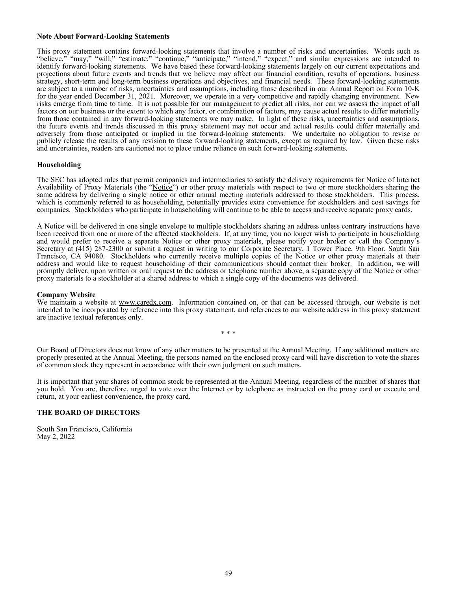#### <span id="page-52-0"></span>**Note About Forward-Looking Statements**

This proxy statement contains forward-looking statements that involve a number of risks and uncertainties. Words such as "believe," "may," "will," "estimate," "continue," "anticipate," "intend," "expect," and similar expressions are intended to identify forward-looking statements. We have based these forward-looking statements largely on our current expectations and projections about future events and trends that we believe may affect our financial condition, results of operations, business strategy, short-term and long-term business operations and objectives, and financial needs. These forward-looking statements are subject to a number of risks, uncertainties and assumptions, including those described in our Annual Report on Form 10-K for the year ended December 31, 2021. Moreover, we operate in a very competitive and rapidly changing environment. New risks emerge from time to time. It is not possible for our management to predict all risks, nor can we assess the impact of all factors on our business or the extent to which any factor, or combination of factors, may cause actual results to differ materially from those contained in any forward-looking statements we may make. In light of these risks, uncertainties and assumptions, the future events and trends discussed in this proxy statement may not occur and actual results could differ materially and adversely from those anticipated or implied in the forward-looking statements. We undertake no obligation to revise or publicly release the results of any revision to these forward-looking statements, except as required by law. Given these risks and uncertainties, readers are cautioned not to place undue reliance on such forward-looking statements.

### **Householding**

The SEC has adopted rules that permit companies and intermediaries to satisfy the delivery requirements for Notice of Internet Availability of Proxy Materials (the "Notice") or other proxy materials with respect to two or more stockholders sharing the same address by delivering a single notice or other annual meeting materials addressed to those stockholders. This process, which is commonly referred to as householding, potentially provides extra convenience for stockholders and cost savings for companies. Stockholders who participate in householding will continue to be able to access and receive separate proxy cards.

A Notice will be delivered in one single envelope to multiple stockholders sharing an address unless contrary instructions have been received from one or more of the affected stockholders. If, at any time, you no longer wish to participate in householding and would prefer to receive a separate Notice or other proxy materials, please notify your broker or call the Company's Secretary at (415) 287-2300 or submit a request in writing to our Corporate Secretary, 1 Tower Place, 9th Floor, South San Francisco, CA 94080. Stockholders who currently receive multiple copies of the Notice or other proxy materials at their address and would like to request householding of their communications should contact their broker. In addition, we will promptly deliver, upon written or oral request to the address or telephone number above, a separate copy of the Notice or other proxy materials to a stockholder at a shared address to which a single copy of the documents was delivered.

#### **Company Website**

We maintain a website at www.caredx.com. Information contained on, or that can be accessed through, our website is not intended to be incorporated by reference into this proxy statement, and references to our website address in this proxy statement are inactive textual references only.

\* \* \*

Our Board of Directors does not know of any other matters to be presented at the Annual Meeting. If any additional matters are properly presented at the Annual Meeting, the persons named on the enclosed proxy card will have discretion to vote the shares of common stock they represent in accordance with their own judgment on such matters.

It is important that your shares of common stock be represented at the Annual Meeting, regardless of the number of shares that you hold. You are, therefore, urged to vote over the Internet or by telephone as instructed on the proxy card or execute and return, at your earliest convenience, the proxy card.

### **THE BOARD OF DIRECTORS**

South San Francisco, California May 2, 2022